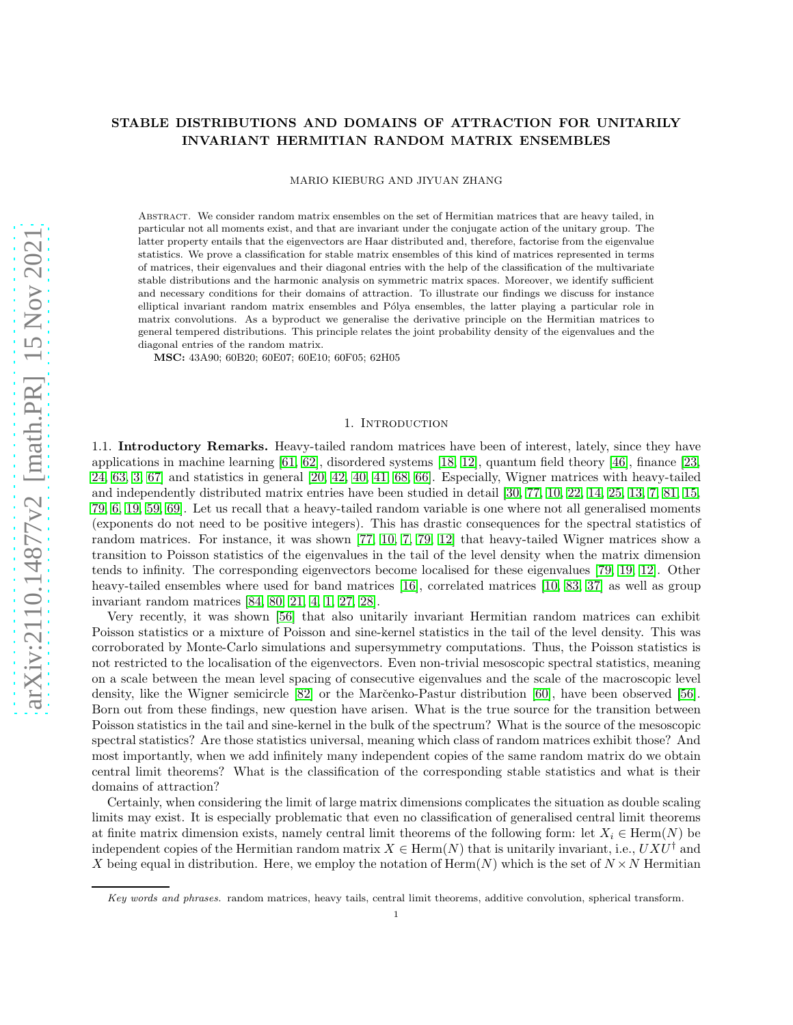# STABLE DISTRIBUTIONS AND DOMAINS OF ATTRACTION FOR UNITARILY INVARIANT HERMITIAN RANDOM MATRIX ENSEMBLES

MARIO KIEBURG AND JIYUAN ZHANG

Abstract. We consider random matrix ensembles on the set of Hermitian matrices that are heavy tailed, in particular not all moments exist, and that are invariant under the conjugate action of the unitary group. The latter property entails that the eigenvectors are Haar distributed and, therefore, factorise from the eigenvalue statistics. We prove a classification for stable matrix ensembles of this kind of matrices represented in terms of matrices, their eigenvalues and their diagonal entries with the help of the classification of the multivariate stable distributions and the harmonic analysis on symmetric matrix spaces. Moreover, we identify sufficient and necessary conditions for their domains of attraction. To illustrate our findings we discuss for instance elliptical invariant random matrix ensembles and Pólya ensembles, the latter playing a particular role in matrix convolutions. As a byproduct we generalise the derivative principle on the Hermitian matrices to general tempered distributions. This principle relates the joint probability density of the eigenvalues and the diagonal entries of the random matrix.

MSC: 43A90; 60B20; 60E07; 60E10; 60F05; 62H05

#### 1. INTRODUCTION

1.1. Introductory Remarks. Heavy-tailed random matrices have been of interest, lately, since they have applications in machine learning [\[61,](#page-35-0) [62\]](#page-35-1), disordered systems [\[18,](#page-34-0) [12\]](#page-33-0), quantum field theory [\[46\]](#page-34-1), finance [\[23,](#page-34-2) [24,](#page-34-3) [63,](#page-35-2) [3,](#page-33-1) [67\]](#page-35-3) and statistics in general [\[20,](#page-34-4) [42,](#page-34-5) [40,](#page-34-6) [41,](#page-34-7) [68,](#page-35-4) [66\]](#page-35-5). Especially, Wigner matrices with heavy-tailed and independently distributed matrix entries have been studied in detail [\[30,](#page-34-8) [77,](#page-35-6) [10,](#page-33-2) [22,](#page-34-9) [14,](#page-33-3) [25,](#page-34-10) [13,](#page-33-4) [7,](#page-33-5) [81,](#page-35-7) [15,](#page-33-6) [79,](#page-35-8) [6,](#page-33-7) [19,](#page-34-11) [59,](#page-35-9) [69\]](#page-35-10). Let us recall that a heavy-tailed random variable is one where not all generalised moments (exponents do not need to be positive integers). This has drastic consequences for the spectral statistics of random matrices. For instance, it was shown [\[77,](#page-35-6) [10,](#page-33-2) [7,](#page-33-5) [79,](#page-35-8) [12\]](#page-33-0) that heavy-tailed Wigner matrices show a transition to Poisson statistics of the eigenvalues in the tail of the level density when the matrix dimension tends to infinity. The corresponding eigenvectors become localised for these eigenvalues [\[79,](#page-35-8) [19,](#page-34-11) [12\]](#page-33-0). Other heavy-tailed ensembles where used for band matrices [\[16\]](#page-33-8), correlated matrices [\[10,](#page-33-2) [83,](#page-35-11) [37\]](#page-34-12) as well as group invariant random matrices [\[84,](#page-35-12) [80,](#page-35-13) [21,](#page-34-13) [4,](#page-33-9) [1,](#page-33-10) [27,](#page-34-14) [28\]](#page-34-15).

Very recently, it was shown [\[56\]](#page-35-14) that also unitarily invariant Hermitian random matrices can exhibit Poisson statistics or a mixture of Poisson and sine-kernel statistics in the tail of the level density. This was corroborated by Monte-Carlo simulations and supersymmetry computations. Thus, the Poisson statistics is not restricted to the localisation of the eigenvectors. Even non-trivial mesoscopic spectral statistics, meaning on a scale between the mean level spacing of consecutive eigenvalues and the scale of the macroscopic level density, like the Wigner semicircle [\[82\]](#page-35-15) or the Marc̆enko-Pastur distribution [\[60\]](#page-35-16), have been observed [\[56\]](#page-35-14). Born out from these findings, new question have arisen. What is the true source for the transition between Poisson statistics in the tail and sine-kernel in the bulk of the spectrum? What is the source of the mesoscopic spectral statistics? Are those statistics universal, meaning which class of random matrices exhibit those? And most importantly, when we add infinitely many independent copies of the same random matrix do we obtain central limit theorems? What is the classification of the corresponding stable statistics and what is their domains of attraction?

Certainly, when considering the limit of large matrix dimensions complicates the situation as double scaling limits may exist. It is especially problematic that even no classification of generalised central limit theorems at finite matrix dimension exists, namely central limit theorems of the following form: let  $X_i \in \text{Herm}(N)$  be independent copies of the Hermitian random matrix  $X \in \text{Herm}(N)$  that is unitarily invariant, i.e.,  $UXU^{\dagger}$  and X being equal in distribution. Here, we employ the notation of Herm $(N)$  which is the set of  $N \times N$  Hermitian

Key words and phrases. random matrices, heavy tails, central limit theorems, additive convolution, spherical transform.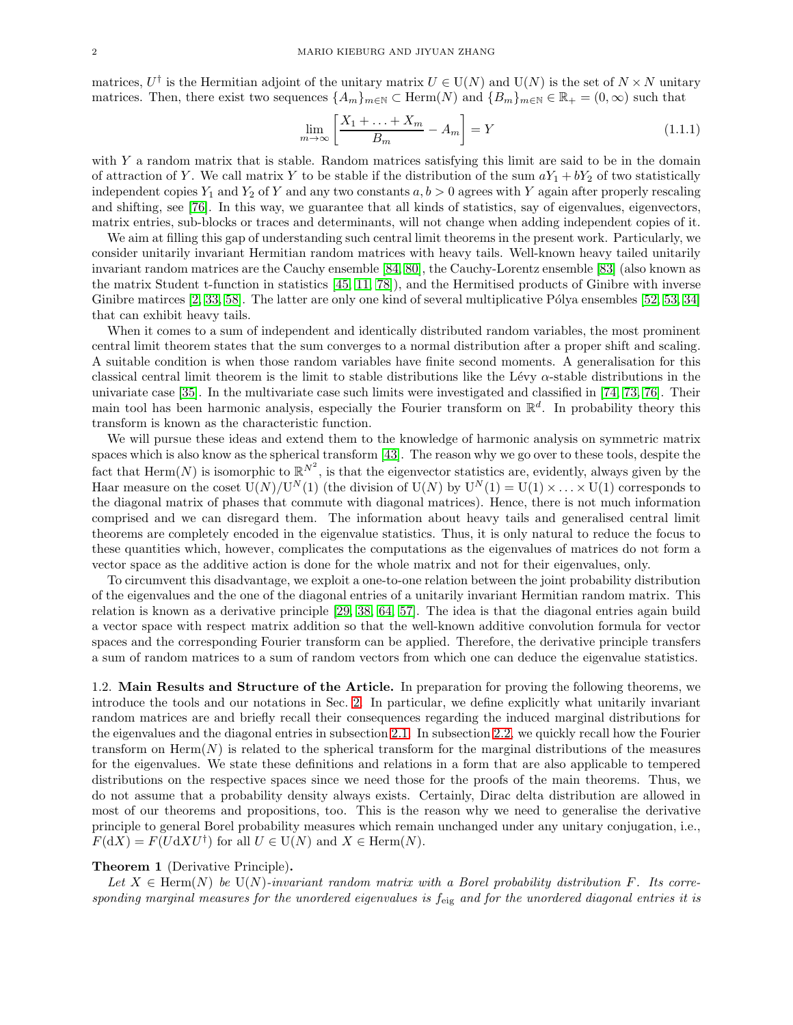matrices,  $U^{\dagger}$  is the Hermitian adjoint of the unitary matrix  $U \in U(N)$  and  $U(N)$  is the set of  $N \times N$  unitary matrices. Then, there exist two sequences  $\{A_m\}_{m\in\mathbb{N}}\subset \text{Herm}(N)$  and  $\{B_m\}_{m\in\mathbb{N}}\in\mathbb{R}_+ = (0,\infty)$  such that

<span id="page-1-0"></span>
$$
\lim_{m \to \infty} \left[ \frac{X_1 + \dots + X_m}{B_m} - A_m \right] = Y \tag{1.1.1}
$$

with  $Y$  a random matrix that is stable. Random matrices satisfying this limit are said to be in the domain of attraction of Y. We call matrix Y to be stable if the distribution of the sum  $aY_1 + bY_2$  of two statistically independent copies  $Y_1$  and  $Y_2$  of Y and any two constants  $a, b > 0$  agrees with Y again after properly rescaling and shifting, see [\[76\]](#page-35-17). In this way, we guarantee that all kinds of statistics, say of eigenvalues, eigenvectors, matrix entries, sub-blocks or traces and determinants, will not change when adding independent copies of it.

We aim at filling this gap of understanding such central limit theorems in the present work. Particularly, we consider unitarily invariant Hermitian random matrices with heavy tails. Well-known heavy tailed unitarily invariant random matrices are the Cauchy ensemble [\[84,](#page-35-12) [80\]](#page-35-13), the Cauchy-Lorentz ensemble [\[83\]](#page-35-11) (also known as the matrix Student t-function in statistics [\[45,](#page-34-16) [11,](#page-33-11) [78\]](#page-35-18)), and the Hermitised products of Ginibre with inverse Ginibre matirces  $[2, 33, 58]$  $[2, 33, 58]$  $[2, 33, 58]$ . The latter are only one kind of several multiplicative Pólya ensembles  $[52, 53, 34]$  $[52, 53, 34]$  $[52, 53, 34]$ that can exhibit heavy tails.

When it comes to a sum of independent and identically distributed random variables, the most prominent central limit theorem states that the sum converges to a normal distribution after a proper shift and scaling. A suitable condition is when those random variables have finite second moments. A generalisation for this classical central limit theorem is the limit to stable distributions like the Lévy  $\alpha$ -stable distributions in the univariate case [\[35\]](#page-34-19). In the multivariate case such limits were investigated and classified in [\[74,](#page-35-22) [73,](#page-35-23) [76\]](#page-35-17). Their main tool has been harmonic analysis, especially the Fourier transform on  $\mathbb{R}^d$ . In probability theory this transform is known as the characteristic function.

We will pursue these ideas and extend them to the knowledge of harmonic analysis on symmetric matrix spaces which is also know as the spherical transform [\[43\]](#page-34-20). The reason why we go over to these tools, despite the fact that  $\text{Herm}(N)$  is isomorphic to  $\mathbb{R}^{N^2}$ , is that the eigenvector statistics are, evidently, always given by the Haar measure on the coset  $\mathcal{U}(N)/\mathcal{U}^N(1)$  (the division of  $\mathcal{U}(N)$  by  $\mathcal{U}^N(1) = \mathcal{U}(1) \times \ldots \times \mathcal{U}(1)$  corresponds to the diagonal matrix of phases that commute with diagonal matrices). Hence, there is not much information comprised and we can disregard them. The information about heavy tails and generalised central limit theorems are completely encoded in the eigenvalue statistics. Thus, it is only natural to reduce the focus to these quantities which, however, complicates the computations as the eigenvalues of matrices do not form a vector space as the additive action is done for the whole matrix and not for their eigenvalues, only.

To circumvent this disadvantage, we exploit a one-to-one relation between the joint probability distribution of the eigenvalues and the one of the diagonal entries of a unitarily invariant Hermitian random matrix. This relation is known as a derivative principle [\[29,](#page-34-21) [38,](#page-34-22) [64,](#page-35-24) [57\]](#page-35-25). The idea is that the diagonal entries again build a vector space with respect matrix addition so that the well-known additive convolution formula for vector spaces and the corresponding Fourier transform can be applied. Therefore, the derivative principle transfers a sum of random matrices to a sum of random vectors from which one can deduce the eigenvalue statistics.

1.2. Main Results and Structure of the Article. In preparation for proving the following theorems, we introduce the tools and our notations in Sec. [2.](#page-4-0) In particular, we define explicitly what unitarily invariant random matrices are and briefly recall their consequences regarding the induced marginal distributions for the eigenvalues and the diagonal entries in subsection [2.1.](#page-4-1) In subsection [2.2,](#page-5-0) we quickly recall how the Fourier transform on  $\text{Herm}(N)$  is related to the spherical transform for the marginal distributions of the measures for the eigenvalues. We state these definitions and relations in a form that are also applicable to tempered distributions on the respective spaces since we need those for the proofs of the main theorems. Thus, we do not assume that a probability density always exists. Certainly, Dirac delta distribution are allowed in most of our theorems and propositions, too. This is the reason why we need to generalise the derivative principle to general Borel probability measures which remain unchanged under any unitary conjugation, i.e.,  $F(dX) = F(UdXU^{\dagger})$  for all  $U \in U(N)$  and  $X \in \text{Herm}(N)$ .

## <span id="page-1-1"></span>Theorem 1 (Derivative Principle).

Let  $X \in \text{Herm}(N)$  be  $U(N)$ *-invariant random matrix with a Borel probability distribution* F. Its corre*sponding marginal measures for the unordered eigenvalues is* feig *and for the unordered diagonal entries it is*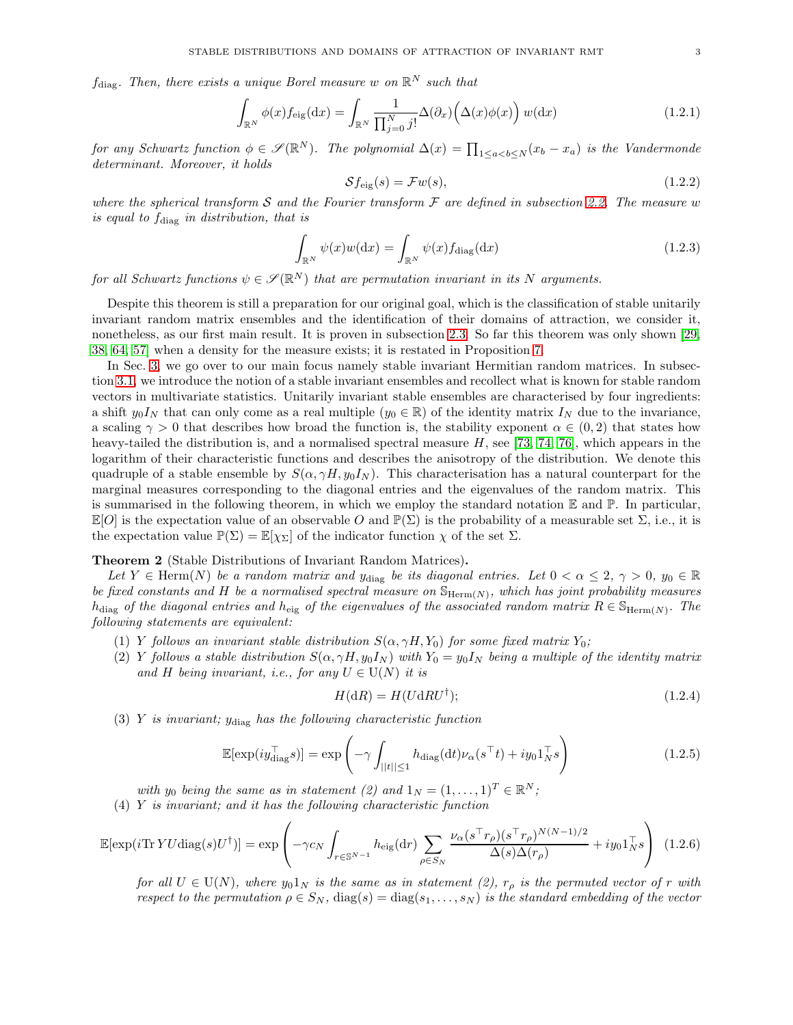$f_{\text{diag}}$ . Then, there exists a unique Borel measure w on  $\mathbb{R}^N$  such that

<span id="page-2-1"></span>
$$
\int_{\mathbb{R}^N} \phi(x) f_{\text{eig}}(\text{d}x) = \int_{\mathbb{R}^N} \frac{1}{\prod_{j=0}^N j!} \Delta(\partial_x) \left( \Delta(x) \phi(x) \right) w(\text{d}x) \tag{1.2.1}
$$

 $for any Schwartz function  $\phi \in \mathscr{S}(\mathbb{R}^N)$ . The polynomial  $\Delta(x) = \prod_{1 \leq a < b \leq N} (x_b - x_a)$  is the Vandermonde$ *determinant. Moreover, it holds*

$$
\mathcal{S}f_{\text{eig}}(s) = \mathcal{F}w(s),\tag{1.2.2}
$$

*where the spherical transform* S *and the Fourier transform* F *are defined in subsection [2.2.](#page-5-0) The measure* w *is equal to f<sub>diag</sub> in distribution, that is* 

<span id="page-2-4"></span>
$$
\int_{\mathbb{R}^N} \psi(x)w(\mathrm{d}x) = \int_{\mathbb{R}^N} \psi(x) f_{\text{diag}}(\mathrm{d}x) \tag{1.2.3}
$$

for all Schwartz functions  $\psi \in \mathscr{S}(\mathbb{R}^N)$  that are permutation invariant in its N arguments.

Despite this theorem is still a preparation for our original goal, which is the classification of stable unitarily invariant random matrix ensembles and the identification of their domains of attraction, we consider it, nonetheless, as our first main result. It is proven in subsection [2.3.](#page-7-0) So far this theorem was only shown [\[29,](#page-34-21) [38,](#page-34-22) [64,](#page-35-24) [57\]](#page-35-25) when a density for the measure exists; it is restated in Proposition [7.](#page-7-1)

In Sec. [3,](#page-9-0) we go over to our main focus namely stable invariant Hermitian random matrices. In subsection [3.1,](#page-9-1) we introduce the notion of a stable invariant ensembles and recollect what is known for stable random vectors in multivariate statistics. Unitarily invariant stable ensembles are characterised by four ingredients: a shift  $y_0I_N$  that can only come as a real multiple  $(y_0 \in \mathbb{R})$  of the identity matrix  $I_N$  due to the invariance, a scaling  $\gamma > 0$  that describes how broad the function is, the stability exponent  $\alpha \in (0, 2)$  that states how heavy-tailed the distribution is, and a normalised spectral measure  $H$ , see [\[73,](#page-35-23) [74,](#page-35-22) [76\]](#page-35-17), which appears in the logarithm of their characteristic functions and describes the anisotropy of the distribution. We denote this quadruple of a stable ensemble by  $S(\alpha, \gamma H, y_0 I_N)$ . This characterisation has a natural counterpart for the marginal measures corresponding to the diagonal entries and the eigenvalues of the random matrix. This is summarised in the following theorem, in which we employ the standard notation  $\mathbb E$  and  $\mathbb P$ . In particular,  $\mathbb{E}[O]$  is the expectation value of an observable O and  $\mathbb{P}(\Sigma)$  is the probability of a measurable set  $\Sigma$ , i.e., it is the expectation value  $\mathbb{P}(\Sigma) = \mathbb{E}[\chi_{\Sigma}]$  of the indicator function  $\chi$  of the set  $\Sigma$ .

## <span id="page-2-0"></span>Theorem 2 (Stable Distributions of Invariant Random Matrices).

Let  $Y \in \text{Herm}(N)$  *be a random matrix and*  $y_{\text{diag}}$  *be its diagonal entries. Let*  $0 < \alpha \leq 2$ ,  $\gamma > 0$ ,  $y_0 \in \mathbb{R}$ be fixed constants and H be a normalised spectral measure on  $\mathbb{S}_{\text{Herm}(N)}$ , which has joint probability measures  $h_{\text{diag}}$  *of the diagonal entries and*  $h_{\text{eig}}$  *of the eigenvalues of the associated random matrix*  $R \in \mathbb{S}_{\text{Herm}(N)}$ *. The following statements are equivalent:*

- (1) Y *follows an invariant stable distribution*  $S(\alpha, \gamma H, Y_0)$  *for some fixed matrix*  $Y_0$ ;
- (2) Y *follows a stable distribution*  $S(\alpha, \gamma H, y_0 I_N)$  *with*  $Y_0 = y_0 I_N$  *being a multiple of the identity matrix and* H being invariant, i.e., for any  $U \in U(N)$  it is

$$
H(\mathrm{d}R) = H(U\mathrm{d}RU^{\dagger});\tag{1.2.4}
$$

(3) Y *is invariant;* ydiag *has the following characteristic function*

<span id="page-2-3"></span>
$$
\mathbb{E}[\exp(i y_{\text{diag}}^\top s)] = \exp\left(-\gamma \int_{||t|| \le 1} h_{\text{diag}}(\mathrm{d}t) \nu_\alpha(s^\top t) + i y_0 \mathbf{1}_N^\top s\right) \tag{1.2.5}
$$

*with*  $y_0$  *being the same as in statement (2)* and  $1_N = (1, \ldots, 1)^T \in \mathbb{R}^N$ ; (4) Y *is invariant; and it has the following characteristic function*

<span id="page-2-2"></span>
$$
\mathbb{E}[\exp(i\text{Tr}\,YU\text{diag}(s)U^{\dagger})] = \exp\left(-\gamma c_N \int_{r\in\mathbb{S}^{N-1}} h_{\text{eig}}(\text{d}r) \sum_{\rho\in S_N} \frac{\nu_{\alpha}(s^{\top}r_{\rho})(s^{\top}r_{\rho})^{N(N-1)/2}}{\Delta(s)\Delta(r_{\rho})} + iy_0 \mathbf{1}_N^{\top} s\right) (1.2.6)
$$

*for all*  $U \in U(N)$ *, where*  $y_0 1_N$  *is the same as in statement* (2),  $r_\rho$  *is the permuted vector of* r *with respect to the permutation*  $\rho \in S_N$ ,  $diag(s) = diag(s_1, \ldots, s_N)$  *is the standard embedding of the vector*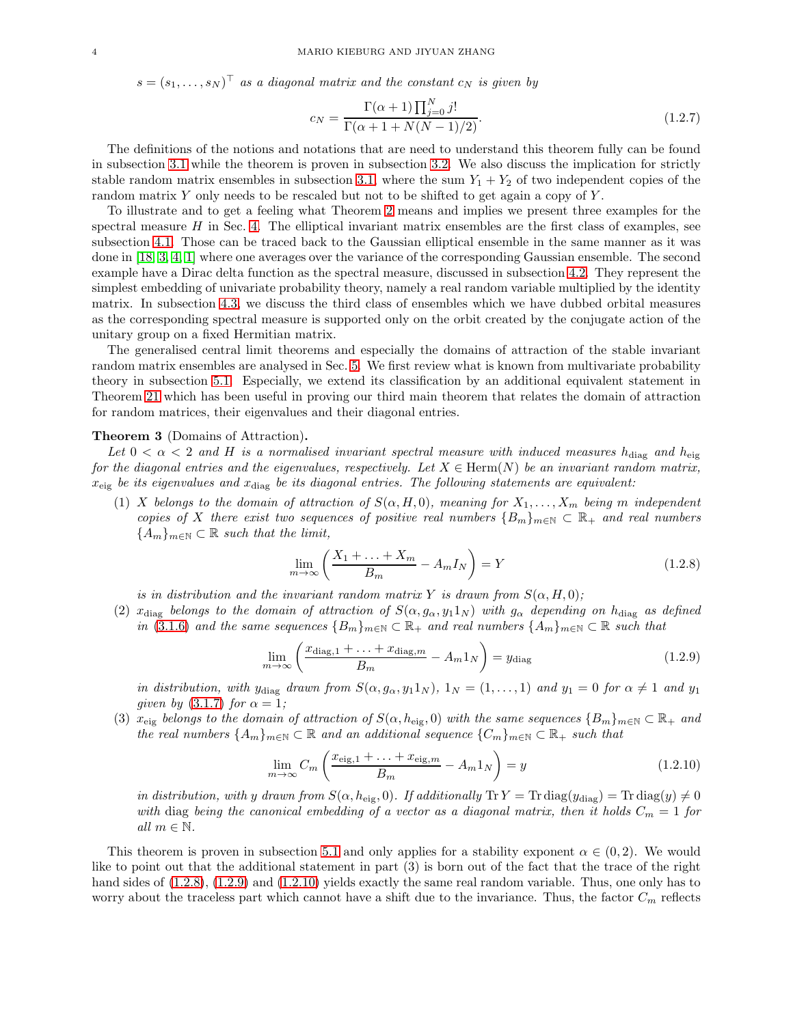$s = (s_1, \ldots, s_N)^\top$  *as a diagonal matrix and the constant*  $c_N$  *is given by* 

$$
c_N = \frac{\Gamma(\alpha+1)\prod_{j=0}^N j!}{\Gamma(\alpha+1+N(N-1)/2)}.
$$
\n(1.2.7)

The definitions of the notions and notations that are need to understand this theorem fully can be found in subsection [3.1](#page-9-1) while the theorem is proven in subsection [3.2.](#page-12-0) We also discuss the implication for strictly stable random matrix ensembles in subsection [3.1,](#page-9-1) where the sum  $Y_1 + Y_2$  of two independent copies of the random matrix Y only needs to be rescaled but not to be shifted to get again a copy of Y.

To illustrate and to get a feeling what Theorem [2](#page-2-0) means and implies we present three examples for the spectral measure  $H$  in Sec. [4.](#page-14-0) The elliptical invariant matrix ensembles are the first class of examples, see subsection [4.1.](#page-14-1) Those can be traced back to the Gaussian elliptical ensemble in the same manner as it was done in [\[18,](#page-34-0) [3,](#page-33-1) [4,](#page-33-9) [1\]](#page-33-10) where one averages over the variance of the corresponding Gaussian ensemble. The second example have a Dirac delta function as the spectral measure, discussed in subsection [4.2.](#page-19-0) They represent the simplest embedding of univariate probability theory, namely a real random variable multiplied by the identity matrix. In subsection [4.3,](#page-20-0) we discuss the third class of ensembles which we have dubbed orbital measures as the corresponding spectral measure is supported only on the orbit created by the conjugate action of the unitary group on a fixed Hermitian matrix.

The generalised central limit theorems and especially the domains of attraction of the stable invariant random matrix ensembles are analysed in Sec. [5.](#page-22-0) We first review what is known from multivariate probability theory in subsection [5.1.](#page-22-1) Especially, we extend its classification by an additional equivalent statement in Theorem [21](#page-22-2) which has been useful in proving our third main theorem that relates the domain of attraction for random matrices, their eigenvalues and their diagonal entries.

#### <span id="page-3-3"></span>Theorem 3 (Domains of Attraction).

Let  $0 < \alpha < 2$  and H is a normalised invariant spectral measure with induced measures  $h_{\text{diag}}$  and  $h_{\text{eig}}$ *for the diagonal entries and the eigenvalues, respectively. Let*  $X \in \text{Herm}(N)$  *be an invariant random matrix,* xeig *be its eigenvalues and* xdiag *be its diagonal entries. The following statements are equivalent:*

(1) X *belongs to the domain of attraction of*  $S(\alpha, H, 0)$ *, meaning for*  $X_1, \ldots, X_m$  *being* m *independent copies of* X *there exist two sequences of positive real numbers*  ${B_m}_{m \in N} \subset \mathbb{R}_+$  *and real numbers*  ${A_m}_{m \in \mathbb{N}} \subset \mathbb{R}$  *such that the limit,* 

<span id="page-3-0"></span>
$$
\lim_{m \to \infty} \left( \frac{X_1 + \ldots + X_m}{B_m} - A_m I_N \right) = Y \tag{1.2.8}
$$

*is in distribution and the invariant random matrix* Y *is drawn from*  $S(\alpha, H, 0)$ ;

(2)  $x_{\text{diag}}$  *belongs to the domain of attraction of*  $S(\alpha, g_\alpha, y_1 1_N)$  *with*  $g_\alpha$  *depending on*  $h_{\text{diag}}$  *as defined in* [\(3.1.6\)](#page-10-0) and the same sequences  ${B_m}_{m \in \mathbb{N}} \subset \mathbb{R}_+$  and real numbers  ${A_m}_{m \in \mathbb{N}} \subset \mathbb{R}$  such that

<span id="page-3-1"></span>
$$
\lim_{m \to \infty} \left( \frac{x_{\text{diag},1} + \ldots + x_{\text{diag},m}}{B_m} - A_m 1_N \right) = y_{\text{diag}} \tag{1.2.9}
$$

*in distribution, with ydiag drawn from*  $S(\alpha, g_\alpha, y_1 1_N)$ ,  $1_N = (1, \ldots, 1)$  *and*  $y_1 = 0$  *for*  $\alpha \neq 1$  *and*  $y_1$ *given by*  $(3.1.7)$  *for*  $\alpha = 1$ *;* 

(3)  $x_{\text{eig}}$  *belongs to the domain of attraction of*  $S(\alpha, h_{\text{eig}}, 0)$  *with the same sequences*  ${B_m}_{m \in \mathbb{N}} \subset \mathbb{R}_+$  *and the real numbers*  $\{A_m\}_{m\in\mathbb{N}}\subset\mathbb{R}$  *and an additional sequence*  $\{C_m\}_{m\in\mathbb{N}}\subset\mathbb{R}_+$  *such that* 

<span id="page-3-2"></span>
$$
\lim_{m \to \infty} C_m \left( \frac{x_{\text{eig},1} + \ldots + x_{\text{eig},m}}{B_m} - A_m 1_N \right) = y \tag{1.2.10}
$$

*in distribution, with* y *drawn from*  $S(\alpha, h_{\text{eig}}, 0)$ *. If additionally*  $\text{Tr } Y = \text{Tr } \text{diag}(y_{\text{diag}}) = \text{Tr } \text{diag}(y) \neq 0$ *with* diag *being the canonical embedding of a vector as a diagonal matrix, then it holds*  $C_m = 1$  *for all*  $m \in \mathbb{N}$ *.* 

This theorem is proven in subsection [5.1](#page-22-1) and only applies for a stability exponent  $\alpha \in (0, 2)$ . We would like to point out that the additional statement in part (3) is born out of the fact that the trace of the right hand sides of  $(1.2.8)$ ,  $(1.2.9)$  and  $(1.2.10)$  yields exactly the same real random variable. Thus, one only has to worry about the traceless part which cannot have a shift due to the invariance. Thus, the factor  $C_m$  reflects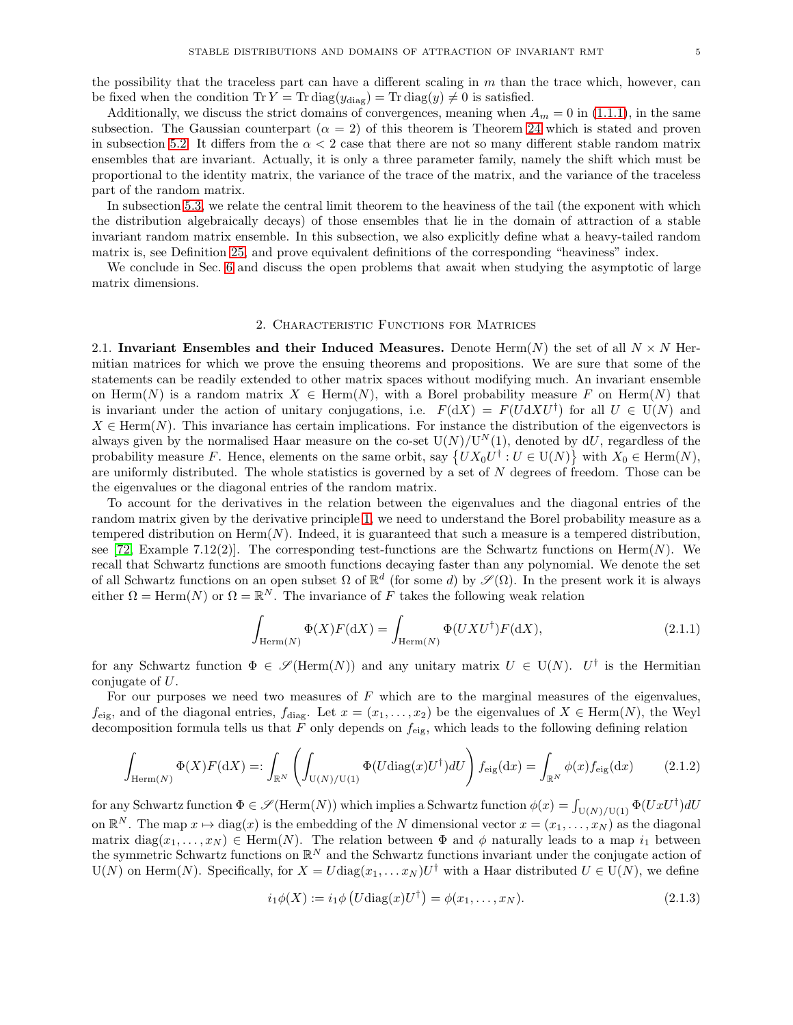Additionally, we discuss the strict domains of convergences, meaning when  $A_m = 0$  in [\(1.1.1\)](#page-1-0), in the same subsection. The Gaussian counterpart  $(\alpha = 2)$  of this theorem is Theorem [24](#page-27-0) which is stated and proven in subsection [5.2.](#page-27-1) It differs from the  $\alpha < 2$  case that there are not so many different stable random matrix ensembles that are invariant. Actually, it is only a three parameter family, namely the shift which must be proportional to the identity matrix, the variance of the trace of the matrix, and the variance of the traceless part of the random matrix.

In subsection [5.3,](#page-28-0) we relate the central limit theorem to the heaviness of the tail (the exponent with which the distribution algebraically decays) of those ensembles that lie in the domain of attraction of a stable invariant random matrix ensemble. In this subsection, we also explicitly define what a heavy-tailed random matrix is, see Definition [25,](#page-29-0) and prove equivalent definitions of the corresponding "heaviness" index.

<span id="page-4-0"></span>We conclude in Sec. [6](#page-32-0) and discuss the open problems that await when studying the asymptotic of large matrix dimensions.

#### 2. Characteristic Functions for Matrices

<span id="page-4-1"></span>2.1. Invariant Ensembles and their Induced Measures. Denote Herm $(N)$  the set of all  $N \times N$  Hermitian matrices for which we prove the ensuing theorems and propositions. We are sure that some of the statements can be readily extended to other matrix spaces without modifying much. An invariant ensemble on Herm(N) is a random matrix  $X \in \text{Herm}(N)$ , with a Borel probability measure F on Herm(N) that is invariant under the action of unitary conjugations, i.e.  $F(dX) = F(UdXU^{\dagger})$  for all  $U \in U(N)$  and  $X \in \text{Herm}(N)$ . This invariance has certain implications. For instance the distribution of the eigenvectors is always given by the normalised Haar measure on the co-set  $U(N)/U^N(1)$ , denoted by dU, regardless of the probability measure F. Hence, elements on the same orbit, say  $\{UX_0U^{\dagger} : U \in U(N)\}$  with  $X_0 \in \text{Herm}(N)$ , are uniformly distributed. The whole statistics is governed by a set of  $N$  degrees of freedom. Those can be the eigenvalues or the diagonal entries of the random matrix.

To account for the derivatives in the relation between the eigenvalues and the diagonal entries of the random matrix given by the derivative principle [1,](#page-1-1) we need to understand the Borel probability measure as a tempered distribution on  $\text{Herm}(N)$ . Indeed, it is guaranteed that such a measure is a tempered distribution, see [\[72,](#page-35-26) Example 7.12(2)]. The corresponding test-functions are the Schwartz functions on  $\text{Herm}(N)$ . We recall that Schwartz functions are smooth functions decaying faster than any polynomial. We denote the set of all Schwartz functions on an open subset  $\Omega$  of  $\mathbb{R}^d$  (for some d) by  $\mathscr{S}(\Omega)$ . In the present work it is always either  $\Omega = \text{Herm}(N)$  or  $\Omega = \mathbb{R}^N$ . The invariance of F takes the following weak relation

$$
\int_{\text{Herm}(N)} \Phi(X) F(\text{d}X) = \int_{\text{Herm}(N)} \Phi(UXU^{\dagger}) F(\text{d}X),\tag{2.1.1}
$$

for any Schwartz function  $\Phi \in \mathscr{S}(\text{Herm}(N))$  and any unitary matrix  $U \in U(N)$ .  $U^{\dagger}$  is the Hermitian conjugate of U.

For our purposes we need two measures of  $F$  which are to the marginal measures of the eigenvalues,  $f_{\text{eig}}$ , and of the diagonal entries,  $f_{\text{diag}}$ . Let  $x = (x_1, \ldots, x_2)$  be the eigenvalues of  $X \in \text{Herm}(N)$ , the Weyl decomposition formula tells us that F only depends on  $f_{\text{eig}}$ , which leads to the following defining relation

<span id="page-4-2"></span>
$$
\int_{\text{Herm}(N)} \Phi(X) F(\text{d}X) =: \int_{\mathbb{R}^N} \left( \int_{\text{U}(N)/\text{U}(1)} \Phi(U \text{diag}(x) U^{\dagger}) dU \right) f_{\text{eig}}(\text{d}x) = \int_{\mathbb{R}^N} \phi(x) f_{\text{eig}}(\text{d}x) \tag{2.1.2}
$$

for any Schwartz function  $\Phi \in \mathscr{S}(\mathrm{Herm}(N))$  which implies a Schwartz function  $\phi(x) = \int_{U(N)/U(1)} \Phi(UxU^{\dagger})dU$ on  $\mathbb{R}^N$ . The map  $x \mapsto \text{diag}(x)$  is the embedding of the N dimensional vector  $x = (x_1, \ldots, x_N)$  as the diagonal matrix diag $(x_1, \ldots, x_N) \in \text{Herm}(N)$ . The relation between  $\Phi$  and  $\phi$  naturally leads to a map  $i_1$  between the symmetric Schwartz functions on  $\mathbb{R}^N$  and the Schwartz functions invariant under the conjugate action of  $U(N)$  on Herm(N). Specifically, for  $X = U \text{diag}(x_1, \dots x_N) U^{\dagger}$  with a Haar distributed  $U \in U(N)$ , we define

<span id="page-4-3"></span>
$$
i_1 \phi(X) := i_1 \phi \left( U \text{diag}(x) U^{\dagger} \right) = \phi(x_1, \dots, x_N). \tag{2.1.3}
$$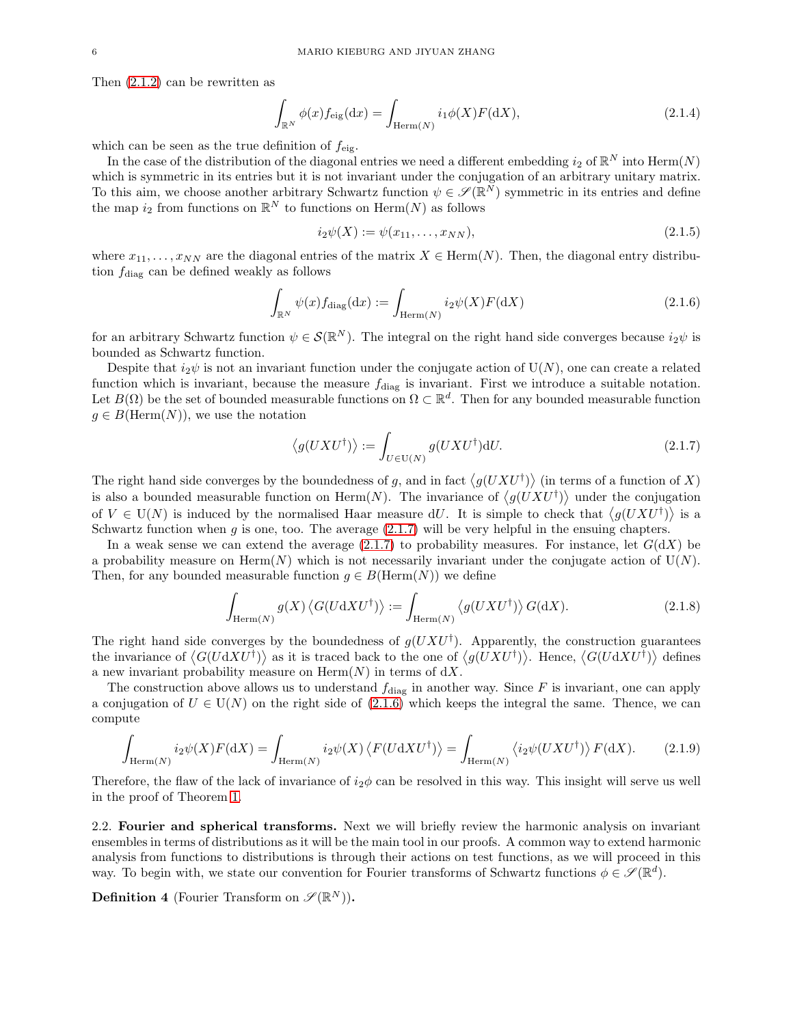Then [\(2.1.2\)](#page-4-2) can be rewritten as

<span id="page-5-5"></span>
$$
\int_{\mathbb{R}^N} \phi(x) f_{\text{eig}}(\text{d}x) = \int_{\text{Herm}(N)} i_1 \phi(X) F(\text{d}X),\tag{2.1.4}
$$

which can be seen as the true definition of  $f_{\text{eig}}$ .

In the case of the distribution of the diagonal entries we need a different embedding  $i_2$  of  $\mathbb{R}^N$  into  $\text{Herm}(N)$ which is symmetric in its entries but it is not invariant under the conjugation of an arbitrary unitary matrix. To this aim, we choose another arbitrary Schwartz function  $\psi \in \mathscr{S}(\mathbb{R}^N)$  symmetric in its entries and define the map  $i_2$  from functions on  $\mathbb{R}^N$  to functions on  $\text{Herm}(N)$  as follows

<span id="page-5-3"></span>
$$
i_2\psi(X) := \psi(x_{11}, \dots, x_{NN}),\tag{2.1.5}
$$

where  $x_{11}, \ldots, x_{NN}$  are the diagonal entries of the matrix  $X \in \text{Herm}(N)$ . Then, the diagonal entry distribution  $f_{\text{diag}}$  can be defined weakly as follows

<span id="page-5-2"></span>
$$
\int_{\mathbb{R}^N} \psi(x) f_{\text{diag}}(\mathrm{d}x) := \int_{\text{Herm}(N)} i_2 \psi(X) F(\mathrm{d}X) \tag{2.1.6}
$$

for an arbitrary Schwartz function  $\psi \in \mathcal{S}(\mathbb{R}^N)$ . The integral on the right hand side converges because  $i_2\psi$  is bounded as Schwartz function.

Despite that  $i_2\psi$  is not an invariant function under the conjugate action of  $U(N)$ , one can create a related function which is invariant, because the measure  $f_{\text{diag}}$  is invariant. First we introduce a suitable notation. Let  $B(\Omega)$  be the set of bounded measurable functions on  $\Omega \subset \mathbb{R}^d$ . Then for any bounded measurable function  $g \in B(\text{Herm}(N)),$  we use the notation

<span id="page-5-1"></span>
$$
\langle g(UXU^{\dagger}) \rangle := \int_{U \in \mathcal{U}(N)} g(UXU^{\dagger}) dU.
$$
 (2.1.7)

The right hand side converges by the boundedness of g, and in fact  $\langle g(UXU^{\dagger}) \rangle$  (in terms of a function of X) is also a bounded measurable function on Herm $(N)$ . The invariance of  $\langle g(UXU^{\dagger}) \rangle$  under the conjugation of  $V \in U(N)$  is induced by the normalised Haar measure dU. It is simple to check that  $\langle g(UXU^{\dagger}) \rangle$  is a Schwartz function when  $g$  is one, too. The average  $(2.1.7)$  will be very helpful in the ensuing chapters.

In a weak sense we can extend the average  $(2.1.7)$  to probability measures. For instance, let  $G(dX)$  be a probability measure on  $\text{Herm}(N)$  which is not necessarily invariant under the conjugate action of  $U(N)$ . Then, for any bounded measurable function  $g \in B(\text{Herm}(N))$  we define

<span id="page-5-6"></span>
$$
\int_{\text{Herm}(N)} g(X) \langle G(U \, \mathrm{d} X U^{\dagger}) \rangle := \int_{\text{Herm}(N)} \langle g(U X U^{\dagger}) \rangle G(\text{d} X). \tag{2.1.8}
$$

The right hand side converges by the boundedness of  $g(UXU^{\dagger})$ . Apparently, the construction guarantees the invariance of  $\langle G(UdXU^{\dagger})\rangle$  as it is traced back to the one of  $\langle g(UXU^{\dagger})\rangle$ . Hence,  $\langle G(UdXU^{\dagger})\rangle$  defines a new invariant probability measure on  $\text{Herm}(N)$  in terms of  $dX$ .

The construction above allows us to understand  $f_{\text{diag}}$  in another way. Since F is invariant, one can apply a conjugation of  $U \in U(N)$  on the right side of [\(2.1.6\)](#page-5-2) which keeps the integral the same. Thence, we can compute

<span id="page-5-4"></span>
$$
\int_{\text{Herm}(N)} i_2 \psi(X) F(\text{d}X) = \int_{\text{Herm}(N)} i_2 \psi(X) \left\langle F(U \text{d}X U^{\dagger}) \right\rangle = \int_{\text{Herm}(N)} \left\langle i_2 \psi(U X U^{\dagger}) \right\rangle F(\text{d}X).
$$
 (2.1.9)

Therefore, the flaw of the lack of invariance of  $i_2\phi$  can be resolved in this way. This insight will serve us well in the proof of Theorem [1.](#page-1-1)

<span id="page-5-0"></span>2.2. Fourier and spherical transforms. Next we will briefly review the harmonic analysis on invariant ensembles in terms of distributions as it will be the main tool in our proofs. A common way to extend harmonic analysis from functions to distributions is through their actions on test functions, as we will proceed in this way. To begin with, we state our convention for Fourier transforms of Schwartz functions  $\phi \in \mathscr{S}(\mathbb{R}^d)$ .

**Definition 4** (Fourier Transform on  $\mathscr{S}(\mathbb{R}^N)$ ).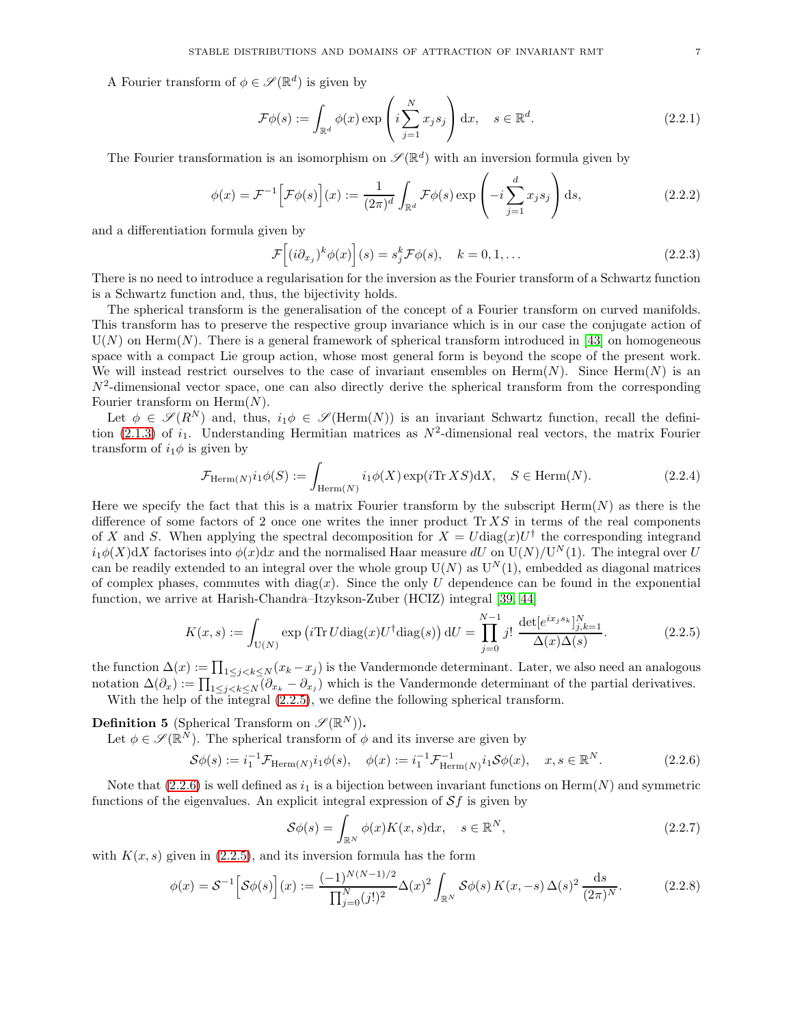A Fourier transform of  $\phi \in \mathscr{S}(\mathbb{R}^d)$  is given by

$$
\mathcal{F}\phi(s) := \int_{\mathbb{R}^d} \phi(x) \exp\left(i \sum_{j=1}^N x_j s_j\right) dx, \quad s \in \mathbb{R}^d.
$$
 (2.2.1)

The Fourier transformation is an isomorphism on  $\mathscr{S}(\mathbb{R}^d)$  with an inversion formula given by

$$
\phi(x) = \mathcal{F}^{-1}\Big[\mathcal{F}\phi(s)\Big](x) := \frac{1}{(2\pi)^d} \int_{\mathbb{R}^d} \mathcal{F}\phi(s) \exp\left(-i \sum_{j=1}^d x_j s_j\right) ds,
$$
\n(2.2.2)

and a differentiation formula given by

<span id="page-6-2"></span>
$$
\mathcal{F}\left[ (i\partial_{x_j})^k \phi(x) \right](s) = s_j^k \mathcal{F}\phi(s), \quad k = 0, 1, \dots \tag{2.2.3}
$$

There is no need to introduce a regularisation for the inversion as the Fourier transform of a Schwartz function is a Schwartz function and, thus, the bijectivity holds.

The spherical transform is the generalisation of the concept of a Fourier transform on curved manifolds. This transform has to preserve the respective group invariance which is in our case the conjugate action of  $U(N)$  on Herm $(N)$ . There is a general framework of spherical transform introduced in [\[43\]](#page-34-20) on homogeneous space with a compact Lie group action, whose most general form is beyond the scope of the present work. We will instead restrict ourselves to the case of invariant ensembles on  $\text{Herm}(N)$ . Since  $\text{Herm}(N)$  is an  $N^2$ -dimensional vector space, one can also directly derive the spherical transform from the corresponding Fourier transform on  $\text{Herm}(N)$ .

Let  $\phi \in \mathscr{S}(R^N)$  and, thus,  $i_1\phi \in \mathscr{S}(\text{Herm}(N))$  is an invariant Schwartz function, recall the defini-tion [\(2.1.3\)](#page-4-3) of  $i_1$ . Understanding Hermitian matrices as  $N^2$ -dimensional real vectors, the matrix Fourier transform of  $i_1\phi$  is given by

$$
\mathcal{F}_{\text{Herm}(N)}i_1\phi(S) := \int_{\text{Herm}(N)} i_1\phi(X) \exp(i \text{Tr } XS) \text{d}X, \quad S \in \text{Herm}(N). \tag{2.2.4}
$$

Here we specify the fact that this is a matrix Fourier transform by the subscript  $\text{Herm}(N)$  as there is the difference of some factors of 2 once one writes the inner product  $\text{Tr} X S$  in terms of the real components of X and S. When applying the spectral decomposition for  $X = U \text{diag}(x) U^{\dagger}$  the corresponding integrand  $i_1\phi(X)dX$  factorises into  $\phi(x)dx$  and the normalised Haar measure dU on  $U(N)/U^N(1)$ . The integral over U can be readily extended to an integral over the whole group  $U(N)$  as  $U^N(1)$ , embedded as diagonal matrices of complex phases, commutes with  $diag(x)$ . Since the only U dependence can be found in the exponential function, we arrive at Harish-Chandra–Itzykson-Zuber (HCIZ) integral [\[39,](#page-34-23) [44\]](#page-34-24)

<span id="page-6-0"></span>
$$
K(x,s) := \int_{U(N)} \exp\left(i\text{Tr } U \text{diag}(x) U^{\dagger} \text{diag}(s)\right) dU = \prod_{j=0}^{N-1} j! \frac{\det[e^{ix_j s_k}]_{j,k=1}^N}{\Delta(x)\Delta(s)}.
$$
 (2.2.5)

the function  $\Delta(x) := \prod_{1 \leq j < k \leq N} (x_k - x_j)$  is the Vandermonde determinant. Later, we also need an analogous notation  $\Delta(\partial_x) := \prod_{1 \leq j < k \leq N} (\partial_{x_k} - \partial_{x_j})$  which is the Vandermonde determinant of the partial derivatives.

With the help of the integral  $(2.2.5)$ , we define the following spherical transform.

**Definition 5** (Spherical Transform on  $\mathscr{S}(\mathbb{R}^{N})$ ).

Let  $\phi \in \mathscr{S}(\mathbb{R}^N)$ . The spherical transform of  $\phi$  and its inverse are given by

<span id="page-6-1"></span>
$$
\mathcal{S}\phi(s) := i_1^{-1} \mathcal{F}_{\text{Herm}(N)} i_1 \phi(s), \quad \phi(x) := i_1^{-1} \mathcal{F}_{\text{Herm}(N)}^{-1} i_1 \mathcal{S}\phi(x), \quad x, s \in \mathbb{R}^N. \tag{2.2.6}
$$

Note that  $(2.2.6)$  is well defined as  $i_1$  is a bijection between invariant functions on Herm $(N)$  and symmetric functions of the eigenvalues. An explicit integral expression of  $Sf$  is given by

$$
\mathcal{S}\phi(s) = \int_{\mathbb{R}^N} \phi(x)K(x,s)\mathrm{d}x, \quad s \in \mathbb{R}^N,\tag{2.2.7}
$$

with  $K(x, s)$  given in [\(2.2.5\)](#page-6-0), and its inversion formula has the form

$$
\phi(x) = S^{-1} \Big[ S\phi(s) \Big] (x) := \frac{(-1)^{N(N-1)/2}}{\prod_{j=0}^N (j!)^2} \Delta(x)^2 \int_{\mathbb{R}^N} S\phi(s) \, K(x, -s) \, \Delta(s)^2 \, \frac{\mathrm{d}s}{(2\pi)^N} . \tag{2.2.8}
$$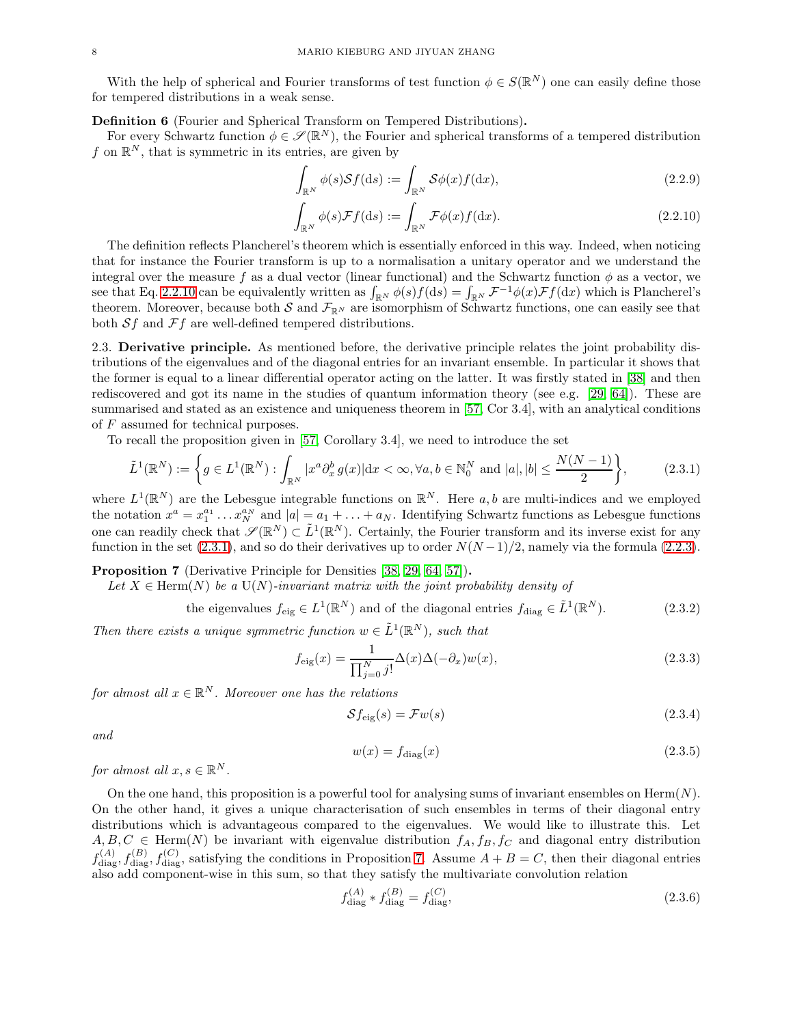With the help of spherical and Fourier transforms of test function  $\phi \in S(\mathbb{R}^N)$  one can easily define those for tempered distributions in a weak sense.

Definition 6 (Fourier and Spherical Transform on Tempered Distributions).

For every Schwartz function  $\phi \in \mathscr{S}(\mathbb{R}^N)$ , the Fourier and spherical transforms of a tempered distribution f on  $\mathbb{R}^N$ , that is symmetric in its entries, are given by

<span id="page-7-7"></span>
$$
\int_{\mathbb{R}^N} \phi(s) \mathcal{S}f(\mathrm{d}s) := \int_{\mathbb{R}^N} \mathcal{S}\phi(x)f(\mathrm{d}x),\tag{2.2.9}
$$

<span id="page-7-2"></span>
$$
\int_{\mathbb{R}^N} \phi(s) \mathcal{F}f(\mathrm{d}s) := \int_{\mathbb{R}^N} \mathcal{F}\phi(x)f(\mathrm{d}x). \tag{2.2.10}
$$

The definition reflects Plancherel's theorem which is essentially enforced in this way. Indeed, when noticing that for instance the Fourier transform is up to a normalisation a unitary operator and we understand the integral over the measure f as a dual vector (linear functional) and the Schwartz function  $\phi$  as a vector, we see that Eq. [2.2.10](#page-7-2) can be equivalently written as  $\int_{\mathbb{R}^N} \phi(s) f(ds) = \int_{\mathbb{R}^N} \mathcal{F}^{-1} \phi(x) \mathcal{F} f(dx)$  which is Plancherel's theorem. Moreover, because both  $S$  and  $\mathcal{F}_{\mathbb{R}^N}$  are isomorphism of Schwartz functions, one can easily see that both  $Sf$  and  $\mathcal{F}f$  are well-defined tempered distributions.

<span id="page-7-0"></span>2.3. Derivative principle. As mentioned before, the derivative principle relates the joint probability distributions of the eigenvalues and of the diagonal entries for an invariant ensemble. In particular it shows that the former is equal to a linear differential operator acting on the latter. It was firstly stated in [\[38\]](#page-34-22) and then rediscovered and got its name in the studies of quantum information theory (see e.g. [\[29,](#page-34-21) [64\]](#page-35-24)). These are summarised and stated as an existence and uniqueness theorem in [\[57,](#page-35-25) Cor 3.4], with an analytical conditions of F assumed for technical purposes.

To recall the proposition given in [\[57,](#page-35-25) Corollary 3.4], we need to introduce the set

<span id="page-7-3"></span>
$$
\tilde{L}^1(\mathbb{R}^N) := \left\{ g \in L^1(\mathbb{R}^N) : \int_{\mathbb{R}^N} |x^a \partial_x^b g(x)| dx < \infty, \forall a, b \in \mathbb{N}_0^N \text{ and } |a|, |b| \le \frac{N(N-1)}{2} \right\},\tag{2.3.1}
$$

where  $L^1(\mathbb{R}^N)$  are the Lebesgue integrable functions on  $\mathbb{R}^N$ . Here a, b are multi-indices and we employed the notation  $x^a = x_1^{a_1} \dots x_N^{a_N}$  and  $|a| = a_1 + \dots + a_N$ . Identifying Schwartz functions as Lebesgue functions one can readily check that  $\mathscr{S}(\mathbb{R}^N) \subset \tilde{L}^1(\mathbb{R}^N)$ . Certainly, the Fourier transform and its inverse exist for any function in the set [\(2.3.1\)](#page-7-3), and so do their derivatives up to order  $N(N-1)/2$ , namely via the formula [\(2.2.3\)](#page-6-2).

<span id="page-7-1"></span>Proposition 7 (Derivative Principle for Densities [\[38,](#page-34-22) [29,](#page-34-21) [64,](#page-35-24) [57\]](#page-35-25)).

Let  $X \in \text{Herm}(N)$  *be a*  $U(N)$ *-invariant matrix with the joint probability density of* 

<span id="page-7-5"></span>the eigenvalues  $f_{\text{eig}} \in L^1(\mathbb{R}^N)$  and of the diagonal entries  $f_{\text{diag}} \in \tilde{L}^1(\mathbb{R}^N)$  $(2.3.2)$ 

*Then there exists a unique symmetric function*  $w \in \tilde{L}^1(\mathbb{R}^N)$ *, such that* 

<span id="page-7-4"></span>
$$
f_{\rm eig}(x) = \frac{1}{\prod_{j=0}^{N} j!} \Delta(x) \Delta(-\partial_x) w(x),\tag{2.3.3}
$$

 $for \ almost \ all \ x \in \mathbb{R}^N$ *. Moreover one has the relations* 

<span id="page-7-6"></span>
$$
Sf_{\rm eig}(s) = \mathcal{F}w(s) \tag{2.3.4}
$$

*and*

$$
w(x) = f_{\text{diag}}(x) \tag{2.3.5}
$$

*for almost all*  $x, s \in \mathbb{R}^N$ .

On the one hand, this proposition is a powerful tool for analysing sums of invariant ensembles on  $\text{Herm}(N)$ . On the other hand, it gives a unique characterisation of such ensembles in terms of their diagonal entry distributions which is advantageous compared to the eigenvalues. We would like to illustrate this. Let  $A, B, C \in \text{Herm}(N)$  be invariant with eigenvalue distribution  $f_A, f_B, f_C$  and diagonal entry distribution  $f_{\text{diag}}^{(A)}, f_{\text{diag}}^{(B)}, f_{\text{diag}}^{(C)}$ , satisfying the conditions in Proposition [7.](#page-7-1) Assume  $A + B = C$ , then their diagonal entries also add component-wise in this sum, so that they satisfy the multivariate convolution relation

$$
f_{\text{diag}}^{(A)} * f_{\text{diag}}^{(B)} = f_{\text{diag}}^{(C)},\tag{2.3.6}
$$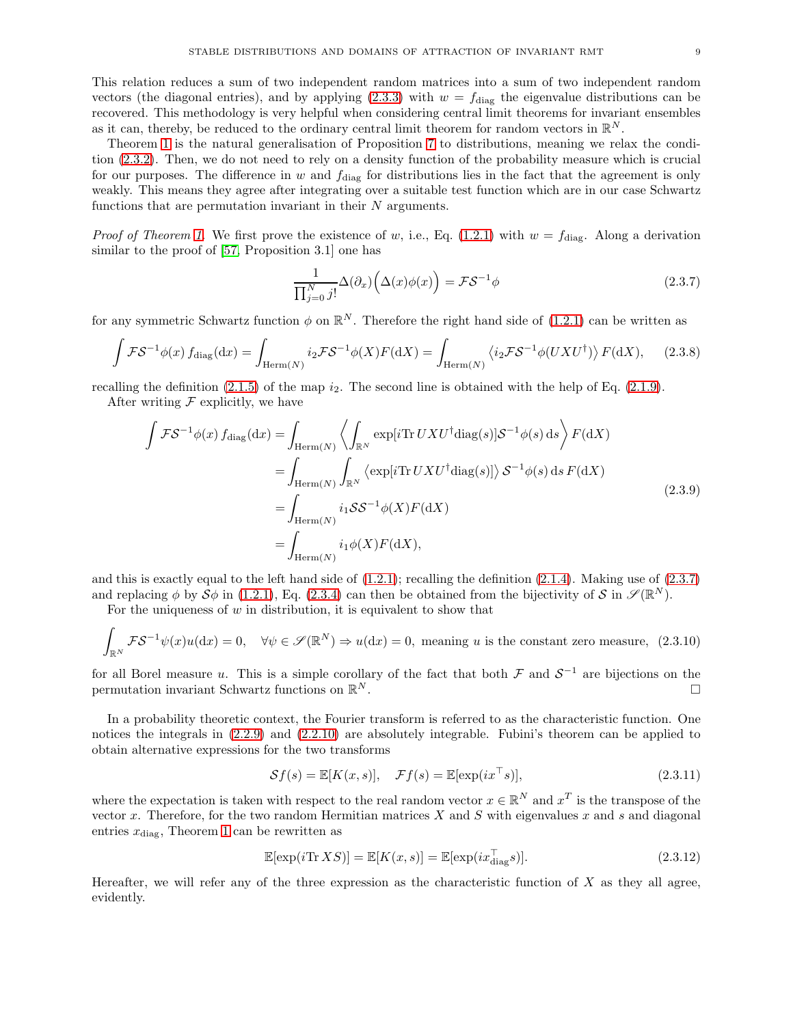This relation reduces a sum of two independent random matrices into a sum of two independent random vectors (the diagonal entries), and by applying [\(2.3.3\)](#page-7-4) with  $w = f_{\text{diag}}$  the eigenvalue distributions can be recovered. This methodology is very helpful when considering central limit theorems for invariant ensembles as it can, thereby, be reduced to the ordinary central limit theorem for random vectors in  $\mathbb{R}^N$ .

Theorem [1](#page-1-1) is the natural generalisation of Proposition [7](#page-7-1) to distributions, meaning we relax the condition [\(2.3.2\)](#page-7-5). Then, we do not need to rely on a density function of the probability measure which is crucial for our purposes. The difference in w and  $f_{\text{diag}}$  for distributions lies in the fact that the agreement is only weakly. This means they agree after integrating over a suitable test function which are in our case Schwartz functions that are permutation invariant in their  $N$  arguments.

*Proof of Theorem [1.](#page-1-1)* We first prove the existence of w, i.e., Eq. [\(1.2.1\)](#page-2-1) with  $w = f_{\text{diag}}$ . Along a derivation similar to the proof of [\[57,](#page-35-25) Proposition 3.1] one has

<span id="page-8-0"></span>
$$
\frac{1}{\prod_{j=0}^{N} j!} \Delta(\partial_x) \Big( \Delta(x) \phi(x) \Big) = \mathcal{F} \mathcal{S}^{-1} \phi \tag{2.3.7}
$$

for any symmetric Schwartz function  $\phi$  on  $\mathbb{R}^N$ . Therefore the right hand side of [\(1.2.1\)](#page-2-1) can be written as

$$
\int \mathcal{F} \mathcal{S}^{-1} \phi(x) f_{\text{diag}}(\text{d}x) = \int_{\text{Herm}(N)} i_2 \mathcal{F} \mathcal{S}^{-1} \phi(X) F(\text{d}X) = \int_{\text{Herm}(N)} \langle i_2 \mathcal{F} \mathcal{S}^{-1} \phi(UXU^{\dagger}) \rangle F(\text{d}X), \quad (2.3.8)
$$

recalling the definition  $(2.1.5)$  of the map  $i_2$ . The second line is obtained with the help of Eq.  $(2.1.9)$ .

After writing  $\mathcal F$  explicitly, we have

$$
\int \mathcal{F} \mathcal{S}^{-1} \phi(x) f_{\text{diag}}(\text{d}x) = \int_{\text{Herm}(N)} \left\langle \int_{\mathbb{R}^N} \exp[i \text{Tr} \, U X U^{\dagger} \text{diag}(s)] \mathcal{S}^{-1} \phi(s) \, \text{d}s \right\rangle F(\text{d}X)
$$
\n
$$
= \int_{\text{Herm}(N)} \int_{\mathbb{R}^N} \left\langle \exp[i \text{Tr} \, U X U^{\dagger} \text{diag}(s)] \right\rangle \mathcal{S}^{-1} \phi(s) \, \text{d}s \, F(\text{d}X)
$$
\n
$$
= \int_{\text{Herm}(N)} i_1 \mathcal{S} \mathcal{S}^{-1} \phi(X) F(\text{d}X)
$$
\n
$$
= \int_{\text{Herm}(N)} i_1 \phi(X) F(\text{d}X), \tag{2.3.9}
$$

and this is exactly equal to the left hand side of  $(1.2.1)$ ; recalling the definition  $(2.1.4)$ . Making use of  $(2.3.7)$ and replacing  $\phi$  by  $\mathcal{S}\phi$  in [\(1.2.1\)](#page-2-1), Eq. [\(2.3.4\)](#page-7-6) can then be obtained from the bijectivity of  $\mathcal{S}$  in  $\mathscr{S}(\mathbb{R}^N)$ .

For the uniqueness of  $w$  in distribution, it is equivalent to show that

$$
\int_{\mathbb{R}^N} \mathcal{F} \mathcal{S}^{-1} \psi(x) u(\mathrm{d}x) = 0, \quad \forall \psi \in \mathcal{S}(\mathbb{R}^N) \Rightarrow u(\mathrm{d}x) = 0, \text{ meaning } u \text{ is the constant zero measure, (2.3.10)}
$$

for all Borel measure u. This is a simple corollary of the fact that both  $\mathcal F$  and  $\mathcal S^{-1}$  are bijections on the permutation invariant Schwartz functions on  $\mathbb{R}^N$ .  $N$  .

In a probability theoretic context, the Fourier transform is referred to as the characteristic function. One notices the integrals in [\(2.2.9\)](#page-7-7) and [\(2.2.10\)](#page-7-2) are absolutely integrable. Fubini's theorem can be applied to obtain alternative expressions for the two transforms

$$
\mathcal{S}f(s) = \mathbb{E}[K(x, s)], \quad \mathcal{F}f(s) = \mathbb{E}[\exp(ix^\top s)],\tag{2.3.11}
$$

where the expectation is taken with respect to the real random vector  $x \in \mathbb{R}^N$  and  $x^T$  is the transpose of the vector x. Therefore, for the two random Hermitian matrices  $X$  and  $S$  with eigenvalues x and s and diagonal entries  $x_{\text{diag}}$ , Theorem [1](#page-1-1) can be rewritten as

$$
\mathbb{E}[\exp(i\text{Tr}\,XS)] = \mathbb{E}[K(x,s)] = \mathbb{E}[\exp(ix_{\text{diag}}^{\top}s)].\tag{2.3.12}
$$

Hereafter, we will refer any of the three expression as the characteristic function of  $X$  as they all agree, evidently.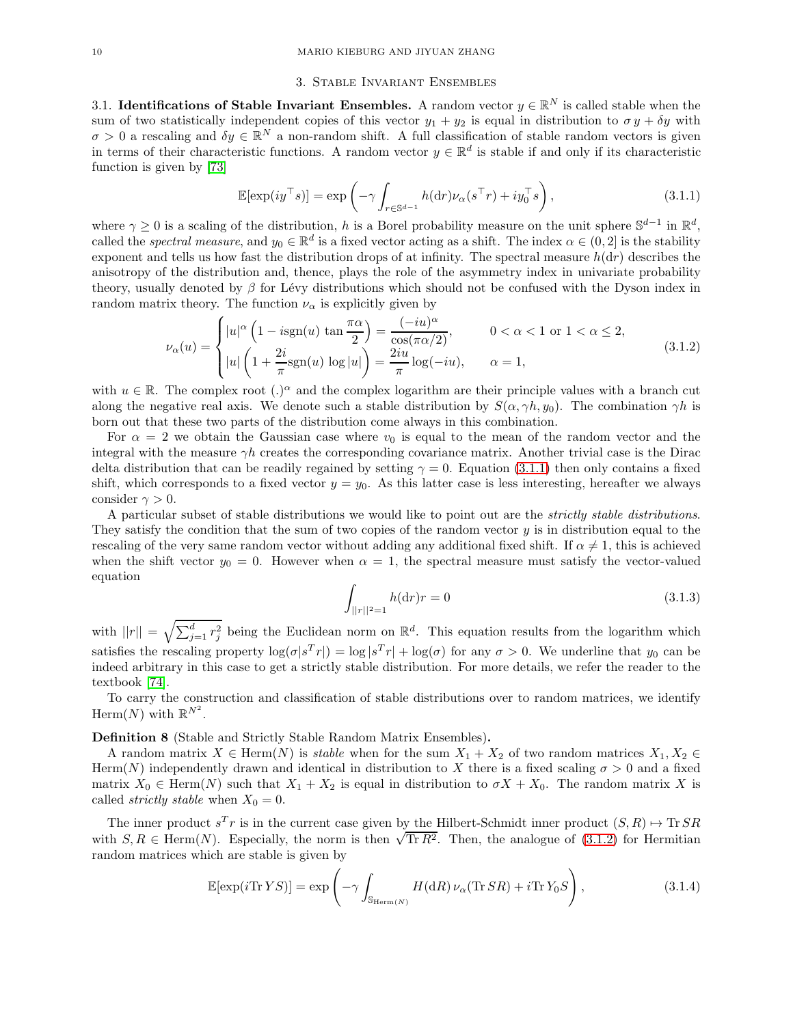#### 3. Stable Invariant Ensembles

<span id="page-9-1"></span><span id="page-9-0"></span>3.1. Identifications of Stable Invariant Ensembles. A random vector  $y \in \mathbb{R}^N$  is called stable when the sum of two statistically independent copies of this vector  $y_1 + y_2$  is equal in distribution to  $\sigma y + \delta y$  with  $\sigma > 0$  a rescaling and  $\delta y \in \mathbb{R}^N$  a non-random shift. A full classification of stable random vectors is given in terms of their characteristic functions. A random vector  $y \in \mathbb{R}^d$  is stable if and only if its characteristic function is given by [\[73\]](#page-35-23)

<span id="page-9-2"></span>
$$
\mathbb{E}[\exp(iy^\top s)] = \exp\left(-\gamma \int_{r \in \mathbb{S}^{d-1}} h(\mathrm{d}r) \nu_\alpha(s^\top r) + i y_0^\top s\right),\tag{3.1.1}
$$

where  $\gamma \geq 0$  is a scaling of the distribution, h is a Borel probability measure on the unit sphere  $\mathbb{S}^{d-1}$  in  $\mathbb{R}^d$ , called the *spectral measure*, and  $y_0 \in \mathbb{R}^d$  is a fixed vector acting as a shift. The index  $\alpha \in (0, 2]$  is the stability exponent and tells us how fast the distribution drops of at infinity. The spectral measure  $h(dr)$  describes the anisotropy of the distribution and, thence, plays the role of the asymmetry index in univariate probability theory, usually denoted by  $\beta$  for Lévy distributions which should not be confused with the Dyson index in random matrix theory. The function  $\nu_{\alpha}$  is explicitly given by

<span id="page-9-3"></span>
$$
\nu_{\alpha}(u) = \begin{cases} |u|^{\alpha} \left( 1 - i \operatorname{sgn}(u) \tan \frac{\pi \alpha}{2} \right) = \frac{(-iu)^{\alpha}}{\cos(\pi \alpha/2)}, & 0 < \alpha < 1 \text{ or } 1 < \alpha \le 2, \\ |u| \left( 1 + \frac{2i}{\pi} \operatorname{sgn}(u) \log |u| \right) = \frac{2iu}{\pi} \log(-iu), & \alpha = 1, \end{cases}
$$
(3.1.2)

with  $u \in \mathbb{R}$ . The complex root  $(.)^{\alpha}$  and the complex logarithm are their principle values with a branch cut along the negative real axis. We denote such a stable distribution by  $S(\alpha, \gamma h, y_0)$ . The combination  $\gamma h$  is born out that these two parts of the distribution come always in this combination.

For  $\alpha = 2$  we obtain the Gaussian case where  $v_0$  is equal to the mean of the random vector and the integral with the measure  $\gamma h$  creates the corresponding covariance matrix. Another trivial case is the Dirac delta distribution that can be readily regained by setting  $\gamma = 0$ . Equation [\(3.1.1\)](#page-9-2) then only contains a fixed shift, which corresponds to a fixed vector  $y = y_0$ . As this latter case is less interesting, hereafter we always consider  $\gamma > 0$ .

A particular subset of stable distributions we would like to point out are the *strictly stable distributions*. They satisfy the condition that the sum of two copies of the random vector  $y$  is in distribution equal to the rescaling of the very same random vector without adding any additional fixed shift. If  $\alpha \neq 1$ , this is achieved when the shift vector  $y_0 = 0$ . However when  $\alpha = 1$ , the spectral measure must satisfy the vector-valued equation

<span id="page-9-5"></span>
$$
\int_{||r||^2=1} h(\mathrm{d}r)r = 0\tag{3.1.3}
$$

with  $||r|| = \sqrt{\sum_{j=1}^d r_j^2}$  being the Euclidean norm on  $\mathbb{R}^d$ . This equation results from the logarithm which satisfies the rescaling property  $\log(\sigma |s^T r|) = \log |s^T r| + \log(\sigma)$  for any  $\sigma > 0$ . We underline that  $y_0$  can be indeed arbitrary in this case to get a strictly stable distribution. For more details, we refer the reader to the textbook [\[74\]](#page-35-22).

To carry the construction and classification of stable distributions over to random matrices, we identify Herm $(N)$  with  $\mathbb{R}^{N^2}$ .

### Definition 8 (Stable and Strictly Stable Random Matrix Ensembles).

A random matrix  $X \in \text{Herm}(N)$  is *stable* when for the sum  $X_1 + X_2$  of two random matrices  $X_1, X_2 \in$ Herm(N) independently drawn and identical in distribution to X there is a fixed scaling  $\sigma > 0$  and a fixed matrix  $X_0 \in \text{Herm}(N)$  such that  $X_1 + X_2$  is equal in distribution to  $\sigma X + X_0$ . The random matrix X is called *strictly stable* when  $X_0 = 0$ .

The inner product  $s^T r$  is in the current case given by the Hilbert-Schmidt inner product  $(S, R) \mapsto \text{Tr} SR$ with  $S, R \in \text{Herm}(N)$ . Especially, the norm is then  $\sqrt{\text{Tr }R^2}$ . Then, the analogue of [\(3.1.2\)](#page-9-3) for Hermitian random matrices which are stable is given by

<span id="page-9-4"></span>
$$
\mathbb{E}[\exp(i\mathrm{Tr}\,YS)] = \exp\left(-\gamma \int_{\mathbb{S}_{\mathrm{Herm}(N)}} H(\mathrm{d}R)\,\nu_{\alpha}(\mathrm{Tr}\,SR) + i\mathrm{Tr}\,Y_0S\right),\tag{3.1.4}
$$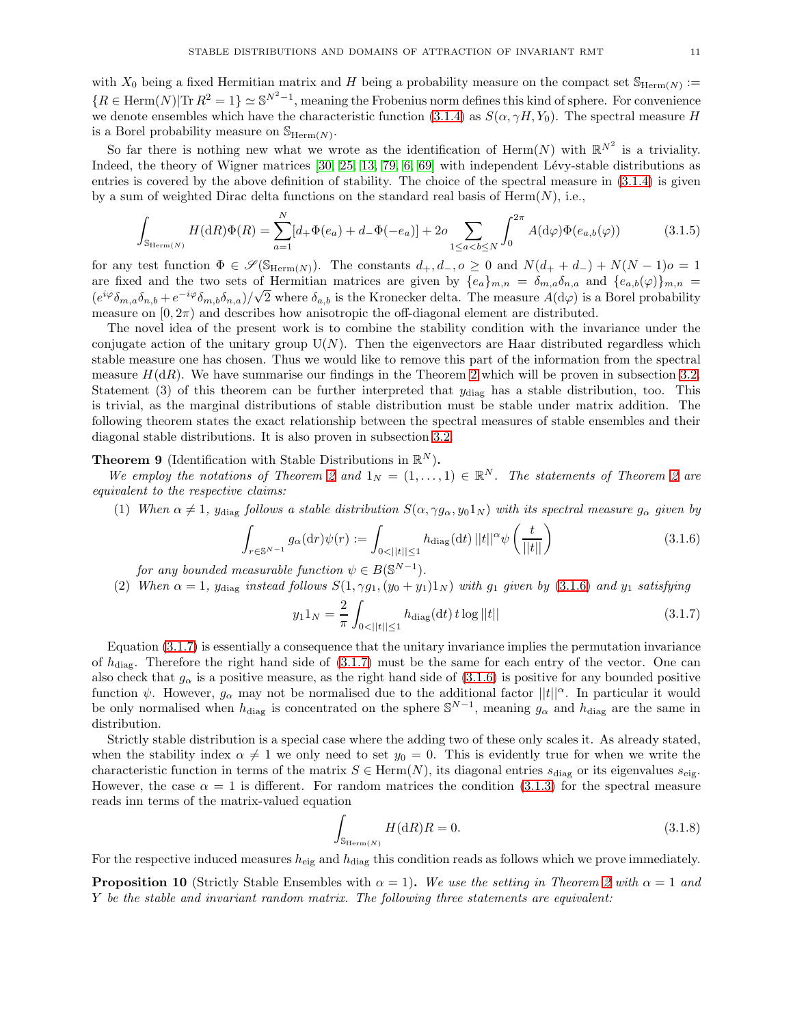with  $X_0$  being a fixed Hermitian matrix and H being a probability measure on the compact set  $\mathbb{S}_{\text{Herm}(N)}$ :  ${R \in \text{Herm}(N)|\text{Tr } R^2 = 1} \simeq \mathbb{S}^{N^2 - 1}$ , meaning the Frobenius norm defines this kind of sphere. For convenience we denote ensembles which have the characteristic function [\(3.1.4\)](#page-9-4) as  $S(\alpha, \gamma H, Y_0)$ . The spectral measure H is a Borel probability measure on  $\mathbb{S}_{\text{Herm}(N)}$ .

So far there is nothing new what we wrote as the identification of Herm $(N)$  with  $\mathbb{R}^{N^2}$  is a triviality. Indeed, the theory of Wigner matrices  $[30, 25, 13, 79, 6, 69]$  $[30, 25, 13, 79, 6, 69]$  $[30, 25, 13, 79, 6, 69]$  $[30, 25, 13, 79, 6, 69]$  $[30, 25, 13, 79, 6, 69]$  $[30, 25, 13, 79, 6, 69]$  with independent Lévy-stable distributions as entries is covered by the above definition of stability. The choice of the spectral measure in [\(3.1.4\)](#page-9-4) is given by a sum of weighted Dirac delta functions on the standard real basis of  $\text{Herm}(N)$ , i.e.,

$$
\int_{\mathbb{S}_{\text{Herm}(N)}} H(\mathrm{d}R)\Phi(R) = \sum_{a=1}^{N} [d_+\Phi(e_a) + d_-\Phi(-e_a)] + 2o \sum_{1 \le a < b \le N} \int_0^{2\pi} A(\mathrm{d}\varphi)\Phi(e_{a,b}(\varphi))
$$
(3.1.5)

for any test function  $\Phi \in \mathscr{S}(\mathbb{S}_{\text{Herm}(N)})$ . The constants  $d_+, d_-, o \geq 0$  and  $N(d_+ + d_-) + N(N - 1)o = 1$ are fixed and the two sets of Hermitian matrices are given by  $\{e_a\}_{m,n} = \delta_{m,a}\delta_{n,a}$  and  $\{e_{a,b}(\varphi)\}_{m,n}$  $(e^{i\varphi}\delta_{m,a}\delta_{n,b}+e^{-i\varphi}\delta_{m,b}\delta_{n,a})/\sqrt{2}$  where  $\delta_{a,b}$  is the Kronecker delta. The measure  $A(\mathrm{d}\varphi)$  is a Borel probability measure on  $[0, 2\pi)$  and describes how anisotropic the off-diagonal element are distributed.

The novel idea of the present work is to combine the stability condition with the invariance under the conjugate action of the unitary group  $U(N)$ . Then the eigenvectors are Haar distributed regardless which stable measure one has chosen. Thus we would like to remove this part of the information from the spectral measure  $H(dR)$ . We have summarise our findings in the Theorem [2](#page-2-0) which will be proven in subsection [3.2.](#page-12-0) Statement (3) of this theorem can be further interpreted that  $y_{\text{diag}}$  has a stable distribution, too. This is trivial, as the marginal distributions of stable distribution must be stable under matrix addition. The following theorem states the exact relationship between the spectral measures of stable ensembles and their diagonal stable distributions. It is also proven in subsection [3.2.](#page-12-0)

# <span id="page-10-4"></span>**Theorem 9** (Identification with Stable Distributions in  $\mathbb{R}^N$ ).

*We employ the notations of Theorem [2](#page-2-0) and*  $1_N = (1, \ldots, 1) \in \mathbb{R}^N$ *. The statements of Theorem 2 are equivalent to the respective claims:*

(1) When  $\alpha \neq 1$ ,  $y_{\text{diag}}$  *follows a stable distribution*  $S(\alpha, \gamma g_{\alpha}, y_0 1_N)$  *with its spectral measure*  $g_{\alpha}$  *given by* 

<span id="page-10-0"></span>
$$
\int_{r \in \mathbb{S}^{N-1}} g_{\alpha}(\mathrm{d}r) \psi(r) := \int_{0 < ||t|| \le 1} h_{\mathrm{diag}}(\mathrm{d}t) \, ||t||^{\alpha} \psi\left(\frac{t}{||t||}\right) \tag{3.1.6}
$$

*for any bounded measurable function*  $\psi \in B(\mathbb{S}^{N-1})$ *.* 

(2) When  $\alpha = 1$ ,  $y_{\text{diag}}$  *instead follows*  $S(1, \gamma g_1, (y_0 + y_1)1_N)$  *with*  $g_1$  *given by* [\(3.1.6\)](#page-10-0) *and*  $y_1$  *satisfying* 

<span id="page-10-1"></span>
$$
y_1 1_N = \frac{2}{\pi} \int_{0 < ||t|| \le 1} h_{\text{diag}}(\text{d}t) \, t \log ||t|| \tag{3.1.7}
$$

Equation [\(3.1.7\)](#page-10-1) is essentially a consequence that the unitary invariance implies the permutation invariance of  $h_{\text{diag}}$ . Therefore the right hand side of  $(3.1.7)$  must be the same for each entry of the vector. One can also check that  $g_{\alpha}$  is a positive measure, as the right hand side of [\(3.1.6\)](#page-10-0) is positive for any bounded positive function  $\psi$ . However,  $g_{\alpha}$  may not be normalised due to the additional factor  $||t||^{\alpha}$ . In particular it would be only normalised when  $h_{\text{diag}}$  is concentrated on the sphere  $\mathbb{S}^{N-1}$ , meaning  $g_{\alpha}$  and  $h_{\text{diag}}$  are the same in distribution.

Strictly stable distribution is a special case where the adding two of these only scales it. As already stated, when the stability index  $\alpha \neq 1$  we only need to set  $y_0 = 0$ . This is evidently true for when we write the characteristic function in terms of the matrix  $S \in \text{Herm}(N)$ , its diagonal entries  $s_{\text{diag}}$  or its eigenvalues  $s_{\text{eig}}$ . However, the case  $\alpha = 1$  is different. For random matrices the condition [\(3.1.3\)](#page-9-5) for the spectral measure reads inn terms of the matrix-valued equation

<span id="page-10-2"></span>
$$
\int_{\mathbb{S}_{\text{Herm}(N)}} H(\mathrm{d}R)R = 0. \tag{3.1.8}
$$

For the respective induced measures  $h_{\text{eig}}$  and  $h_{\text{diag}}$  this condition reads as follows which we prove immediately.

<span id="page-10-3"></span>**Proposition 10** (Strictly Stable Ensembles with  $\alpha = 1$ ). We use the setting in Theorem [2](#page-2-0) with  $\alpha = 1$  and Y *be the stable and invariant random matrix. The following three statements are equivalent:*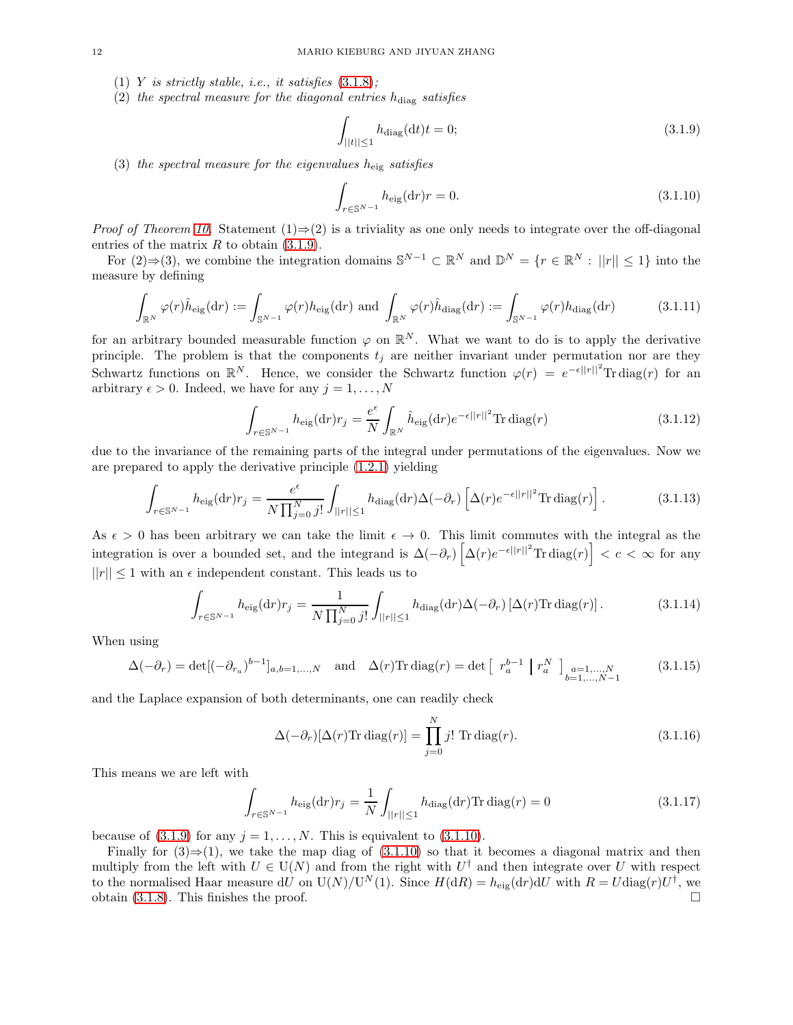- (1) Y *is strictly stable, i.e., it satisfies*  $(3.1.8)$ *;*
- $(2)$  *the spectral measure for the diagonal entries*  $h_{\text{diag}}$  *satisfies*

<span id="page-11-0"></span>
$$
\int_{||t|| \le 1} h_{\text{diag}}(\mathrm{d}t)t = 0; \tag{3.1.9}
$$

(3) *the spectral measure for the eigenvalues* heig *satisfies*

<span id="page-11-1"></span>
$$
\int_{r \in \mathbb{S}^{N-1}} h_{\text{eig}}(\text{d}r)r = 0.
$$
\n(3.1.10)

*Proof of Theorem [10.](#page-10-3)* Statement (1)⇒(2) is a triviality as one only needs to integrate over the off-diagonal entries of the matrix  $R$  to obtain  $(3.1.9)$ .

For  $(2) \Rightarrow (3)$ , we combine the integration domains  $\mathbb{S}^{N-1} \subset \mathbb{R}^N$  and  $\mathbb{D}^N = \{r \in \mathbb{R}^N : ||r|| \leq 1\}$  into the measure by defining

$$
\int_{\mathbb{R}^N} \varphi(r) \hat{h}_{\text{eig}}(\text{d}r) := \int_{\mathbb{S}^{N-1}} \varphi(r) h_{\text{eig}}(\text{d}r) \text{ and } \int_{\mathbb{R}^N} \varphi(r) \hat{h}_{\text{diag}}(\text{d}r) := \int_{\mathbb{S}^{N-1}} \varphi(r) h_{\text{diag}}(\text{d}r) \tag{3.1.11}
$$

for an arbitrary bounded measurable function  $\varphi$  on  $\mathbb{R}^N$ . What we want to do is to apply the derivative principle. The problem is that the components  $t_j$  are neither invariant under permutation nor are they Schwartz functions on  $\mathbb{R}^N$ . Hence, we consider the Schwartz function  $\varphi(r) = e^{-\epsilon||r||^2} \text{Tr } \text{diag}(r)$  for an arbitrary  $\epsilon > 0$ . Indeed, we have for any  $j = 1, \ldots, N$ 

$$
\int_{r \in \mathbb{S}^{N-1}} h_{\text{eig}}(\text{d}r) r_j = \frac{e^{\epsilon}}{N} \int_{\mathbb{R}^N} \hat{h}_{\text{eig}}(\text{d}r) e^{-\epsilon ||r||^2} \text{Tr } \text{diag}(r) \tag{3.1.12}
$$

due to the invariance of the remaining parts of the integral under permutations of the eigenvalues. Now we are prepared to apply the derivative principle [\(1.2.1\)](#page-2-1) yielding

$$
\int_{r \in \mathbb{S}^{N-1}} h_{\text{eig}}(\text{d}r) r_j = \frac{e^{\epsilon}}{N \prod_{j=0}^{N} j!} \int_{||r|| \le 1} h_{\text{diag}}(\text{d}r) \Delta(-\partial_r) \left[ \Delta(r) e^{-\epsilon ||r||^2} \text{Tr } \text{diag}(r) \right]. \tag{3.1.13}
$$

As  $\epsilon > 0$  has been arbitrary we can take the limit  $\epsilon \to 0$ . This limit commutes with the integral as the integration is over a bounded set, and the integrand is  $\Delta(-\partial_r)\left[\Delta(r)e^{-\epsilon||r||^2}\text{Tr}\operatorname{diag}(r)\right] < c < \infty$  for any  $||r|| \leq 1$  with an  $\epsilon$  independent constant. This leads us to

$$
\int_{r \in \mathbb{S}^{N-1}} h_{\text{eig}}(\text{d}r) r_j = \frac{1}{N \prod_{j=0}^N j!} \int_{||r|| \le 1} h_{\text{diag}}(\text{d}r) \Delta(-\partial_r) \left[ \Delta(r) \text{Tr } \text{diag}(r) \right]. \tag{3.1.14}
$$

When using

$$
\Delta(-\partial_r) = \det[(-\partial_{r_a})^{b-1}]_{a,b=1,\dots,N} \quad \text{and} \quad \Delta(r)\text{Tr } \text{diag}(r) = \det \left[ \begin{array}{c} r_a^{b-1} \mid r_a^N \end{array} \right]_{\substack{a=1,\dots,N\\b=1,\dots,N-1}} \tag{3.1.15}
$$

and the Laplace expansion of both determinants, one can readily check

$$
\Delta(-\partial_r)[\Delta(r)\text{Tr diag}(r)] = \prod_{j=0}^{N} j! \text{Tr diag}(r). \qquad (3.1.16)
$$

This means we are left with

$$
\int_{r \in \mathbb{S}^{N-1}} h_{\text{eig}}(\text{d}r) r_j = \frac{1}{N} \int_{||r|| \le 1} h_{\text{diag}}(\text{d}r) \text{Tr } \text{diag}(r) = 0 \tag{3.1.17}
$$

because of  $(3.1.9)$  for any  $j = 1, ..., N$ . This is equivalent to  $(3.1.10)$ .

Finally for  $(3) \Rightarrow (1)$ , we take the map diag of  $(3.1.10)$  so that it becomes a diagonal matrix and then multiply from the left with  $U \in U(N)$  and from the right with  $U^{\dagger}$  and then integrate over U with respect to the normalised Haar measure dU on  $U(N)/U^N(1)$ . Since  $H(dR) = h_{\text{eig}}(dr) dU$  with  $R = U \text{diag}(r) U^{\dagger}$ , we obtain [\(3.1.8\)](#page-10-2). This finishes the proof.  $\square$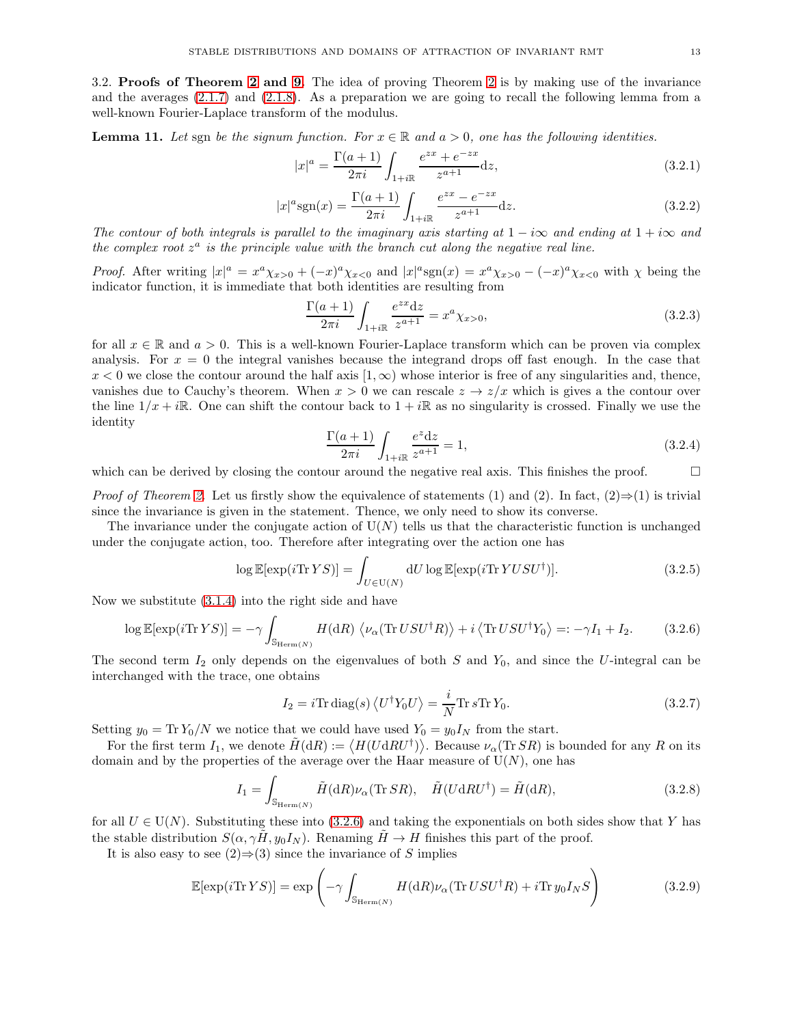<span id="page-12-0"></span>3.2. Proofs of Theorem [2](#page-2-0) and [9.](#page-10-4) The idea of proving Theorem [2](#page-2-0) is by making use of the invariance and the averages [\(2.1.7\)](#page-5-1) and [\(2.1.8\)](#page-5-6). As a preparation we are going to recall the following lemma from a well-known Fourier-Laplace transform of the modulus.

<span id="page-12-3"></span>**Lemma 11.** Let sgn be the signum function. For  $x \in \mathbb{R}$  and  $a > 0$ , one has the following identities.

<span id="page-12-4"></span>
$$
|x|^a = \frac{\Gamma(a+1)}{2\pi i} \int_{1+i\mathbb{R}} \frac{e^{zx} + e^{-zx}}{z^{a+1}} dz,
$$
\n(3.2.1)

<span id="page-12-5"></span>
$$
|x|^a \text{sgn}(x) = \frac{\Gamma(a+1)}{2\pi i} \int_{1+i\mathbb{R}} \frac{e^{zx} - e^{-zx}}{z^{a+1}} \, \mathrm{d}z. \tag{3.2.2}
$$

*The contour of both integrals is parallel to the imaginary axis starting at*  $1 - i\infty$  *and ending at*  $1 + i\infty$  *and* the complex root  $z^a$  is the principle value with the branch cut along the negative real line.

*Proof.* After writing  $|x|^a = x^a \chi_{x>0} + (-x)^a \chi_{x<0}$  and  $|x|^a \text{sgn}(x) = x^a \chi_{x>0} - (-x)^a \chi_{x<0}$  with  $\chi$  being the indicator function, it is immediate that both identities are resulting from

<span id="page-12-6"></span>
$$
\frac{\Gamma(a+1)}{2\pi i} \int_{1+i\mathbb{R}} \frac{e^{zx} dz}{z^{a+1}} = x^a \chi_{x>0},\tag{3.2.3}
$$

for all  $x \in \mathbb{R}$  and  $a > 0$ . This is a well-known Fourier-Laplace transform which can be proven via complex analysis. For  $x = 0$  the integral vanishes because the integrand drops off fast enough. In the case that  $x < 0$  we close the contour around the half axis  $(1, \infty)$  whose interior is free of any singularities and, thence, vanishes due to Cauchy's theorem. When  $x > 0$  we can rescale  $z \to z/x$  which is gives a the contour over the line  $1/x + i\mathbb{R}$ . One can shift the contour back to  $1 + i\mathbb{R}$  as no singularity is crossed. Finally we use the identity

$$
\frac{\Gamma(a+1)}{2\pi i} \int_{1+i\mathbb{R}} \frac{e^z \mathrm{d}z}{z^{a+1}} = 1, \tag{3.2.4}
$$

which can be derived by closing the contour around the negative real axis. This finishes the proof.  $\Box$ 

*Proof of Theorem [2.](#page-2-0)* Let us firstly show the equivalence of statements (1) and (2). In fact,  $(2) \Rightarrow (1)$  is trivial since the invariance is given in the statement. Thence, we only need to show its converse.

The invariance under the conjugate action of  $U(N)$  tells us that the characteristic function is unchanged under the conjugate action, too. Therefore after integrating over the action one has

$$
\log \mathbb{E}[\exp(i \text{Tr } YS)] = \int_{U \in \mathcal{U}(N)} dU \log \mathbb{E}[\exp(i \text{Tr } YUSU^{\dagger})]. \tag{3.2.5}
$$

Now we substitute [\(3.1.4\)](#page-9-4) into the right side and have

<span id="page-12-1"></span>
$$
\log \mathbb{E}[\exp(i \text{Tr } YS)] = -\gamma \int_{\mathbb{S}_{\text{Herm}(N)}} H(\text{d}R) \left\langle \nu_{\alpha}(\text{Tr } U S U^{\dagger} R) \right\rangle + i \left\langle \text{Tr } U S U^{\dagger} Y_0 \right\rangle =: -\gamma I_1 + I_2. \tag{3.2.6}
$$

The second term  $I_2$  only depends on the eigenvalues of both S and  $Y_0$ , and since the U-integral can be interchanged with the trace, one obtains

$$
I_2 = i\text{Tr diag}(s) \left\langle U^{\dagger} Y_0 U \right\rangle = \frac{i}{N} \text{Tr } s \text{Tr } Y_0.
$$
 (3.2.7)

Setting  $y_0 = \text{Tr} Y_0/N$  we notice that we could have used  $Y_0 = y_0 I_N$  from the start.

For the first term  $I_1$ , we denote  $\tilde{H}(\mathrm{d}R) := \langle H(U\mathrm{d}RU^{\dagger})\rangle$ . Because  $\nu_{\alpha}(\text{Tr} SR)$  is bounded for any R on its domain and by the properties of the average over the Haar measure of  $U(N)$ , one has

$$
I_1 = \int_{\mathbb{S}_{\text{Herm}(N)}} \tilde{H}(\mathrm{d}R) \nu_\alpha(\text{Tr} SR), \quad \tilde{H}(U \mathrm{d}RU^\dagger) = \tilde{H}(\mathrm{d}R), \tag{3.2.8}
$$

for all  $U \in U(N)$ . Substituting these into [\(3.2.6\)](#page-12-1) and taking the exponentials on both sides show that Y has the stable distribution  $S(\alpha, \gamma \tilde{H}, y_0 I_N)$ . Renaming  $\tilde{H} \to H$  finishes this part of the proof.

It is also easy to see  $(2) \Rightarrow (3)$  since the invariance of S implies

<span id="page-12-2"></span>
$$
\mathbb{E}[\exp(i\text{Tr}\,YS)] = \exp\left(-\gamma \int_{\mathbb{S}_{\text{Herm}(N)}} H(\text{d}R)\nu_{\alpha}(\text{Tr}\,U S U^{\dagger}R) + i\text{Tr}\,y_0 I_N S\right) \tag{3.2.9}
$$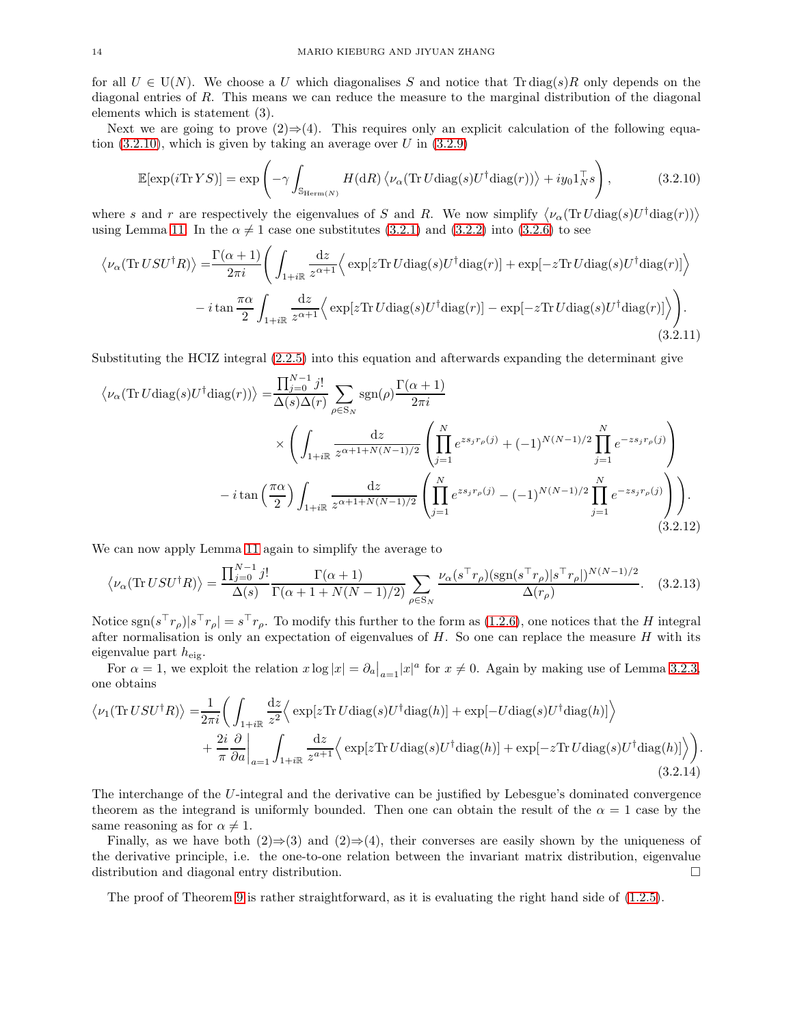for all  $U \in U(N)$ . We choose a U which diagonalises S and notice that Tr diag(s)R only depends on the diagonal entries of R. This means we can reduce the measure to the marginal distribution of the diagonal elements which is statement (3).

Next we are going to prove  $(2) \Rightarrow (4)$ . This requires only an explicit calculation of the following equation  $(3.2.10)$ , which is given by taking an average over U in  $(3.2.9)$ 

<span id="page-13-0"></span>
$$
\mathbb{E}[\exp(i\mathrm{Tr}\,YS)] = \exp\left(-\gamma \int_{\mathbb{S}_{\mathrm{Herm}(N)}} H(\mathrm{d}R) \left\langle \nu_{\alpha}(\mathrm{Tr}\,U\mathrm{diag}(s)U^{\dagger}\mathrm{diag}(r))\right\rangle + iy_0 1_N^{\top} s\right),\tag{3.2.10}
$$

where s and r are respectively the eigenvalues of S and R. We now simplify  $\langle \nu_\alpha(TrU \text{diag}(s)U^\dagger \text{diag}(r)) \rangle$ using Lemma [11.](#page-12-3) In the  $\alpha \neq 1$  case one substitutes [\(3.2.1\)](#page-12-4) and [\(3.2.2\)](#page-12-5) into [\(3.2.6\)](#page-12-1) to see

$$
\langle \nu_{\alpha}(\text{Tr } U S U^{\dagger} R) \rangle = \frac{\Gamma(\alpha + 1)}{2\pi i} \Bigg( \int_{1 + i\mathbb{R}} \frac{dz}{z^{\alpha + 1}} \Big\langle \exp[z \text{Tr } U \text{diag}(s) U^{\dagger} \text{diag}(r)] + \exp[-z \text{Tr } U \text{diag}(s) U^{\dagger} \text{diag}(r)] \Big\rangle - i \tan \frac{\pi \alpha}{2} \int_{1 + i\mathbb{R}} \frac{dz}{z^{\alpha + 1}} \Big\langle \exp[z \text{Tr } U \text{diag}(s) U^{\dagger} \text{diag}(r)] - \exp[-z \text{Tr } U \text{diag}(s) U^{\dagger} \text{diag}(r)] \Big\rangle \Bigg). \tag{3.2.11}
$$

Substituting the HCIZ integral [\(2.2.5\)](#page-6-0) into this equation and afterwards expanding the determinant give

$$
\langle \nu_{\alpha}(\text{Tr } U \text{diag}(s) U^{\dagger} \text{diag}(r)) \rangle = \frac{\prod_{j=0}^{N-1} j!}{\Delta(s)\Delta(r)} \sum_{\rho \in S_{N}} \text{sgn}(\rho) \frac{\Gamma(\alpha+1)}{2\pi i} \times \left( \int_{1+i\mathbb{R}} \frac{dz}{z^{\alpha+1+N(N-1)/2}} \left( \prod_{j=1}^{N} e^{zs_{j}r_{\rho}(j)} + (-1)^{N(N-1)/2} \prod_{j=1}^{N} e^{-zs_{j}r_{\rho}(j)} \right) \right)
$$

$$
- i \tan\left(\frac{\pi \alpha}{2}\right) \int_{1+i\mathbb{R}} \frac{dz}{z^{\alpha+1+N(N-1)/2}} \left( \prod_{j=1}^{N} e^{zs_{j}r_{\rho}(j)} - (-1)^{N(N-1)/2} \prod_{j=1}^{N} e^{-zs_{j}r_{\rho}(j)} \right) \right). \tag{3.2.12}
$$

We can now apply Lemma [11](#page-12-3) again to simplify the average to

$$
\langle \nu_{\alpha}(\text{Tr } USU^{\dagger}R) \rangle = \frac{\prod_{j=0}^{N-1} j!}{\Delta(s)} \frac{\Gamma(\alpha+1)}{\Gamma(\alpha+1+N(N-1)/2)} \sum_{\rho \in S_N} \frac{\nu_{\alpha}(s^{\top}r_{\rho})(\text{sgn}(s^{\top}r_{\rho})|s^{\top}r_{\rho}|)^{N(N-1)/2}}{\Delta(r_{\rho})}.
$$
 (3.2.13)

Notice  $sgn(s<sup>+</sup>r<sub>\rho</sub>)|s<sup>+</sup>r<sub>\rho</sub>| = s<sup>+</sup>r<sub>\rho</sub>$ . To modify this further to the form as [\(1.2.6\)](#page-2-2), one notices that the H integral after normalisation is only an expectation of eigenvalues of  $H$ . So one can replace the measure  $H$  with its eigenvalue part  $h_{\text{eig}}$ .

For  $\alpha = 1$ , we exploit the relation  $x \log |x| = \partial_{a}|_{a=1}|x|^{a}$  for  $x \neq 0$ . Again by making use of Lemma [3.2.3,](#page-12-6) one obtains

$$
\langle \nu_1(\text{Tr } U S U^{\dagger} R) \rangle = \frac{1}{2\pi i} \left( \int_{1+i\mathbb{R}} \frac{dz}{z^2} \Big\langle \exp[z \text{Tr } U \text{diag}(s) U^{\dagger} \text{diag}(h)] + \exp[-U \text{diag}(s) U^{\dagger} \text{diag}(h)] \Big\rangle \right. \\
\left. + \frac{2i}{\pi} \frac{\partial}{\partial a} \Big|_{a=1} \int_{1+i\mathbb{R}} \frac{dz}{z^{a+1}} \Big\langle \exp[z \text{Tr } U \text{diag}(s) U^{\dagger} \text{diag}(h)] + \exp[-z \text{Tr } U \text{diag}(s) U^{\dagger} \text{diag}(h)] \Big\rangle \right).
$$
\n(3.2.14)

The interchange of the U-integral and the derivative can be justified by Lebesgue's dominated convergence theorem as the integrand is uniformly bounded. Then one can obtain the result of the  $\alpha = 1$  case by the same reasoning as for  $\alpha \neq 1$ .

Finally, as we have both  $(2) \Rightarrow (3)$  and  $(2) \Rightarrow (4)$ , their converses are easily shown by the uniqueness of the derivative principle, i.e. the one-to-one relation between the invariant matrix distribution, eigenvalue distribution and diagonal entry distribution.

The proof of Theorem [9](#page-10-4) is rather straightforward, as it is evaluating the right hand side of [\(1.2.5\)](#page-2-3).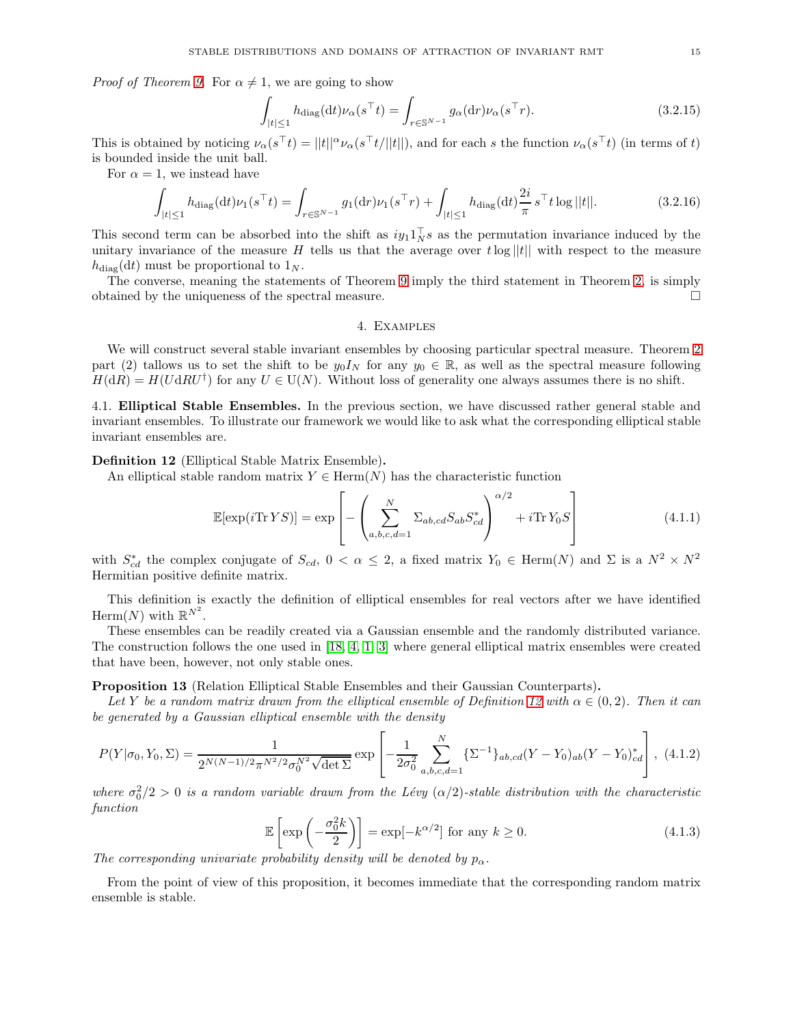*Proof of Theorem [9.](#page-10-4)* For  $\alpha \neq 1$ , we are going to show

$$
\int_{|t| \le 1} h_{\text{diag}}(\mathrm{d}t) \nu_{\alpha}(s^{\top}t) = \int_{r \in \mathbb{S}^{N-1}} g_{\alpha}(\mathrm{d}r) \nu_{\alpha}(s^{\top}r). \tag{3.2.15}
$$

This is obtained by noticing  $\nu_{\alpha}(s^{\top}t) = ||t||^{\alpha} \nu_{\alpha}(s^{\top}t/||t||)$ , and for each s the function  $\nu_{\alpha}(s^{\top}t)$  (in terms of t) is bounded inside the unit ball.

For  $\alpha = 1$ , we instead have

$$
\int_{|t| \le 1} h_{\text{diag}}(\mathrm{d}t) \nu_1(s^\top t) = \int_{r \in \mathbb{S}^{N-1}} g_1(\mathrm{d}r) \nu_1(s^\top r) + \int_{|t| \le 1} h_{\text{diag}}(\mathrm{d}t) \frac{2i}{\pi} s^\top t \log ||t||. \tag{3.2.16}
$$

This second term can be absorbed into the shift as  $iy_1 1_N^{\dagger} s$  as the permutation invariance induced by the unitary invariance of the measure H tells us that the average over  $t \log ||t||$  with respect to the measure  $h_{\text{diag}}(\text{d}t)$  must be proportional to  $1_N$ .

<span id="page-14-0"></span>The converse, meaning the statements of Theorem [9](#page-10-4) imply the third statement in Theorem [2,](#page-2-0) is simply obtained by the uniqueness of the spectral measure.

### 4. Examples

We will construct several stable invariant ensembles by choosing particular spectral measure. Theorem [2](#page-2-0) part (2) tallows us to set the shift to be  $y_0I_N$  for any  $y_0 \in \mathbb{R}$ , as well as the spectral measure following  $H(dR) = H(UdRU^{\dagger})$  for any  $U \in U(N)$ . Without loss of generality one always assumes there is no shift.

<span id="page-14-1"></span>4.1. Elliptical Stable Ensembles. In the previous section, we have discussed rather general stable and invariant ensembles. To illustrate our framework we would like to ask what the corresponding elliptical stable invariant ensembles are.

<span id="page-14-2"></span>Definition 12 (Elliptical Stable Matrix Ensemble).

An elliptical stable random matrix  $Y \in \text{Herm}(N)$  has the characteristic function

<span id="page-14-4"></span>
$$
\mathbb{E}[\exp(i\mathrm{Tr}\,YS)] = \exp\left[-\left(\sum_{a,b,c,d=1}^{N} \Sigma_{ab,cd} S_{ab} S_{cd}^*\right)^{\alpha/2} + i\mathrm{Tr}\,Y_0 S\right]
$$
(4.1.1)

with  $S_{cd}^*$  the complex conjugate of  $S_{cd}$ ,  $0 < \alpha \leq 2$ , a fixed matrix  $Y_0 \in \text{Herm}(N)$  and  $\Sigma$  is a  $N^2 \times N^2$ Hermitian positive definite matrix.

This definition is exactly the definition of elliptical ensembles for real vectors after we have identified Herm $(N)$  with  $\mathbb{R}^{N^2}$ .

These ensembles can be readily created via a Gaussian ensemble and the randomly distributed variance. The construction follows the one used in [\[18,](#page-34-0) [4,](#page-33-9) [1,](#page-33-10) [3\]](#page-33-1) where general elliptical matrix ensembles were created that have been, however, not only stable ones.

<span id="page-14-6"></span>Proposition 13 (Relation Elliptical Stable Ensembles and their Gaussian Counterparts).

Let Y be a random matrix drawn from the elliptical ensemble of Definition [12](#page-14-2) with  $\alpha \in (0, 2)$ . Then it can *be generated by a Gaussian elliptical ensemble with the density*

<span id="page-14-5"></span>
$$
P(Y|\sigma_0, Y_0, \Sigma) = \frac{1}{2^{N(N-1)/2}\pi^{N^2/2}\sigma_0^{N^2}\sqrt{\det \Sigma}} \exp\left[-\frac{1}{2\sigma_0^2} \sum_{a,b,c,d=1}^N \{\Sigma^{-1}\}_{ab,cd} (Y - Y_0)_{ab} (Y - Y_0)_{cd}^*\right], \tag{4.1.2}
$$

where  $\sigma_0^2/2 > 0$  *is a random variable drawn from the Lévy* ( $\alpha/2$ )-stable distribution with the characteristic *function*

<span id="page-14-3"></span>
$$
\mathbb{E}\left[\exp\left(-\frac{\sigma_0^2 k}{2}\right)\right] = \exp[-k^{\alpha/2}] \text{ for any } k \ge 0.
$$
 (4.1.3)

*The corresponding univariate probability density will be denoted by*  $p_{\alpha}$ .

From the point of view of this proposition, it becomes immediate that the corresponding random matrix ensemble is stable.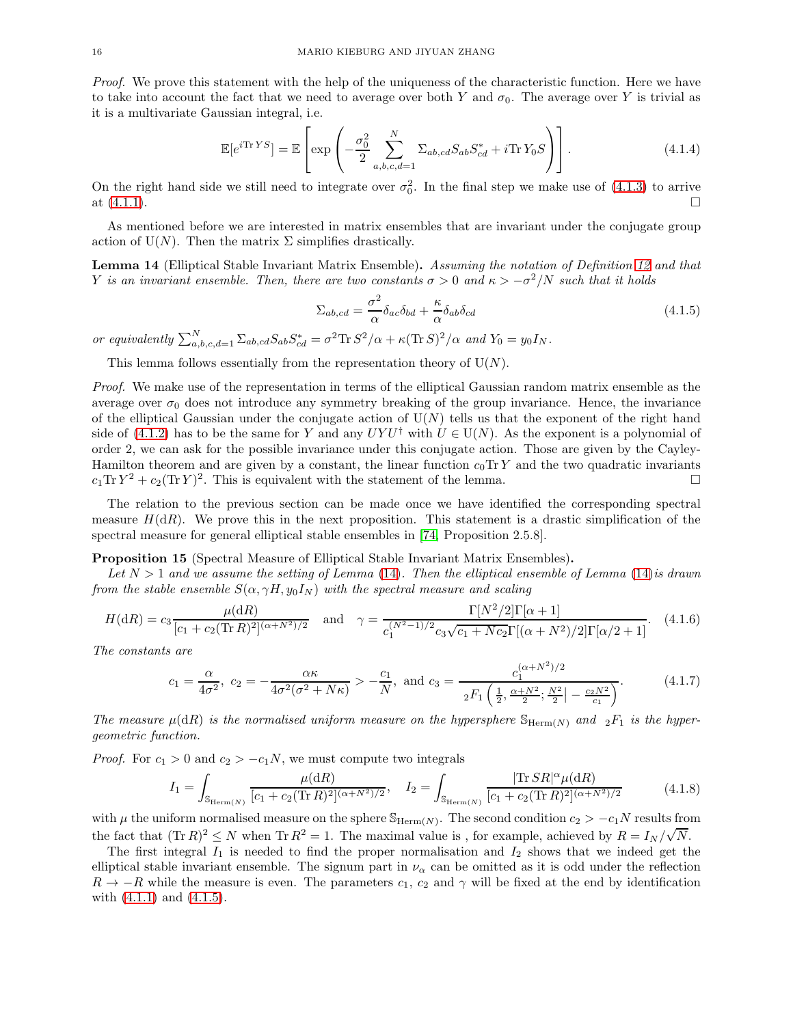*Proof.* We prove this statement with the help of the uniqueness of the characteristic function. Here we have to take into account the fact that we need to average over both Y and  $\sigma_0$ . The average over Y is trivial as it is a multivariate Gaussian integral, i.e.

$$
\mathbb{E}[e^{i\text{Tr }YS}] = \mathbb{E}\left[\exp\left(-\frac{\sigma_0^2}{2}\sum_{a,b,c,d=1}^N \Sigma_{ab,cd} S_{ab} S_{cd}^* + i\text{Tr } Y_0 S\right)\right].
$$
\n(4.1.4)

On the right hand side we still need to integrate over  $\sigma_0^2$ . In the final step we make use of [\(4.1.3\)](#page-14-3) to arrive at  $(4.1.1)$ .

As mentioned before we are interested in matrix ensembles that are invariant under the conjugate group action of  $U(N)$ . Then the matrix  $\Sigma$  simplifies drastically.

<span id="page-15-0"></span>Lemma 14 (Elliptical Stable Invariant Matrix Ensemble). *Assuming the notation of Definition [12](#page-14-2) and that* Y *is an invariant ensemble. Then, there are two constants*  $\sigma > 0$  *and*  $\kappa > -\sigma^2/N$  *such that it holds* 

<span id="page-15-1"></span>
$$
\Sigma_{ab,cd} = \frac{\sigma^2}{\alpha} \delta_{ac} \delta_{bd} + \frac{\kappa}{\alpha} \delta_{ab} \delta_{cd} \tag{4.1.5}
$$

*or equivalently*  $\sum_{a,b,c,d=1}^{N} \sum_{ab,cd} S_{ab} S_{cd}^* = \sigma^2 \text{Tr} S^2 / \alpha + \kappa (\text{Tr} S)^2 / \alpha$  and  $Y_0 = y_0 I_N$ .

This lemma follows essentially from the representation theory of  $U(N)$ .

*Proof.* We make use of the representation in terms of the elliptical Gaussian random matrix ensemble as the average over  $\sigma_0$  does not introduce any symmetry breaking of the group invariance. Hence, the invariance of the elliptical Gaussian under the conjugate action of  $U(N)$  tells us that the exponent of the right hand side of [\(4.1.2\)](#page-14-5) has to be the same for Y and any  $UYU^{\dagger}$  with  $U \in U(N)$ . As the exponent is a polynomial of order 2, we can ask for the possible invariance under this conjugate action. Those are given by the Cayley-Hamilton theorem and are given by a constant, the linear function  $c_0$ Tr Y and the two quadratic invariants  $c_1 \text{Tr} Y^2 + c_2 (\text{Tr} Y)^2$ . This is equivalent with the statement of the lemma.

The relation to the previous section can be made once we have identified the corresponding spectral measure  $H(dR)$ . We prove this in the next proposition. This statement is a drastic simplification of the spectral measure for general elliptical stable ensembles in [\[74,](#page-35-22) Proposition 2.5.8].

## <span id="page-15-2"></span>Proposition 15 (Spectral Measure of Elliptical Stable Invariant Matrix Ensembles).

*Let* N > 1 *and we assume the setting of Lemma* [\(14\)](#page-15-0)*. Then the elliptical ensemble of Lemma* [\(14\)](#page-15-0)*is drawn from the stable ensemble*  $S(\alpha, \gamma H, y_0 I_N)$  *with the spectral measure and scaling* 

<span id="page-15-3"></span>
$$
H(\mathrm{d}R) = c_3 \frac{\mu(\mathrm{d}R)}{[c_1 + c_2(\mathrm{Tr}\,R)^2]^{(\alpha + N^2)/2}} \quad \text{and} \quad \gamma = \frac{\Gamma[N^2/2]\Gamma[\alpha + 1]}{c_1^{(N^2 - 1)/2}c_3\sqrt{c_1 + Nc_2}\Gamma[(\alpha + N^2)/2]\Gamma[\alpha/2 + 1]}.
$$
(4.1.6)

*The constants are*

$$
c_1 = \frac{\alpha}{4\sigma^2}, \ c_2 = -\frac{\alpha \kappa}{4\sigma^2 (\sigma^2 + N\kappa)} > -\frac{c_1}{N}, \text{ and } c_3 = \frac{c_1^{(\alpha + N^2)/2}}{2F_1 \left(\frac{1}{2}, \frac{\alpha + N^2}{2}; \frac{N^2}{2}\right) - \frac{c_2 N^2}{c_1}\right)}.
$$
(4.1.7)

*The measure*  $\mu(dR)$  *is the normalised uniform measure on the hypersphere*  $\mathbb{S}_{\text{Herm}(N)}$  *and*  ${}_2F_1$  *is the hypergeometric function.*

*Proof.* For  $c_1 > 0$  and  $c_2 > -c_1N$ , we must compute two integrals

$$
I_1 = \int_{\mathbb{S}_{\text{Herm}(N)}} \frac{\mu(\mathrm{d}R)}{[c_1 + c_2(\text{Tr}\,R)^2]^{(\alpha + N^2)/2}}, \quad I_2 = \int_{\mathbb{S}_{\text{Herm}(N)}} \frac{|\text{Tr}\,SR|^{\alpha} \mu(\mathrm{d}R)}{[c_1 + c_2(\text{Tr}\,R)^2]^{(\alpha + N^2)/2}} \tag{4.1.8}
$$

with  $\mu$  the uniform normalised measure on the sphere  $\mathbb{S}_{\text{Herm}(N)}$ . The second condition  $c_2 > -c_1N$  results from the fact that  $(\text{Tr } R)^2 \leq N$  when  $\text{Tr } R^2 = 1$ . The maximal value is, for example, achieved by  $R = I_N/\sqrt{N}$ .

The first integral  $I_1$  is needed to find the proper normalisation and  $I_2$  shows that we indeed get the elliptical stable invariant ensemble. The signum part in  $\nu_{\alpha}$  can be omitted as it is odd under the reflection  $R \to -R$  while the measure is even. The parameters  $c_1, c_2$  and  $\gamma$  will be fixed at the end by identification with  $(4.1.1)$  and  $(4.1.5)$ .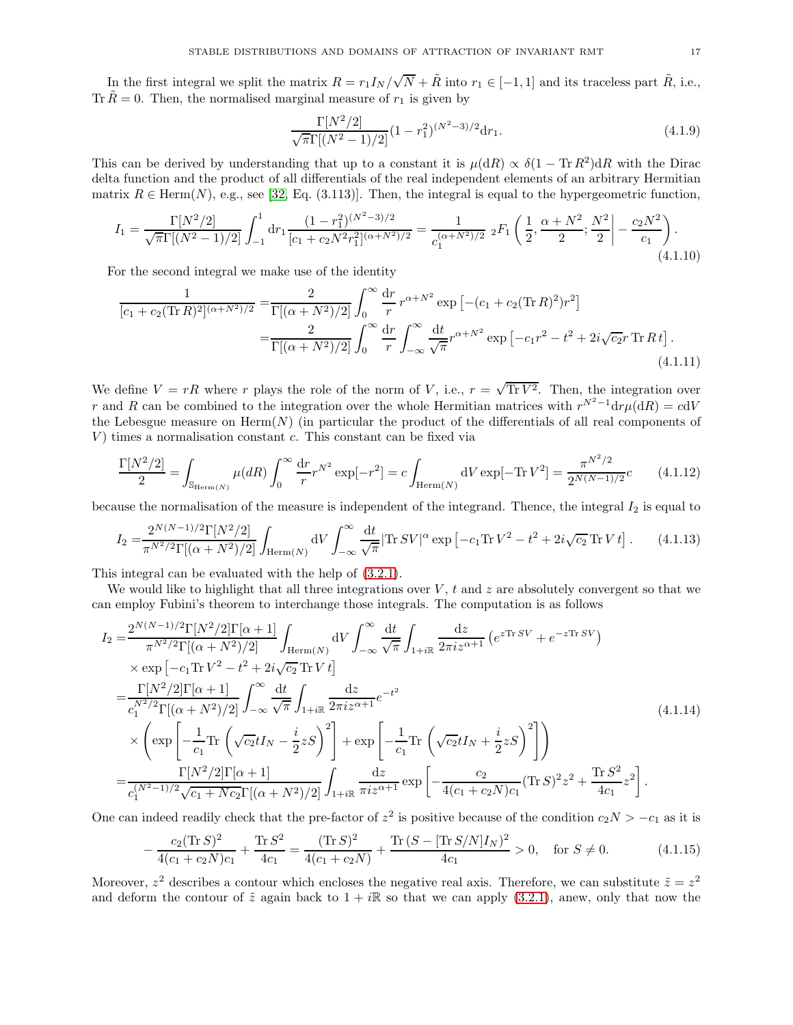In the first integral we split the matrix  $R = r_1 I_N / \sqrt{N} + \tilde{R}$  into  $r_1 \in [-1, 1]$  and its traceless part  $\tilde{R}$ , i.e., Tr  $\tilde{R} = 0$ . Then, the normalised marginal measure of  $r_1$  is given by

$$
\frac{\Gamma[N^2/2]}{\sqrt{\pi}\Gamma[(N^2-1)/2]}(1-r_1^2)^{(N^2-3)/2}dr_1.
$$
\n(4.1.9)

This can be derived by understanding that up to a constant it is  $\mu(dR) \propto \delta(1 - Tr R^2) dR$  with the Dirac delta function and the product of all differentials of the real independent elements of an arbitrary Hermitian matrix  $R \in \text{Herm}(N)$ , e.g., see [\[32,](#page-34-25) Eq. (3.113)]. Then, the integral is equal to the hypergeometric function,

$$
I_1 = \frac{\Gamma[N^2/2]}{\sqrt{\pi}\Gamma[(N^2 - 1)/2]} \int_{-1}^1 dr_1 \frac{(1 - r_1^2)^{(N^2 - 3)/2}}{[c_1 + c_2 N^2 r_1^2]^{(\alpha + N^2)/2}} = \frac{1}{c_1^{(\alpha + N^2)/2}} \,_2F_1\left(\frac{1}{2}, \frac{\alpha + N^2}{2}; \frac{N^2}{2}\right) - \frac{c_2 N^2}{c_1}\right). \tag{4.1.10}
$$

For the second integral we make use of the identity

$$
\frac{1}{[c_1 + c_2(\text{Tr } R)^2]^{(\alpha + N^2)/2}} = \frac{2}{\Gamma[(\alpha + N^2)/2]} \int_0^\infty \frac{dr}{r} r^{\alpha + N^2} \exp\left[ -(c_1 + c_2(\text{Tr } R)^2) r^2 \right]
$$

$$
= \frac{2}{\Gamma[(\alpha + N^2)/2]} \int_0^\infty \frac{dr}{r} \int_{-\infty}^\infty \frac{dt}{\sqrt{\pi}} r^{\alpha + N^2} \exp\left[ -c_1 r^2 - t^2 + 2i\sqrt{c_2} r \text{ Tr } R t \right].
$$
(4.1.11)

We define  $V = rR$  where r plays the role of the norm of V, i.e.,  $r = \sqrt{\text{Tr }V^2}$ . Then, the integration over r and R can be combined to the integration over the whole Hermitian matrices with  $r^{N^2-1}dr\mu(dR) = cdV$ the Lebesgue measure on  $\text{Herm}(N)$  (in particular the product of the differentials of all real components of  $V$ ) times a normalisation constant  $c$ . This constant can be fixed via

$$
\frac{\Gamma[N^2/2]}{2} = \int_{\mathbb{S}_{\text{Herm}(N)}} \mu(dR) \int_0^\infty \frac{\mathrm{d}r}{r} r^{N^2} \exp[-r^2] = c \int_{\text{Herm}(N)} \mathrm{d}V \exp[-\text{Tr}\, V^2] = \frac{\pi^{N^2/2}}{2^{N(N-1)/2}} c \tag{4.1.12}
$$

because the normalisation of the measure is independent of the integrand. Thence, the integral  $I_2$  is equal to

$$
I_2 = \frac{2^{N(N-1)/2} \Gamma[N^2/2]}{\pi^{N^2/2} \Gamma[(\alpha + N^2)/2]} \int_{\text{Herm}(N)} dV \int_{-\infty}^{\infty} \frac{dt}{\sqrt{\pi}} |\text{Tr}\, SV|^{\alpha} \exp\left[-c_1 \text{Tr}\, V^2 - t^2 + 2i\sqrt{c_2} \text{Tr}\, V t\right]. \tag{4.1.13}
$$

This integral can be evaluated with the help of [\(3.2.1\)](#page-12-4).

We would like to highlight that all three integrations over  $V$ ,  $t$  and  $z$  are absolutely convergent so that we can employ Fubini's theorem to interchange those integrals. The computation is as follows

$$
I_{2} = \frac{2^{N(N-1)/2} \Gamma[N^{2}/2] \Gamma[\alpha+1]}{\pi^{N^{2}/2} \Gamma[(\alpha+N^{2})/2]} \int_{\text{Herm}(N)} dV \int_{-\infty}^{\infty} \frac{dt}{\sqrt{\pi}} \int_{1+i\mathbb{R}} \frac{dz}{2\pi i z^{\alpha+1}} \left(e^{z \text{Tr} S V} + e^{-z \text{Tr} S V}\right) \times \exp\left[-c_{1} \text{Tr} V^{2} - t^{2} + 2i \sqrt{c_{2}} \text{Tr} V t\right] \n= \frac{\Gamma[N^{2}/2] \Gamma[\alpha+1]}{c_{1}^{N^{2}/2} \Gamma[(\alpha+N^{2})/2]} \int_{-\infty}^{\infty} \frac{dt}{\sqrt{\pi}} \int_{1+i\mathbb{R}} \frac{dz}{2\pi i z^{\alpha+1}} e^{-t^{2}} \n\times \left(\exp\left[-\frac{1}{c_{1}} \text{Tr}\left(\sqrt{c_{2}} t I_{N} - \frac{i}{2} z S\right)^{2}\right] + \exp\left[-\frac{1}{c_{1}} \text{Tr}\left(\sqrt{c_{2}} t I_{N} + \frac{i}{2} z S\right)^{2}\right]\right) \n= \frac{\Gamma[N^{2}/2] \Gamma[\alpha+1]}{c_{1}^{(N^{2}-1)/2} \sqrt{c_{1}+Nc_{2}} \Gamma[(\alpha+N^{2})/2]} \int_{1+i\mathbb{R}} \frac{dz}{\pi i z^{\alpha+1}} \exp\left[-\frac{c_{2}}{4(c_{1}+c_{2}N)c_{1}} (\text{Tr} S)^{2} z^{2} + \frac{\text{Tr} S^{2}}{4c_{1}} z^{2}\right].
$$
\n(4.1.14)

One can indeed readily check that the pre-factor of  $z^2$  is positive because of the condition  $c_2N > -c_1$  as it is

$$
-\frac{c_2(\text{Tr}\,S)^2}{4(c_1+c_2N)c_1} + \frac{\text{Tr}\,S^2}{4c_1} = \frac{(\text{Tr}\,S)^2}{4(c_1+c_2N)} + \frac{\text{Tr}\,(S - [\text{Tr}\,S/N]I_N)^2}{4c_1} > 0, \quad \text{for}\ S \neq 0. \tag{4.1.15}
$$

Moreover,  $z^2$  describes a contour which encloses the negative real axis. Therefore, we can substitute  $\tilde{z} = z^2$ and deform the contour of  $\tilde{z}$  again back to  $1 + i\mathbb{R}$  so that we can apply [\(3.2.1\)](#page-12-4), anew, only that now the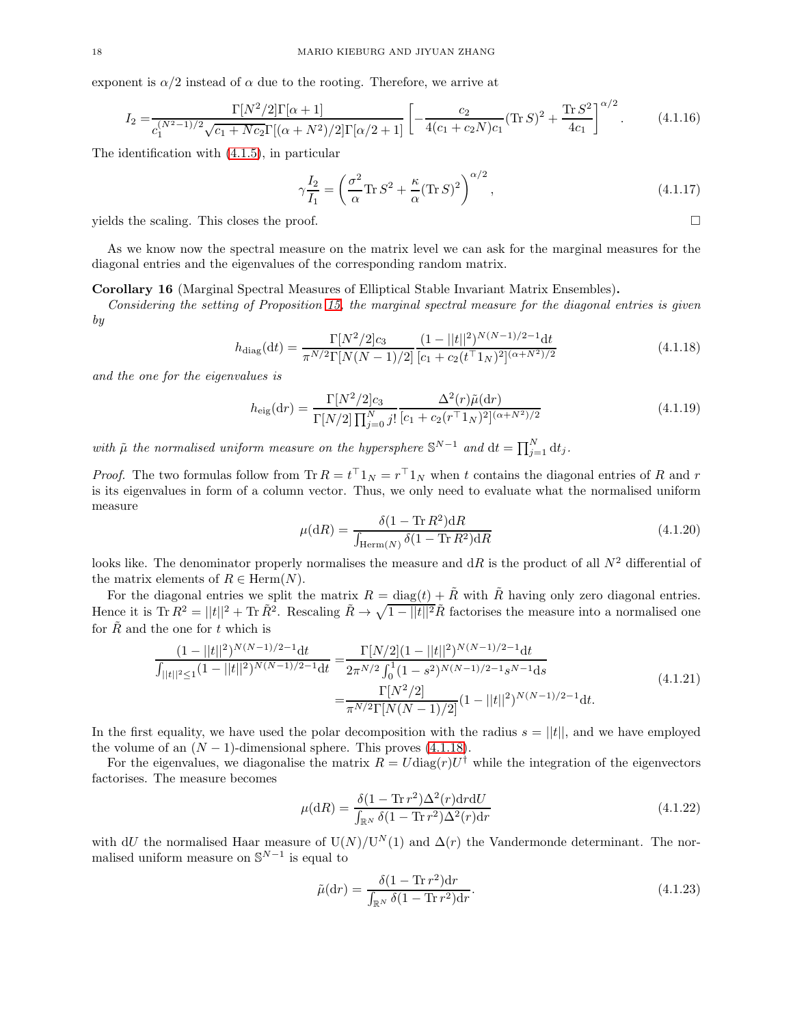exponent is  $\alpha/2$  instead of  $\alpha$  due to the rooting. Therefore, we arrive at

$$
I_2 = \frac{\Gamma[N^2/2]\Gamma[\alpha+1]}{c_1^{(N^2-1)/2}\sqrt{c_1 + Nc_2}\Gamma[(\alpha+N^2)/2]\Gamma[\alpha/2+1]} \left[ -\frac{c_2}{4(c_1+c_2N)c_1} (\text{Tr}\,S)^2 + \frac{\text{Tr}\,S^2}{4c_1} \right]^{\alpha/2}.
$$
 (4.1.16)

The identification with [\(4.1.5\)](#page-15-1), in particular

$$
\gamma \frac{I_2}{I_1} = \left(\frac{\sigma^2}{\alpha} \text{Tr} \, S^2 + \frac{\kappa}{\alpha} (\text{Tr} \, S)^2\right)^{\alpha/2},\tag{4.1.17}
$$

yields the scaling. This closes the proof.  $\square$ 

As we know now the spectral measure on the matrix level we can ask for the marginal measures for the diagonal entries and the eigenvalues of the corresponding random matrix.

Corollary 16 (Marginal Spectral Measures of Elliptical Stable Invariant Matrix Ensembles).

*Considering the setting of Proposition [15,](#page-15-2) the marginal spectral measure for the diagonal entries is given by*

<span id="page-17-0"></span>
$$
h_{\text{diag}}(\mathrm{d}t) = \frac{\Gamma[N^2/2]c_3}{\pi^{N/2}\Gamma[N(N-1)/2]} \frac{(1 - ||t||^2)^{N(N-1)/2 - 1}\mathrm{d}t}{[c_1 + c_2(t^{\top}1_N)^2]^{(\alpha + N^2)/2}}
$$
(4.1.18)

*and the one for the eigenvalues is*

<span id="page-17-1"></span>
$$
h_{\rm eig}(\mathrm{d}r) = \frac{\Gamma[N^2/2]c_3}{\Gamma[N/2]\prod_{j=0}^N j!} \frac{\Delta^2(r)\tilde{\mu}(\mathrm{d}r)}{[c_1 + c_2(r \bar{\tau}_{1N})^2]^{(\alpha + N^2)/2}}\tag{4.1.19}
$$

with  $\tilde{\mu}$  the normalised uniform measure on the hypersphere  $\mathbb{S}^{N-1}$  and  $dt = \prod_{j=1}^{N} dt_j$ .

*Proof.* The two formulas follow from  $\text{Tr } R = t^{\top} 1_N = r^{\top} 1_N$  when t contains the diagonal entries of R and r is its eigenvalues in form of a column vector. Thus, we only need to evaluate what the normalised uniform measure

$$
\mu(\mathrm{d}R) = \frac{\delta(1 - \mathrm{Tr}\,R^2)\mathrm{d}R}{\int_{\mathrm{Herm}(N)} \delta(1 - \mathrm{Tr}\,R^2)\mathrm{d}R}
$$
\n(4.1.20)

looks like. The denominator properly normalises the measure and  $dR$  is the product of all  $N^2$  differential of the matrix elements of  $R \in \text{Herm}(N)$ .

For the diagonal entries we split the matrix  $R = \text{diag}(t) + \tilde{R}$  with  $\tilde{R}$  having only zero diagonal entries. Hence it is Tr  $R^2 = ||t||^2 + \text{Tr} \tilde{R}^2$ . Rescaling  $\tilde{R} \to \sqrt{1 - ||t||^2} \tilde{R}$  factorises the measure into a normalised one for  $\tilde{R}$  and the one for t which is

$$
\frac{(1-||t||^2)^{N(N-1)/2-1}dt}{\int_{||t||^2 \le 1} (1-||t||^2)^{N(N-1)/2-1}dt} = \frac{\Gamma[N/2](1-||t||^2)^{N(N-1)/2-1}dt}{2\pi^{N/2}\int_0^1 (1-s^2)^{N(N-1)/2-1}s^{N-1}ds}
$$
\n
$$
= \frac{\Gamma[N^2/2]}{\pi^{N/2}\Gamma[N(N-1)/2]}(1-||t||^2)^{N(N-1)/2-1}dt.
$$
\n(4.1.21)

In the first equality, we have used the polar decomposition with the radius  $s = ||t||$ , and we have employed the volume of an  $(N-1)$ -dimensional sphere. This proves  $(4.1.18)$ .

For the eigenvalues, we diagonalise the matrix  $R = U \text{diag}(r) U^{\dagger}$  while the integration of the eigenvectors factorises. The measure becomes

$$
\mu(\mathrm{d}R) = \frac{\delta(1 - \mathrm{Tr}\, r^2)\Delta^2(r)\mathrm{d}r\mathrm{d}U}{\int_{\mathbb{R}^N} \delta(1 - \mathrm{Tr}\, r^2)\Delta^2(r)\mathrm{d}r}
$$
\n(4.1.22)

with dU the normalised Haar measure of  $U(N)/U^N(1)$  and  $\Delta(r)$  the Vandermonde determinant. The normalised uniform measure on  $\mathbb{S}^{N-1}$  is equal to

$$
\tilde{\mu}(\mathrm{d}r) = \frac{\delta(1 - \mathrm{Tr}\,r^2)\mathrm{d}r}{\int_{\mathbb{R}^N}\delta(1 - \mathrm{Tr}\,r^2)\mathrm{d}r}.\tag{4.1.23}
$$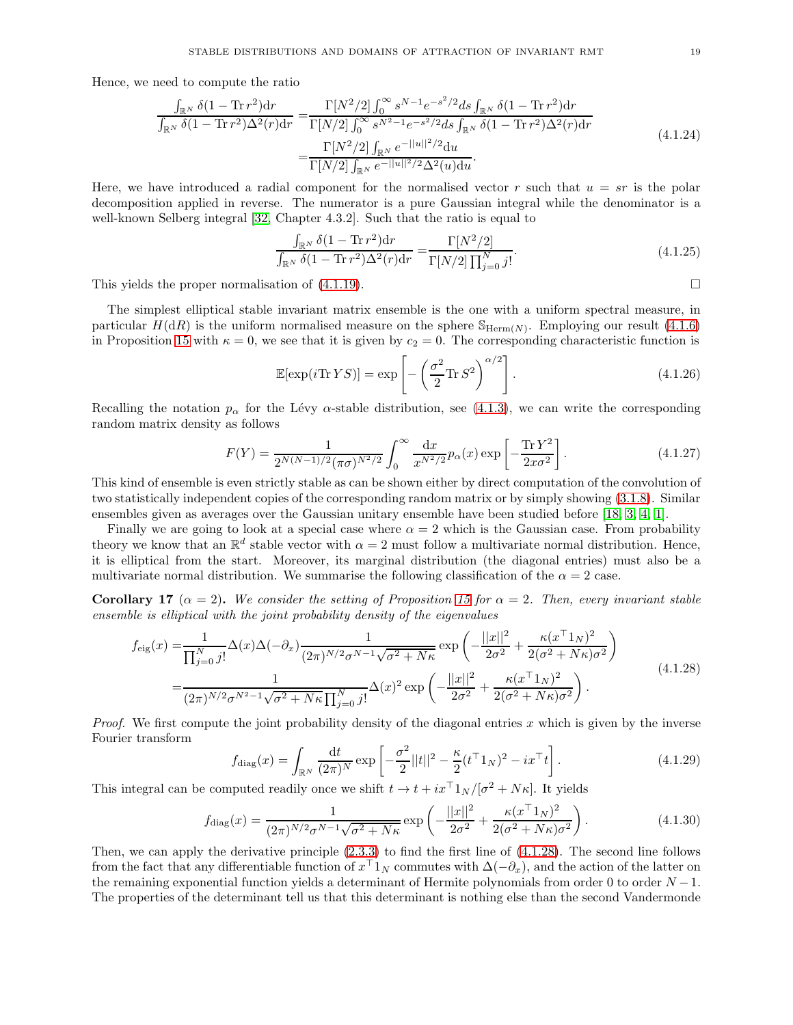Hence, we need to compute the ratio

$$
\frac{\int_{\mathbb{R}^N} \delta(1 - \text{Tr} \, r^2) \, \mathrm{d}r}{\int_{\mathbb{R}^N} \delta(1 - \text{Tr} \, r^2) \Delta^2(r) \, \mathrm{d}r} = \frac{\Gamma[N^2/2] \int_0^\infty s^{N-1} e^{-s^2/2} \, \mathrm{d}s \int_{\mathbb{R}^N} \delta(1 - \text{Tr} \, r^2) \, \mathrm{d}r}{\Gamma[N/2] \int_0^\infty s^{N^2-1} e^{-s^2/2} \, \mathrm{d}s \int_{\mathbb{R}^N} \delta(1 - \text{Tr} \, r^2) \Delta^2(r) \, \mathrm{d}r}
$$
\n
$$
= \frac{\Gamma[N^2/2] \int_{\mathbb{R}^N} e^{-||u||^2/2} \, \mathrm{d}u}{\Gamma[N/2] \int_{\mathbb{R}^N} e^{-||u||^2/2} \Delta^2(u) \, \mathrm{d}u}.
$$
\n(4.1.24)

Here, we have introduced a radial component for the normalised vector r such that  $u = sr$  is the polar decomposition applied in reverse. The numerator is a pure Gaussian integral while the denominator is a well-known Selberg integral [\[32,](#page-34-25) Chapter 4.3.2]. Such that the ratio is equal to

$$
\frac{\int_{\mathbb{R}^N} \delta(1 - \text{Tr} \, r^2) \, \mathrm{d}r}{\int_{\mathbb{R}^N} \delta(1 - \text{Tr} \, r^2) \Delta^2(r) \, \mathrm{d}r} = \frac{\Gamma[N^2/2]}{\Gamma[N/2] \prod_{j=0}^N j!}.
$$
\n(4.1.25)

This yields the proper normalisation of  $(4.1.19)$ .

The simplest elliptical stable invariant matrix ensemble is the one with a uniform spectral measure, in particular  $H(dR)$  is the uniform normalised measure on the sphere  $\mathbb{S}_{\text{Herm}(N)}$ . Employing our result [\(4.1.6\)](#page-15-3) in Proposition [15](#page-15-2) with  $\kappa = 0$ , we see that it is given by  $c_2 = 0$ . The corresponding characteristic function is

$$
\mathbb{E}[\exp(i\mathrm{Tr}\,YS)] = \exp\left[-\left(\frac{\sigma^2}{2}\mathrm{Tr}\,S^2\right)^{\alpha/2}\right].\tag{4.1.26}
$$

Recalling the notation  $p_{\alpha}$  for the Lévy  $\alpha$ -stable distribution, see [\(4.1.3\)](#page-14-3), we can write the corresponding random matrix density as follows

$$
F(Y) = \frac{1}{2^{N(N-1)/2} (\pi \sigma)^{N^2/2}} \int_0^\infty \frac{\mathrm{d}x}{x^{N^2/2}} p_\alpha(x) \exp\left[-\frac{\mathrm{Tr}\, Y^2}{2x \sigma^2}\right].\tag{4.1.27}
$$

This kind of ensemble is even strictly stable as can be shown either by direct computation of the convolution of two statistically independent copies of the corresponding random matrix or by simply showing [\(3.1.8\)](#page-10-2). Similar ensembles given as averages over the Gaussian unitary ensemble have been studied before [\[18,](#page-34-0) [3,](#page-33-1) [4,](#page-33-9) [1\]](#page-33-10).

Finally we are going to look at a special case where  $\alpha = 2$  which is the Gaussian case. From probability theory we know that an  $\mathbb{R}^d$  stable vector with  $\alpha = 2$  must follow a multivariate normal distribution. Hence, it is elliptical from the start. Moreover, its marginal distribution (the diagonal entries) must also be a multivariate normal distribution. We summarise the following classification of the  $\alpha = 2$  case.

Corollary 17 ( $\alpha = 2$ ). We consider the setting of Proposition [15](#page-15-2) for  $\alpha = 2$ . Then, every invariant stable *ensemble is elliptical with the joint probability density of the eigenvalues*

<span id="page-18-0"></span>
$$
f_{\text{eig}}(x) = \frac{1}{\prod_{j=0}^{N} j!} \Delta(x) \Delta(-\partial_x) \frac{1}{(2\pi)^{N/2} \sigma^{N-1} \sqrt{\sigma^2 + N\kappa}} \exp\left(-\frac{||x||^2}{2\sigma^2} + \frac{\kappa (x^{\top} 1_N)^2}{2(\sigma^2 + N\kappa)\sigma^2}\right)
$$
  
= 
$$
\frac{1}{(2\pi)^{N/2} \sigma^{N^2-1} \sqrt{\sigma^2 + N\kappa} \prod_{j=0}^{N} j!} \Delta(x)^2 \exp\left(-\frac{||x||^2}{2\sigma^2} + \frac{\kappa (x^{\top} 1_N)^2}{2(\sigma^2 + N\kappa)\sigma^2}\right).
$$
(4.1.28)

*Proof.* We first compute the joint probability density of the diagonal entries x which is given by the inverse Fourier transform

$$
f_{\text{diag}}(x) = \int_{\mathbb{R}^N} \frac{\mathrm{d}t}{(2\pi)^N} \exp\left[-\frac{\sigma^2}{2} ||t||^2 - \frac{\kappa}{2} (t^\top 1_N)^2 - ix^\top t\right].\tag{4.1.29}
$$

This integral can be computed readily once we shift  $t \to t + ix^{\top}1_N/[\sigma^2 + N\kappa]$ . It yields

$$
f_{\text{diag}}(x) = \frac{1}{(2\pi)^{N/2}\sigma^{N-1}\sqrt{\sigma^2 + N\kappa}} \exp\left(-\frac{||x||^2}{2\sigma^2} + \frac{\kappa(x^\top 1_N)^2}{2(\sigma^2 + N\kappa)\sigma^2}\right). \tag{4.1.30}
$$

Then, we can apply the derivative principle  $(2.3.3)$  to find the first line of  $(4.1.28)$ . The second line follows from the fact that any differentiable function of  $x<sup>†</sup>1_N$  commutes with  $\Delta(-\partial_x)$ , and the action of the latter on the remaining exponential function yields a determinant of Hermite polynomials from order 0 to order  $N-1$ . The properties of the determinant tell us that this determinant is nothing else than the second Vandermonde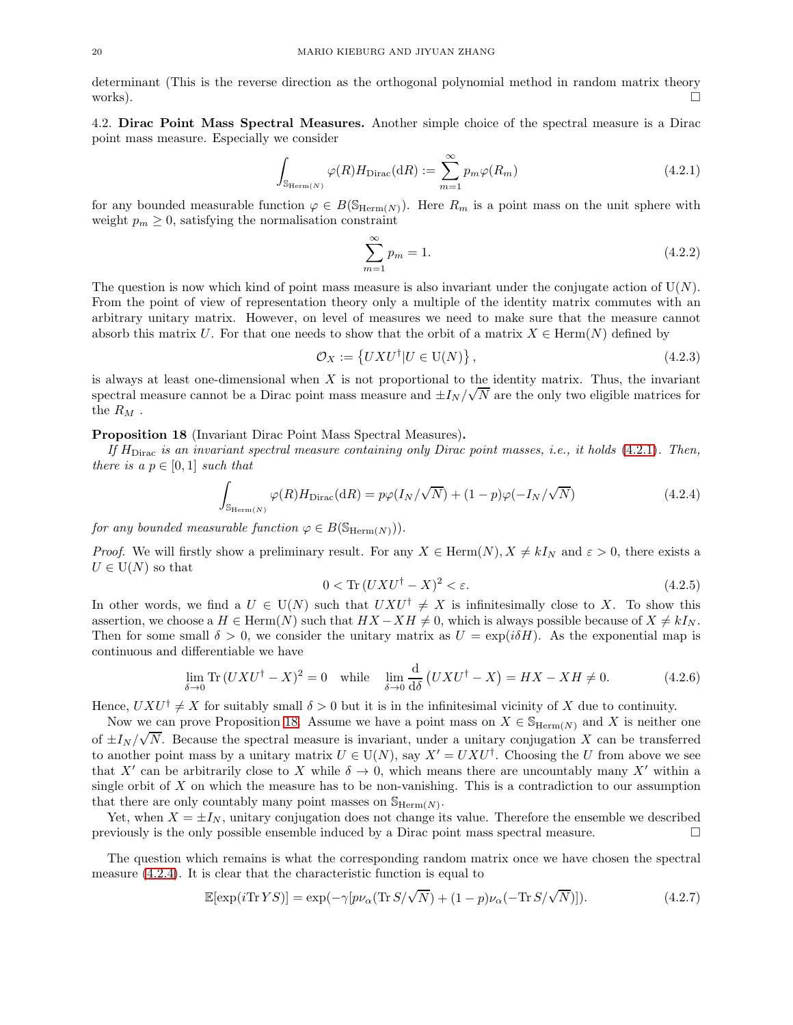determinant (This is the reverse direction as the orthogonal polynomial method in random matrix theory works).  $\square$ 

<span id="page-19-0"></span>4.2. Dirac Point Mass Spectral Measures. Another simple choice of the spectral measure is a Dirac point mass measure. Especially we consider

<span id="page-19-1"></span>
$$
\int_{\mathbb{S}_{\text{Herm}(N)}} \varphi(R) H_{\text{Dirac}}(\text{d}R) := \sum_{m=1}^{\infty} p_m \varphi(R_m)
$$
\n(4.2.1)

for any bounded measurable function  $\varphi \in B(\mathbb{S}_{\mathrm{Herm}(N)})$ . Here  $R_m$  is a point mass on the unit sphere with weight  $p_m \geq 0$ , satisfying the normalisation constraint

$$
\sum_{m=1}^{\infty} p_m = 1.
$$
\n(4.2.2)

The question is now which kind of point mass measure is also invariant under the conjugate action of  $U(N)$ . From the point of view of representation theory only a multiple of the identity matrix commutes with an arbitrary unitary matrix. However, on level of measures we need to make sure that the measure cannot absorb this matrix U. For that one needs to show that the orbit of a matrix  $X \in \text{Herm}(N)$  defined by

$$
\mathcal{O}_X := \left\{ U X U^\dagger | U \in \mathrm{U}(N) \right\},\tag{4.2.3}
$$

is always at least one-dimensional when  $X$  is not proportional to the identity matrix. Thus, the invariant spectral measure cannot be a Dirac point mass measure and  $\pm I_N/\sqrt{N}$  are the only two eligible matrices for the  $R_M$ .

### <span id="page-19-2"></span>Proposition 18 (Invariant Dirac Point Mass Spectral Measures).

*If* HDirac *is an invariant spectral measure containing only Dirac point masses, i.e., it holds* [\(4.2.1\)](#page-19-1)*. Then, there is a*  $p \in [0,1]$  *such that* 

<span id="page-19-3"></span>
$$
\int_{\mathbb{S}_{\text{Herm}(N)}} \varphi(R) H_{\text{Dirac}}(\text{d}R) = p\varphi(I_N/\sqrt{N}) + (1-p)\varphi(-I_N/\sqrt{N})
$$
\n(4.2.4)

*for any bounded measurable function*  $\varphi \in B(\mathbb{S}_{\text{Herm}(N)}))$ .

*Proof.* We will firstly show a preliminary result. For any  $X \in \text{Herm}(N)$ ,  $X \neq kI_N$  and  $\varepsilon > 0$ , there exists a  $U \in U(N)$  so that

$$
0 < \text{Tr}\,(UXU^\dagger - X)^2 < \varepsilon. \tag{4.2.5}
$$

In other words, we find a  $U \in U(N)$  such that  $UXU^{\dagger} \neq X$  is infinitesimally close to X. To show this assertion, we choose a  $H \in \text{Herm}(N)$  such that  $HX - XH \neq 0$ , which is always possible because of  $X \neq kI_N$ . Then for some small  $\delta > 0$ , we consider the unitary matrix as  $U = \exp(i\delta H)$ . As the exponential map is continuous and differentiable we have

$$
\lim_{\delta \to 0} \text{Tr}\,(UXU^{\dagger} - X)^2 = 0 \quad \text{while} \quad \lim_{\delta \to 0} \frac{\mathrm{d}}{\mathrm{d}\delta} \left( UXU^{\dagger} - X \right) = HX - XH \neq 0. \tag{4.2.6}
$$

Hence,  $UXU^{\dagger} \neq X$  for suitably small  $\delta > 0$  but it is in the infinitesimal vicinity of X due to continuity.

Now we can prove Proposition [18.](#page-19-2) Assume we have a point mass on  $X \in \mathbb{S}_{\text{Herm}(N)}$  and X is neither one of  $\pm I_N/\sqrt{N}$ . Because the spectral measure is invariant, under a unitary conjugation X can be transferred to another point mass by a unitary matrix  $U \in U(N)$ , say  $X' = U X U^{\dagger}$ . Choosing the U from above we see that X' can be arbitrarily close to X while  $\delta \to 0$ , which means there are uncountably many X' within a single orbit of  $X$  on which the measure has to be non-vanishing. This is a contradiction to our assumption that there are only countably many point masses on  $\mathbb{S}_{\text{Herm}(N)}$ .

Yet, when  $X = \pm I_N$ , unitary conjugation does not change its value. Therefore the ensemble we described eviously is the only possible ensemble induced by a Dirac point mass spectral measure. previously is the only possible ensemble induced by a Dirac point mass spectral measure.

The question which remains is what the corresponding random matrix once we have chosen the spectral measure [\(4.2.4\)](#page-19-3). It is clear that the characteristic function is equal to

<span id="page-19-4"></span>
$$
\mathbb{E}[\exp(i\operatorname{Tr}YS)] = \exp(-\gamma[p\nu_{\alpha}(\operatorname{Tr} S/\sqrt{N}) + (1-p)\nu_{\alpha}(-\operatorname{Tr} S/\sqrt{N})]).
$$
\n(4.2.7)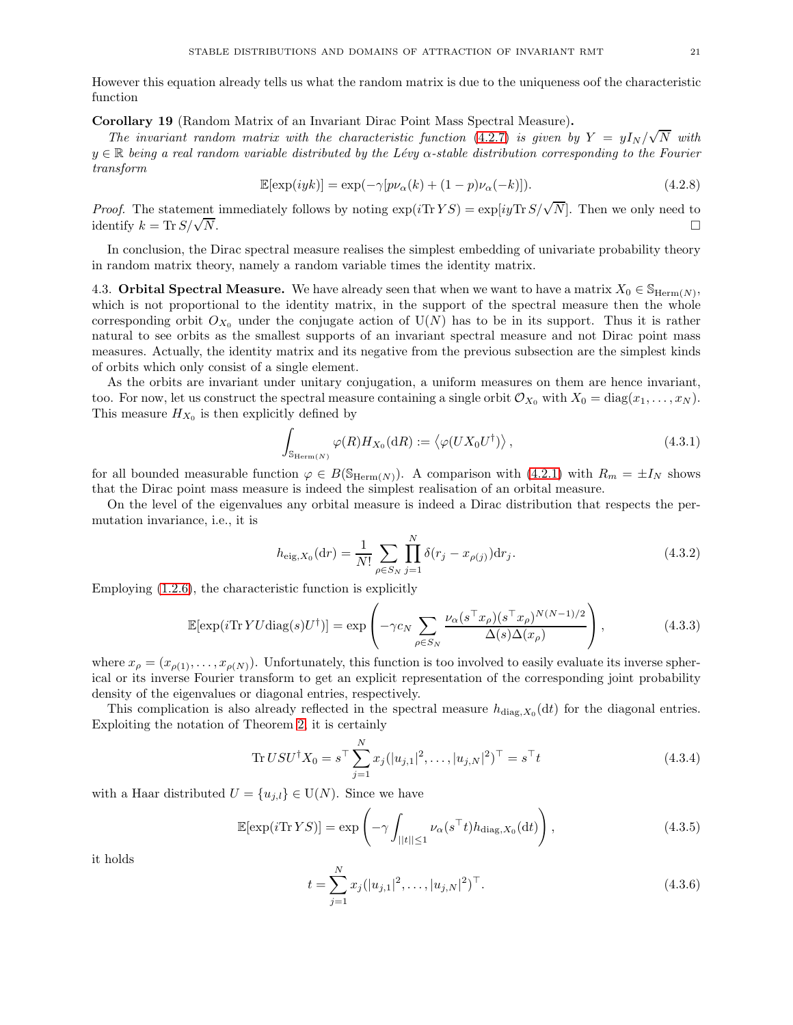However this equation already tells us what the random matrix is due to the uniqueness oof the characteristic function

Corollary 19 (Random Matrix of an Invariant Dirac Point Mass Spectral Measure).

*The invariant random matrix with the characteristic function* [\(4.2.7\)](#page-19-4) *is given by*  $Y = yI_N/\sqrt{N}$  with <sup>y</sup> <sup>∈</sup> <sup>R</sup> *being a real random variable distributed by the L´evy* <sup>α</sup>*-stable distribution corresponding to the Fourier transform*

$$
\mathbb{E}[\exp(iyk)] = \exp(-\gamma[p\nu_{\alpha}(k) + (1-p)\nu_{\alpha}(-k)]). \tag{4.2.8}
$$

*Proof.* The statement immediately follows by noting  $\exp(i\text{Tr } YS) = \exp[i\text{Tr } S/\sqrt{N}]$ . Then we only need to identify  $k = \text{Tr} S/\sqrt{N}$ .  $\overline{N}$ .

In conclusion, the Dirac spectral measure realises the simplest embedding of univariate probability theory in random matrix theory, namely a random variable times the identity matrix.

<span id="page-20-0"></span>4.3. **Orbital Spectral Measure.** We have already seen that when we want to have a matrix  $X_0 \in \mathbb{S}_{\text{Herm}(N)}$ , which is not proportional to the identity matrix, in the support of the spectral measure then the whole corresponding orbit  $O_{X_0}$  under the conjugate action of  $U(N)$  has to be in its support. Thus it is rather natural to see orbits as the smallest supports of an invariant spectral measure and not Dirac point mass measures. Actually, the identity matrix and its negative from the previous subsection are the simplest kinds of orbits which only consist of a single element.

As the orbits are invariant under unitary conjugation, a uniform measures on them are hence invariant, too. For now, let us construct the spectral measure containing a single orbit  $\mathcal{O}_{X_0}$  with  $X_0 = \text{diag}(x_1, \ldots, x_N)$ . This measure  $H_{X_0}$  is then explicitly defined by

$$
\int_{\mathbb{S}_{\text{Herm}(N)}} \varphi(R) H_{X_0}(\text{d}R) := \langle \varphi(UX_0 U^{\dagger}) \rangle, \qquad (4.3.1)
$$

for all bounded measurable function  $\varphi \in B(\mathbb{S}_{\text{Herm}(N)})$ . A comparison with  $(4.2.1)$  with  $R_m = \pm I_N$  shows that the Dirac point mass measure is indeed the simplest realisation of an orbital measure.

On the level of the eigenvalues any orbital measure is indeed a Dirac distribution that respects the permutation invariance, i.e., it is

$$
h_{\text{eig}, X_0}(\text{d}r) = \frac{1}{N!} \sum_{\rho \in S_N} \prod_{j=1}^N \delta(r_j - x_{\rho(j)}) \text{d}r_j.
$$
 (4.3.2)

Employing [\(1.2.6\)](#page-2-2), the characteristic function is explicitly

$$
\mathbb{E}[\exp(i\text{Tr}\,YU\text{diag}(s)U^{\dagger})] = \exp\left(-\gamma c_N \sum_{\rho \in S_N} \frac{\nu_{\alpha}(s^{\top} x_{\rho})(s^{\top} x_{\rho})^{N(N-1)/2}}{\Delta(s)\Delta(x_{\rho})}\right),\tag{4.3.3}
$$

where  $x_{\rho} = (x_{\rho(1)}, \ldots, x_{\rho(N)})$ . Unfortunately, this function is too involved to easily evaluate its inverse spherical or its inverse Fourier transform to get an explicit representation of the corresponding joint probability density of the eigenvalues or diagonal entries, respectively.

This complication is also already reflected in the spectral measure  $h_{\text{diag},X_0}(\text{d}t)$  for the diagonal entries. Exploiting the notation of Theorem [2,](#page-2-0) it is certainly

$$
\text{Tr } U S U^{\dagger} X_0 = s^{\top} \sum_{j=1}^{N} x_j (|u_{j,1}|^2, \dots, |u_{j,N}|^2)^{\top} = s^{\top} t \tag{4.3.4}
$$

with a Haar distributed  $U = \{u_{j,l}\} \in U(N)$ . Since we have

$$
\mathbb{E}[\exp(i\operatorname{Tr}YS)] = \exp\left(-\gamma \int_{||t|| \le 1} \nu_{\alpha}(s^{\top}t) h_{\text{diag},X_0}(\mathrm{d}t)\right),\tag{4.3.5}
$$

it holds

$$
t = \sum_{j=1}^{N} x_j (|u_{j,1}|^2, \dots, |u_{j,N}|^2)^\top.
$$
\n(4.3.6)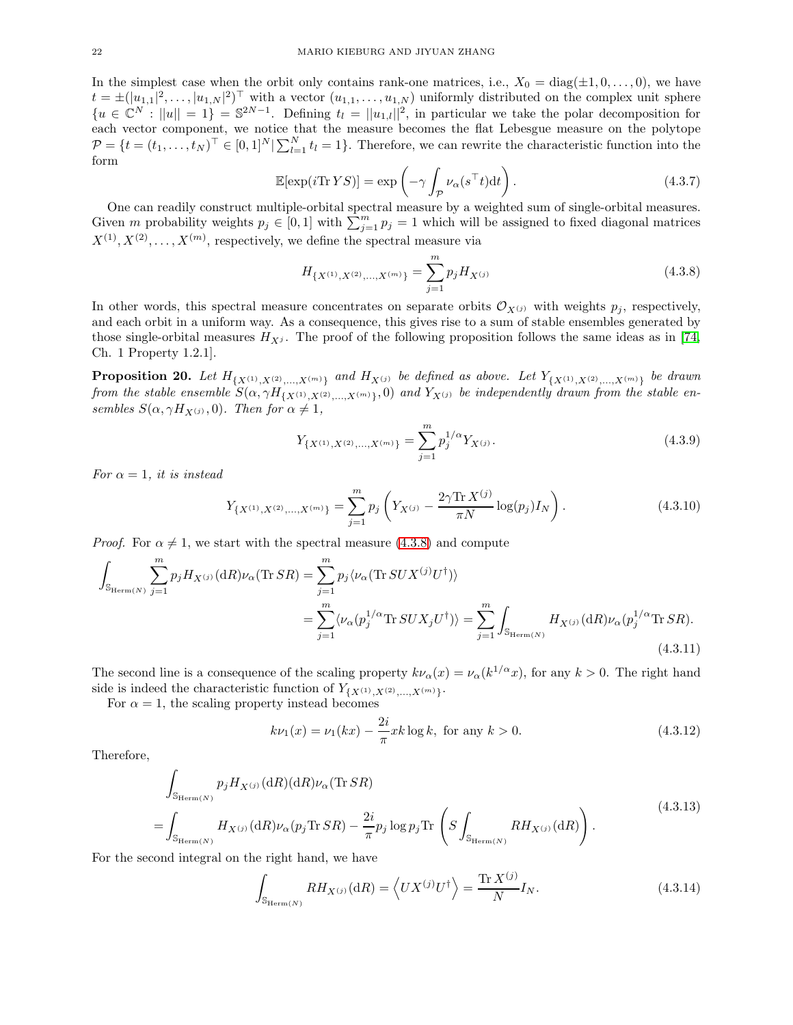In the simplest case when the orbit only contains rank-one matrices, i.e.,  $X_0 = \text{diag}(\pm 1, 0, \ldots, 0)$ , we have  $t = \pm (|u_{1,1}|^2, \ldots, |u_{1,N}|^2)^\top$  with a vector  $(u_{1,1}, \ldots, u_{1,N})$  uniformly distributed on the complex unit sphere  ${u \in \mathbb{C}^N : ||u|| = 1} = \mathbb{S}^{2N-1}$ . Defining  $t_l = ||u_{1,l}||^2$ , in particular we take the polar decomposition for each vector component, we notice that the measure becomes the flat Lebesgue measure on the polytope  $\mathcal{P} = \{t = (t_1, \ldots, t_N)^\top \in [0, 1]^N | \sum_{l=1}^N t_l = 1\}.$  Therefore, we can rewrite the characteristic function into the form

$$
\mathbb{E}[\exp(i\mathrm{Tr}\,YS)] = \exp\left(-\gamma \int_{\mathcal{P}} \nu_{\alpha}(s^{\top}t)dt\right). \tag{4.3.7}
$$

One can readily construct multiple-orbital spectral measure by a weighted sum of single-orbital measures. Given m probability weights  $p_j \in [0,1]$  with  $\sum_{j=1}^m p_j = 1$  which will be assigned to fixed diagonal matrices  $X^{(1)}, X^{(2)}, \ldots, X^{(m)}$ , respectively, we define the spectral measure via

<span id="page-21-0"></span>
$$
H_{\{X^{(1)},X^{(2)},...,X^{(m)}\}} = \sum_{j=1}^{m} p_j H_{X^{(j)}} \tag{4.3.8}
$$

In other words, this spectral measure concentrates on separate orbits  $\mathcal{O}_{X^{(j)}}$  with weights  $p_j$ , respectively, and each orbit in a uniform way. As a consequence, this gives rise to a sum of stable ensembles generated by those single-orbital measures  $H_{Xi}$ . The proof of the following proposition follows the same ideas as in [\[74,](#page-35-22) Ch. 1 Property 1.2.1].

**Proposition 20.** Let  $H_{\{X^{(1)}, X^{(2)}, ..., X^{(m)}\}}$  and  $H_{X^{(j)}}$  be defined as above. Let  $Y_{\{X^{(1)}, X^{(2)}, ..., X^{(m)}\}}$  be drawn *from the stable ensemble*  $S(\alpha, \gamma H_{\{X^{(1)}, X^{(2)}, ..., X^{(m)}\}}, 0)$  *and*  $Y_{X^{(j)}}$  *be independently drawn from the stable ensembles*  $S(\alpha, \gamma H_{X^{(j)}}, 0)$ *. Then for*  $\alpha \neq 1$ *,* 

<span id="page-21-2"></span>
$$
Y_{\{X^{(1)},X^{(2)},...,X^{(m)}\}} = \sum_{j=1}^{m} p_j^{1/\alpha} Y_{X^{(j)}}.
$$
\n(4.3.9)

*For*  $\alpha = 1$ *, it is instead* 

<span id="page-21-3"></span>
$$
Y_{\{X^{(1)}, X^{(2)}, \dots, X^{(m)}\}} = \sum_{j=1}^{m} p_j \left( Y_{X^{(j)}} - \frac{2\gamma \text{Tr} X^{(j)}}{\pi N} \log(p_j) I_N \right). \tag{4.3.10}
$$

*Proof.* For  $\alpha \neq 1$ , we start with the spectral measure [\(4.3.8\)](#page-21-0) and compute

<span id="page-21-1"></span>
$$
\int_{\mathbb{S}_{\text{Herm}(N)}} \sum_{j=1}^{m} p_j H_{X^{(j)}}(\text{d}R) \nu_\alpha(\text{Tr}SR) = \sum_{j=1}^{m} p_j \langle \nu_\alpha(\text{Tr}SUX^{(j)}U^{\dagger}) \rangle
$$
\n
$$
= \sum_{j=1}^{m} \langle \nu_\alpha(p_j^{1/\alpha} \text{Tr}SUX_jU^{\dagger}) \rangle = \sum_{j=1}^{m} \int_{\mathbb{S}_{\text{Herm}(N)}} H_{X^{(j)}}(\text{d}R) \nu_\alpha(p_j^{1/\alpha} \text{Tr}SR). \tag{4.3.11}
$$

The second line is a consequence of the scaling property  $k\nu_{\alpha}(x) = \nu_{\alpha}(k^{1/\alpha}x)$ , for any  $k > 0$ . The right hand side is indeed the characteristic function of  $Y_{\{X^{(1)},X^{(2)},...,X^{(m)}\}}$ .

For  $\alpha = 1$ , the scaling property instead becomes

$$
k\nu_1(x) = \nu_1(kx) - \frac{2i}{\pi}xk\log k, \text{ for any } k > 0.
$$
 (4.3.12)

Therefore,

$$
\int_{\mathbb{S}_{\text{Herm}(N)}} p_j H_{X^{(j)}}(\mathrm{d}R) \nu_\alpha(\text{Tr} SR) \n= \int_{\mathbb{S}_{\text{Herm}(N)}} H_{X^{(j)}}(\mathrm{d}R) \nu_\alpha(p_j \text{Tr} SR) - \frac{2i}{\pi} p_j \log p_j \text{Tr} \left( S \int_{\mathbb{S}_{\text{Herm}(N)}} RH_{X^{(j)}}(\mathrm{d}R) \right).
$$
\n(4.3.13)

For the second integral on the right hand, we have

$$
\int_{\mathbb{S}_{\text{Herm}(N)}} RH_{X^{(j)}}(\mathrm{d}R) = \left\langle UX^{(j)}U^{\dagger}\right\rangle = \frac{\text{Tr}\,X^{(j)}}{N}I_N. \tag{4.3.14}
$$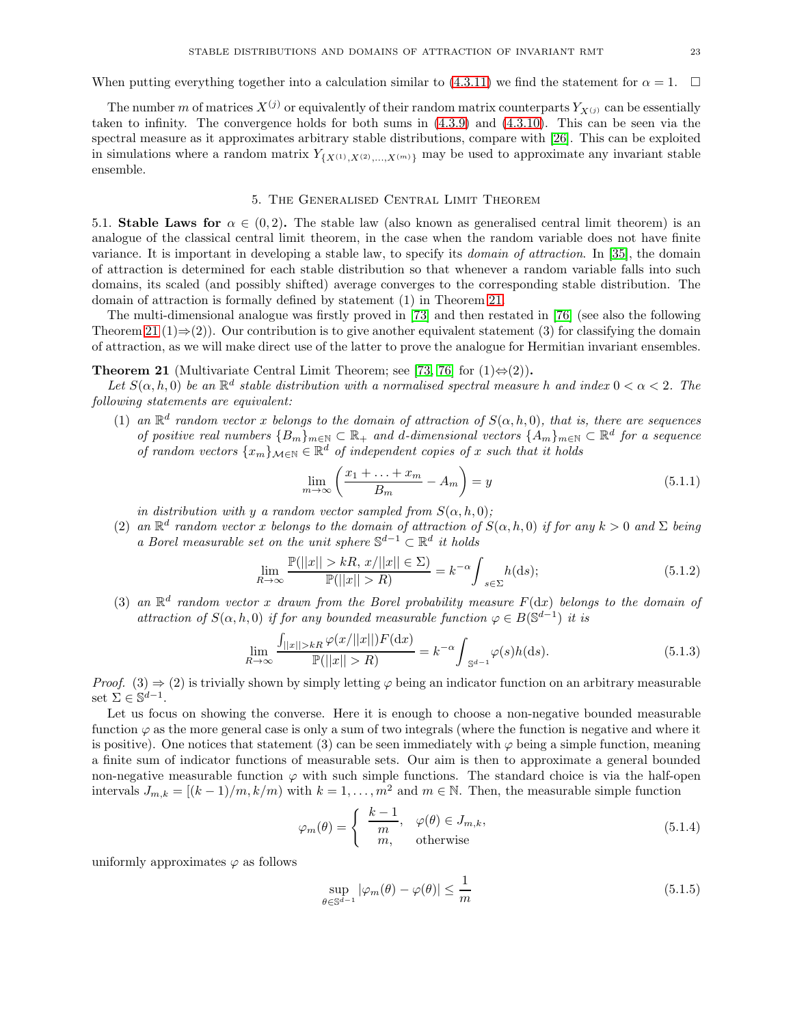When putting everything together into a calculation similar to [\(4.3.11\)](#page-21-1) we find the statement for  $\alpha = 1$ .

The number m of matrices  $X^{(j)}$  or equivalently of their random matrix counterparts  $Y_{X^{(j)}}$  can be essentially taken to infinity. The convergence holds for both sums in [\(4.3.9\)](#page-21-2) and [\(4.3.10\)](#page-21-3). This can be seen via the spectral measure as it approximates arbitrary stable distributions, compare with [\[26\]](#page-34-26). This can be exploited in simulations where a random matrix  $Y_{\{X^{(1)},X^{(2)},...,X^{(m)}\}}$  may be used to approximate any invariant stable ensemble.

# 5. The Generalised Central Limit Theorem

<span id="page-22-1"></span><span id="page-22-0"></span>5.1. Stable Laws for  $\alpha \in (0, 2)$ . The stable law (also known as generalised central limit theorem) is an analogue of the classical central limit theorem, in the case when the random variable does not have finite variance. It is important in developing a stable law, to specify its *domain of attraction*. In [\[35\]](#page-34-19), the domain of attraction is determined for each stable distribution so that whenever a random variable falls into such domains, its scaled (and possibly shifted) average converges to the corresponding stable distribution. The domain of attraction is formally defined by statement (1) in Theorem [21.](#page-22-2)

The multi-dimensional analogue was firstly proved in [\[73\]](#page-35-23) and then restated in [\[76\]](#page-35-17) (see also the following Theorem [21](#page-22-2) (1)⇒(2)). Our contribution is to give another equivalent statement (3) for classifying the domain of attraction, as we will make direct use of the latter to prove the analogue for Hermitian invariant ensembles.

<span id="page-22-2"></span>**Theorem 21** (Multivariate Central Limit Theorem; see [\[73,](#page-35-23) [76\]](#page-35-17) for  $(1) \Leftrightarrow (2)$ ).

Let  $S(\alpha, h, 0)$  be an  $\mathbb{R}^d$  stable distribution with a normalised spectral measure h and index  $0 < \alpha < 2$ . The *following statements are equivalent:*

(1) an  $\mathbb{R}^d$  random vector x belongs to the domain of attraction of  $S(\alpha, h, 0)$ , that is, there are sequences *of positive real numbers*  ${B_m}_{m \in \mathbb{N}}$  ⊂  $\mathbb{R}_+$  *and d-dimensional vectors*  ${A_m}_{m \in \mathbb{N}}$  ⊂  $\mathbb{R}^d$  *for a sequence of random vectors*  $\{x_m\}_{m\in\mathbb{N}} \in \mathbb{R}^d$  *of independent copies of* x *such that it holds* 

$$
\lim_{m \to \infty} \left( \frac{x_1 + \dots + x_m}{B_m} - A_m \right) = y \tag{5.1.1}
$$

*in distribution with* y *a random vector sampled from*  $S(\alpha, h, 0)$ *;* 

(2) an  $\mathbb{R}^d$  random vector x belongs to the domain of attraction of  $S(\alpha, h, 0)$  if for any  $k > 0$  and  $\Sigma$  being *a Borel measurable set on the unit sphere*  $\mathbb{S}^{d-1} \subset \mathbb{R}^d$  *it holds* 

<span id="page-22-3"></span>
$$
\lim_{R \to \infty} \frac{\mathbb{P}(||x|| > k, x/||x|| \in \Sigma)}{\mathbb{P}(||x|| > R)} = k^{-\alpha} \int_{s \in \Sigma} h(\mathrm{d}s); \tag{5.1.2}
$$

(3) an  $\mathbb{R}^d$  random vector x drawn from the Borel probability measure  $F(\mathrm{d}x)$  belongs to the domain of *attraction of*  $S(\alpha, h, 0)$  *if for any bounded measurable function*  $\varphi \in B(\mathbb{S}^{d-1})$  *it is* 

<span id="page-22-4"></span>
$$
\lim_{R \to \infty} \frac{\int_{||x|| > kR} \varphi(x/||x||) F(\mathrm{d}x)}{\mathbb{P}(||x|| > R)} = k^{-\alpha} \int_{\mathbb{S}^{d-1}} \varphi(s) h(\mathrm{d}s). \tag{5.1.3}
$$

*Proof.* (3)  $\Rightarrow$  (2) is trivially shown by simply letting  $\varphi$  being an indicator function on an arbitrary measurable set  $\Sigma \in \mathbb{S}^{d-1}$ .

Let us focus on showing the converse. Here it is enough to choose a non-negative bounded measurable function  $\varphi$  as the more general case is only a sum of two integrals (where the function is negative and where it is positive). One notices that statement (3) can be seen immediately with  $\varphi$  being a simple function, meaning a finite sum of indicator functions of measurable sets. Our aim is then to approximate a general bounded non-negative measurable function  $\varphi$  with such simple functions. The standard choice is via the half-open intervals  $J_{m,k} = [(k-1)/m, k/m]$  with  $k = 1, ..., m^2$  and  $m \in \mathbb{N}$ . Then, the measurable simple function

$$
\varphi_m(\theta) = \begin{cases} \frac{k-1}{m}, & \varphi(\theta) \in J_{m,k}, \\ m, & \text{otherwise} \end{cases}
$$
\n(5.1.4)

uniformly approximates  $\varphi$  as follows

$$
\sup_{\theta \in \mathbb{S}^{d-1}} |\varphi_m(\theta) - \varphi(\theta)| \le \frac{1}{m} \tag{5.1.5}
$$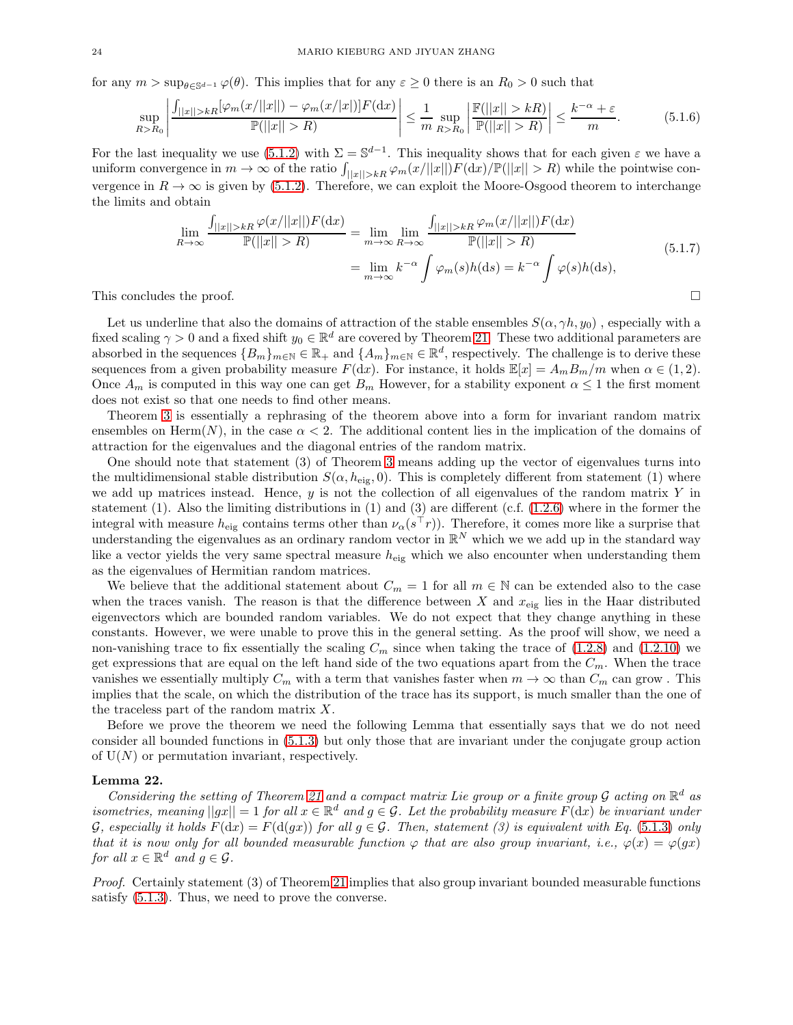for any  $m > \sup_{\theta \in \mathbb{S}^{d-1}} \varphi(\theta)$ . This implies that for any  $\varepsilon \ge 0$  there is an  $R_0 > 0$  such that

$$
\sup_{R>R_0} \left| \frac{\int_{||x||>kR} [\varphi_m(x/||x||) - \varphi_m(x/||x|)] F(\mathrm{d}x)}{\mathbb{P}(||x||>R)} \right| \leq \frac{1}{m} \sup_{R>R_0} \left| \frac{\mathbb{F}(|x||>kR)}{\mathbb{P}(|x||>R)} \right| \leq \frac{k^{-\alpha} + \varepsilon}{m}.
$$
 (5.1.6)

For the last inequality we use [\(5.1.2\)](#page-22-3) with  $\Sigma = \mathbb{S}^{d-1}$ . This inequality shows that for each given  $\varepsilon$  we have a uniform convergence in  $m \to \infty$  of the ratio  $\int_{||x||>kR} \varphi_m(x/||x||)F(\mathrm{d}x)/\mathbb{P}(||x|| > R)$  while the pointwise convergence in  $R \to \infty$  is given by [\(5.1.2\)](#page-22-3). Therefore, we can exploit the Moore-Osgood theorem to interchange the limits and obtain

$$
\lim_{R \to \infty} \frac{\int_{||x||>kR} \varphi(x/||x||)F(\mathrm{d}x)}{\mathbb{P}(||x||>R)} = \lim_{m \to \infty} \lim_{R \to \infty} \frac{\int_{||x||>kR} \varphi_m(x/||x||)F(\mathrm{d}x)}{\mathbb{P}(|x||>R)}
$$
\n
$$
= \lim_{m \to \infty} k^{-\alpha} \int \varphi_m(s)h(\mathrm{d}s) = k^{-\alpha} \int \varphi(s)h(\mathrm{d}s),\tag{5.1.7}
$$

This concludes the proof.  $\square$ 

Let us underline that also the domains of attraction of the stable ensembles  $S(\alpha, \gamma h, y_0)$ , especially with a fixed scaling  $\gamma > 0$  and a fixed shift  $y_0 \in \mathbb{R}^d$  are covered by Theorem [21.](#page-22-2) These two additional parameters are absorbed in the sequences  ${B_m}_{m\in\mathbb{N}} \in \mathbb{R}_+$  and  ${A_m}_{m\in\mathbb{N}} \in \mathbb{R}^d$ , respectively. The challenge is to derive these sequences from a given probability measure  $F(dx)$ . For instance, it holds  $\mathbb{E}[x] = A_m B_m/m$  when  $\alpha \in (1, 2)$ . Once  $A_m$  is computed in this way one can get  $B_m$  However, for a stability exponent  $\alpha \leq 1$  the first moment does not exist so that one needs to find other means.

Theorem [3](#page-3-3) is essentially a rephrasing of the theorem above into a form for invariant random matrix ensembles on Herm $(N)$ , in the case  $\alpha < 2$ . The additional content lies in the implication of the domains of attraction for the eigenvalues and the diagonal entries of the random matrix.

One should note that statement (3) of Theorem [3](#page-3-3) means adding up the vector of eigenvalues turns into the multidimensional stable distribution  $S(\alpha, h_{\text{eig}}, 0)$ . This is completely different from statement (1) where we add up matrices instead. Hence,  $y$  is not the collection of all eigenvalues of the random matrix  $Y$  in statement  $(1)$ . Also the limiting distributions in  $(1)$  and  $(3)$  are different  $(c.f. (1.2.6)$  $(c.f. (1.2.6)$  where in the former the integral with measure  $h_{\text{eig}}$  contains terms other than  $\nu_{\alpha}(s^{\dagger}r)$ ). Therefore, it comes more like a surprise that understanding the eigenvalues as an ordinary random vector in  $\mathbb{R}^N$  which we we add up in the standard way like a vector yields the very same spectral measure  $h_{\text{eig}}$  which we also encounter when understanding them as the eigenvalues of Hermitian random matrices.

We believe that the additional statement about  $C_m = 1$  for all  $m \in \mathbb{N}$  can be extended also to the case when the traces vanish. The reason is that the difference between X and  $x_{\text{eig}}$  lies in the Haar distributed eigenvectors which are bounded random variables. We do not expect that they change anything in these constants. However, we were unable to prove this in the general setting. As the proof will show, we need a non-vanishing trace to fix essentially the scaling  $C_m$  since when taking the trace of [\(1.2.8\)](#page-3-0) and [\(1.2.10\)](#page-3-2) we get expressions that are equal on the left hand side of the two equations apart from the  $C_m$ . When the trace vanishes we essentially multiply  $C_m$  with a term that vanishes faster when  $m \to \infty$  than  $C_m$  can grow. This implies that the scale, on which the distribution of the trace has its support, is much smaller than the one of the traceless part of the random matrix  $X$ .

Before we prove the theorem we need the following Lemma that essentially says that we do not need consider all bounded functions in [\(5.1.3\)](#page-22-4) but only those that are invariant under the conjugate group action of  $U(N)$  or permutation invariant, respectively.

#### <span id="page-23-0"></span>Lemma 22.

*Considering the setting of Theorem [21](#page-22-2) and a compact matrix Lie group or a finite group*  $\mathcal G$  *acting on*  $\mathbb R^d$  *as*  $isometries, meaning ||gx|| = 1$  *for all*  $x \in \mathbb{R}^d$  *and*  $g \in G$ *. Let the probability measure*  $F(dx)$  *be invariant under*  $G$ , especially it holds  $F(\text{d}x) = F(\text{d}(gx))$  for all  $g \in G$ . Then, statement (3) is equivalent with Eq. [\(5.1.3\)](#page-22-4) only *that it is now only for all bounded measurable function*  $\varphi$  *that are also group invariant, i.e.,*  $\varphi(x) = \varphi(gx)$ *for all*  $x \in \mathbb{R}^d$  *and*  $g \in \mathcal{G}$ *.* 

*Proof.* Certainly statement (3) of Theorem [21](#page-22-2) implies that also group invariant bounded measurable functions satisfy [\(5.1.3\)](#page-22-4). Thus, we need to prove the converse.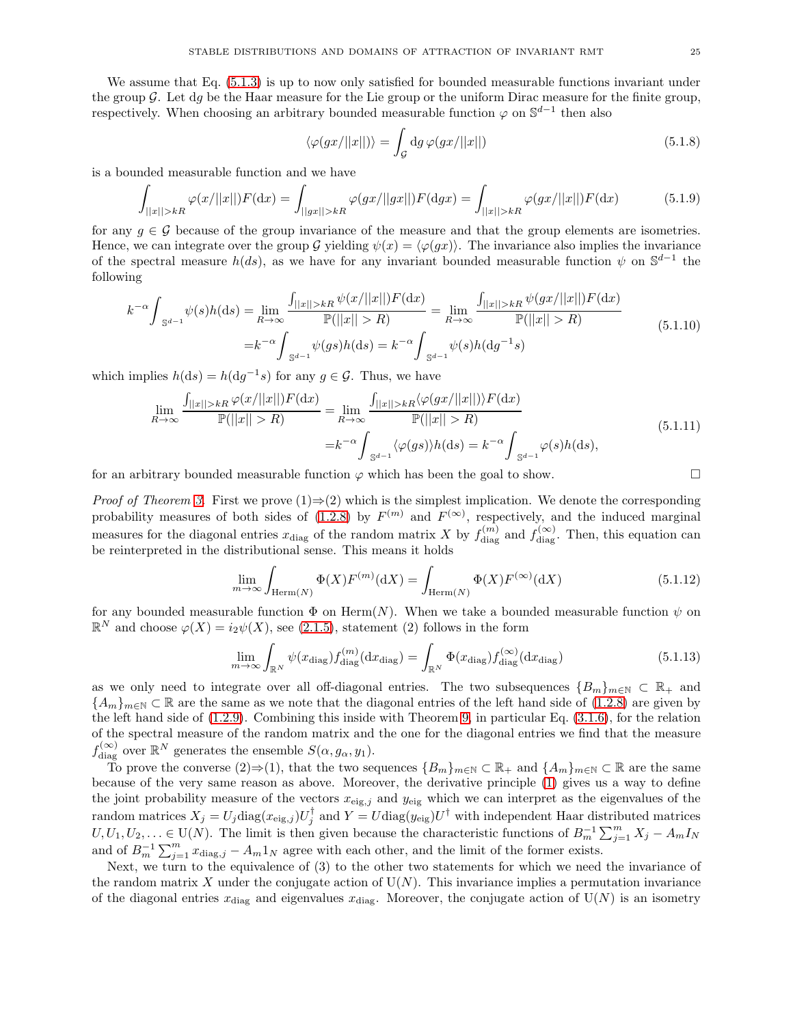We assume that Eq.  $(5.1.3)$  is up to now only satisfied for bounded measurable functions invariant under the group  $\mathcal G$ . Let dg be the Haar measure for the Lie group or the uniform Dirac measure for the finite group, respectively. When choosing an arbitrary bounded measurable function  $\varphi$  on  $\mathbb{S}^{d-1}$  then also

$$
\langle \varphi(gx/||x||)\rangle = \int_{\mathcal{G}} \mathrm{d}g \,\varphi(gx/||x||) \tag{5.1.8}
$$

is a bounded measurable function and we have

$$
\int_{||x||>kR} \varphi(x/||x||)F(\mathrm{d}x) = \int_{||gx||>kR} \varphi(gx/||gx||)F(\mathrm{d}gx) = \int_{||x||>kR} \varphi(gx/||x||)F(\mathrm{d}x) \tag{5.1.9}
$$

for any  $g \in \mathcal{G}$  because of the group invariance of the measure and that the group elements are isometries. Hence, we can integrate over the group G yielding  $\psi(x) = \langle \varphi(gx) \rangle$ . The invariance also implies the invariance of the spectral measure  $h(ds)$ , as we have for any invariant bounded measurable function  $\psi$  on  $\mathbb{S}^{d-1}$  the following

$$
k^{-\alpha} \int_{\mathbb{S}^{d-1}} \psi(s)h(\mathrm{d}s) = \lim_{R \to \infty} \frac{\int_{||x||>kR} \psi(x/||x||)F(\mathrm{d}x)}{\mathbb{P}(||x||>R)} = \lim_{R \to \infty} \frac{\int_{||x||>kR} \psi(gx/||x||)F(\mathrm{d}x)}{\mathbb{P}(||x||>R)} = k^{-\alpha} \int_{\mathbb{S}^{d-1}} \psi(gs)h(\mathrm{d}s) = k^{-\alpha} \int_{\mathbb{S}^{d-1}} \psi(s)h(\mathrm{d}g^{-1}s)
$$
\n(5.1.10)

which implies  $h(ds) = h(dg^{-1}s)$  for any  $g \in \mathcal{G}$ . Thus, we have

$$
\lim_{R \to \infty} \frac{\int_{||x||>kR} \varphi(x/||x||)F(\mathrm{d}x)}{\mathbb{P}(||x||>R)} = \lim_{R \to \infty} \frac{\int_{||x||>kR} \langle \varphi(gx/||x||) \rangle F(\mathrm{d}x)}{\mathbb{P}(||x||>R)}
$$
\n
$$
= k^{-\alpha} \int_{\mathbb{S}^{d-1}} \langle \varphi(gs) \rangle h(\mathrm{d}s) = k^{-\alpha} \int_{\mathbb{S}^{d-1}} \varphi(s)h(\mathrm{d}s),\tag{5.1.11}
$$

for an arbitrary bounded measurable function  $\varphi$  which has been the goal to show.

*Proof of Theorem [3.](#page-3-3)* First we prove  $(1) \Rightarrow (2)$  which is the simplest implication. We denote the corresponding probability measures of both sides of [\(1.2.8\)](#page-3-0) by  $F^{(m)}$  and  $F^{(\infty)}$ , respectively, and the induced marginal measures for the diagonal entries  $x_{\text{diag}}$  of the random matrix X by  $f_{\text{diag}}^{(m)}$  and  $f_{\text{diag}}^{(\infty)}$ . Then, this equation can be reinterpreted in the distributional sense. This means it holds

$$
\lim_{m \to \infty} \int_{\text{Herm}(N)} \Phi(X) F^{(m)}(\text{d}X) = \int_{\text{Herm}(N)} \Phi(X) F^{(\infty)}(\text{d}X) \tag{5.1.12}
$$

for any bounded measurable function  $\Phi$  on Herm(N). When we take a bounded measurable function  $\psi$  on  $\mathbb{R}^N$  and choose  $\varphi(X) = i_2 \psi(X)$ , see [\(2.1.5\)](#page-5-3), statement (2) follows in the form

$$
\lim_{m \to \infty} \int_{\mathbb{R}^N} \psi(x_{\text{diag}}) f_{\text{diag}}^{(m)}(\mathrm{d}x_{\text{diag}}) = \int_{\mathbb{R}^N} \Phi(x_{\text{diag}}) f_{\text{diag}}^{(\infty)}(\mathrm{d}x_{\text{diag}})
$$
\n(5.1.13)

as we only need to integrate over all off-diagonal entries. The two subsequences  ${B_m}_{m \in \mathbb{N}} \subset \mathbb{R}_+$  and  ${A_m}_{m\in\mathbb{N}}\subset\mathbb{R}$  are the same as we note that the diagonal entries of the left hand side of [\(1.2.8\)](#page-3-0) are given by the left hand side of [\(1.2.9\)](#page-3-1). Combining this inside with Theorem [9,](#page-10-4) in particular Eq. [\(3.1.6\)](#page-10-0), for the relation of the spectral measure of the random matrix and the one for the diagonal entries we find that the measure  $f_{\text{diag}}^{(\infty)}$  over  $\mathbb{R}^N$  generates the ensemble  $S(\alpha, g_\alpha, y_1)$ .

To prove the converse  $(2) \Rightarrow (1)$ , that the two sequences  ${B_m}_{m \in \mathbb{N}} \subset \mathbb{R}_+$  and  ${A_m}_{m \in \mathbb{N}} \subset \mathbb{R}$  are the same because of the very same reason as above. Moreover, the derivative principle [\(1\)](#page-1-1) gives us a way to define the joint probability measure of the vectors  $x_{eig,j}$  and  $y_{eig}$  which we can interpret as the eigenvalues of the random matrices  $X_j = U_j \text{diag}(x_{\text{eig},j}) U_j^{\dagger}$  and  $Y = U \text{diag}(y_{\text{eig}}) U^{\dagger}$  with independent Haar distributed matrices  $U, U_1, U_2, \ldots \in U(N)$ . The limit is then given because the characteristic functions of  $B_m^{-1} \sum_{j=1}^m X_j - A_m I_N$ and of  $B_m^{-1} \sum_{j=1}^m x_{\text{diag},j} - A_m 1_N$  agree with each other, and the limit of the former exists.

Next, we turn to the equivalence of (3) to the other two statements for which we need the invariance of the random matrix X under the conjugate action of  $U(N)$ . This invariance implies a permutation invariance of the diagonal entries  $x_{\text{diag}}$  and eigenvalues  $x_{\text{diag}}$ . Moreover, the conjugate action of  $U(N)$  is an isometry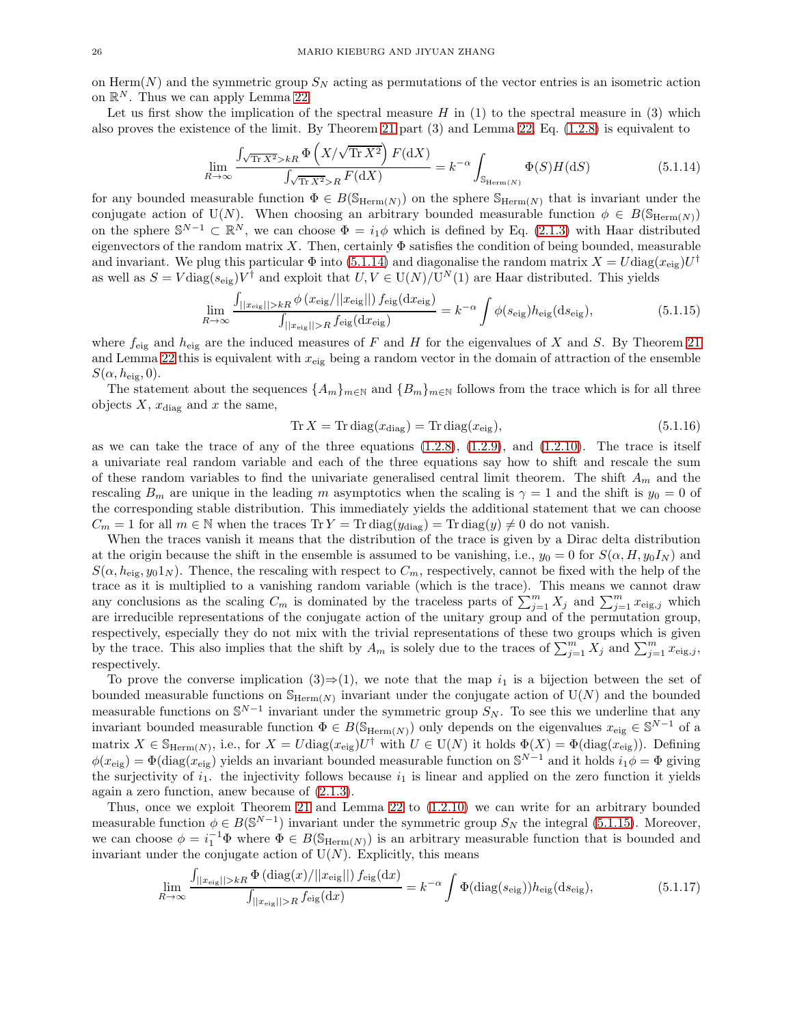on Herm $(N)$  and the symmetric group  $S_N$  acting as permutations of the vector entries is an isometric action on  $\mathbb{R}^N$ . Thus we can apply Lemma [22.](#page-23-0)

Let us first show the implication of the spectral measure  $H$  in (1) to the spectral measure in (3) which also proves the existence of the limit. By Theorem [21](#page-22-2) part (3) and Lemma [22,](#page-23-0) Eq. [\(1.2.8\)](#page-3-0) is equivalent to

<span id="page-25-0"></span>
$$
\lim_{R \to \infty} \frac{\int_{\sqrt{\text{Tr } X^2} > kR} \Phi\left(X/\sqrt{\text{Tr } X^2}\right) F(\text{d}X)}{\int_{\sqrt{\text{Tr } X^2} > R} F(\text{d}X)} = k^{-\alpha} \int_{\mathbb{S}_{\text{Herm}(N)}} \Phi(S) H(\text{d}S)
$$
(5.1.14)

for any bounded measurable function  $\Phi \in B(\mathbb{S}_{\text{Herm}(N)})$  on the sphere  $\mathbb{S}_{\text{Herm}(N)}$  that is invariant under the conjugate action of U(N). When choosing an arbitrary bounded measurable function  $\phi \in B(\mathbb{S}_{\text{Herm}(N)})$ on the sphere  $\mathbb{S}^{N-1} \subset \mathbb{R}^N$ , we can choose  $\Phi = i_1 \phi$  which is defined by Eq. [\(2.1.3\)](#page-4-3) with Haar distributed eigenvectors of the random matrix X. Then, certainly  $\Phi$  satisfies the condition of being bounded, measurable and invariant. We plug this particular  $\Phi$  into [\(5.1.14\)](#page-25-0) and diagonalise the random matrix  $X = U \text{diag}(x_{\text{eig}}) U^{\dagger}$ as well as  $S = V \text{diag}(s_{\text{eig}}) V^{\dagger}$  and exploit that  $U, V \in U(N)/U^N(1)$  are Haar distributed. This yields

<span id="page-25-1"></span>
$$
\lim_{R \to \infty} \frac{\int_{||x_{\text{eig}}||>kR} \phi(x_{\text{eig}}/||x_{\text{eig}}||) f_{\text{eig}}(\text{d}x_{\text{eig}})}{\int_{||x_{\text{eig}}||>R} f_{\text{eig}}(\text{d}x_{\text{eig}})} = k^{-\alpha} \int \phi(s_{\text{eig}}) h_{\text{eig}}(\text{d}s_{\text{eig}}),\tag{5.1.15}
$$

where  $f_{\text{eig}}$  and  $h_{\text{eig}}$  are the induced measures of F and H for the eigenvalues of X and S. By Theorem [21](#page-22-2) and Lemma [22](#page-23-0) this is equivalent with  $x_{eig}$  being a random vector in the domain of attraction of the ensemble  $S(\alpha, h_{\text{eig}}, 0).$ 

The statement about the sequences  ${A_m}_{m\in\mathbb{N}}$  and  ${B_m}_{m\in\mathbb{N}}$  follows from the trace which is for all three objects  $X$ ,  $x_{\text{diag}}$  and  $x$  the same,

$$
\text{Tr}\,X = \text{Tr}\,\text{diag}(x_{\text{diag}}) = \text{Tr}\,\text{diag}(x_{\text{eig}}),\tag{5.1.16}
$$

as we can take the trace of any of the three equations  $(1.2.8)$ ,  $(1.2.9)$ , and  $(1.2.10)$ . The trace is itself a univariate real random variable and each of the three equations say how to shift and rescale the sum of these random variables to find the univariate generalised central limit theorem. The shift  $A_m$  and the rescaling  $B_m$  are unique in the leading m asymptotics when the scaling is  $\gamma = 1$  and the shift is  $y_0 = 0$  of the corresponding stable distribution. This immediately yields the additional statement that we can choose  $C_m = 1$  for all  $m \in \mathbb{N}$  when the traces  $\text{Tr } Y = \text{Tr } \text{diag}(y_{\text{diag}}) = \text{Tr } \text{diag}(y) \neq 0$  do not vanish.

When the traces vanish it means that the distribution of the trace is given by a Dirac delta distribution at the origin because the shift in the ensemble is assumed to be vanishing, i.e.,  $y_0 = 0$  for  $S(\alpha, H, y_0I_N)$  and  $S(\alpha, h_{\text{eig}}, y_0, 1_N)$ . Thence, the rescaling with respect to  $C_m$ , respectively, cannot be fixed with the help of the trace as it is multiplied to a vanishing random variable (which is the trace). This means we cannot draw any conclusions as the scaling  $C_m$  is dominated by the traceless parts of  $\sum_{j=1}^m X_j$  and  $\sum_{j=1}^m x_{\text{eig},j}$  which are irreducible representations of the conjugate action of the unitary group and of the permutation group, respectively, especially they do not mix with the trivial representations of these two groups which is given by the trace. This also implies that the shift by  $A_m$  is solely due to the traces of  $\sum_{j=1}^m X_j$  and  $\sum_{j=1}^m x_{\text{eig},j}$ , respectively.

To prove the converse implication  $(3) \Rightarrow (1)$ , we note that the map  $i_1$  is a bijection between the set of bounded measurable functions on  $\mathbb{S}_{\text{Herm}(N)}$  invariant under the conjugate action of  $\mathrm{U}(N)$  and the bounded measurable functions on  $\mathbb{S}^{N-1}$  invariant under the symmetric group  $S_N$ . To see this we underline that any invariant bounded measurable function  $\Phi \in B(\mathbb{S}_{\text{Herm}(N)})$  only depends on the eigenvalues  $x_{\text{eig}} \in \mathbb{S}^{N-1}$  of a matrix  $X \in \mathbb{S}_{\text{Herm}(N)}$ , i.e., for  $X = U \text{diag}(x_{\text{eig}})U^{\dagger}$  with  $U \in U(N)$  it holds  $\Phi(X) = \Phi(\text{diag}(x_{\text{eig}}))$ . Defining  $\phi(x_{\text{eig}}) = \Phi(\text{diag}(x_{\text{eig}}))$  yields an invariant bounded measurable function on  $\mathbb{S}^{N-1}$  and it holds  $i_1\phi = \Phi$  giving the surjectivity of  $i_1$ . the injectivity follows because  $i_1$  is linear and applied on the zero function it yields again a zero function, anew because of [\(2.1.3\)](#page-4-3).

Thus, once we exploit Theorem [21](#page-22-2) and Lemma [22](#page-23-0) to [\(1.2.10\)](#page-3-2) we can write for an arbitrary bounded measurable function  $\phi \in B(\mathbb{S}^{N-1})$  invariant under the symmetric group  $S_N$  the integral [\(5.1.15\)](#page-25-1). Moreover, we can choose  $\phi = i_1^{-1} \Phi$  where  $\Phi \in B(\mathbb{S}_{\text{Herm}(N)})$  is an arbitrary measurable function that is bounded and invariant under the conjugate action of  $U(N)$ . Explicitly, this means

<span id="page-25-2"></span>
$$
\lim_{R \to \infty} \frac{\int_{||x_{\text{eig}}||>kR} \Phi(\text{diag}(x)/||x_{\text{eig}}||) f_{\text{eig}}(\text{d}x)}{\int_{||x_{\text{eig}}||>R} f_{\text{eig}}(\text{d}x)} = k^{-\alpha} \int \Phi(\text{diag}(s_{\text{eig}})) h_{\text{eig}}(\text{d}s_{\text{eig}}),\tag{5.1.17}
$$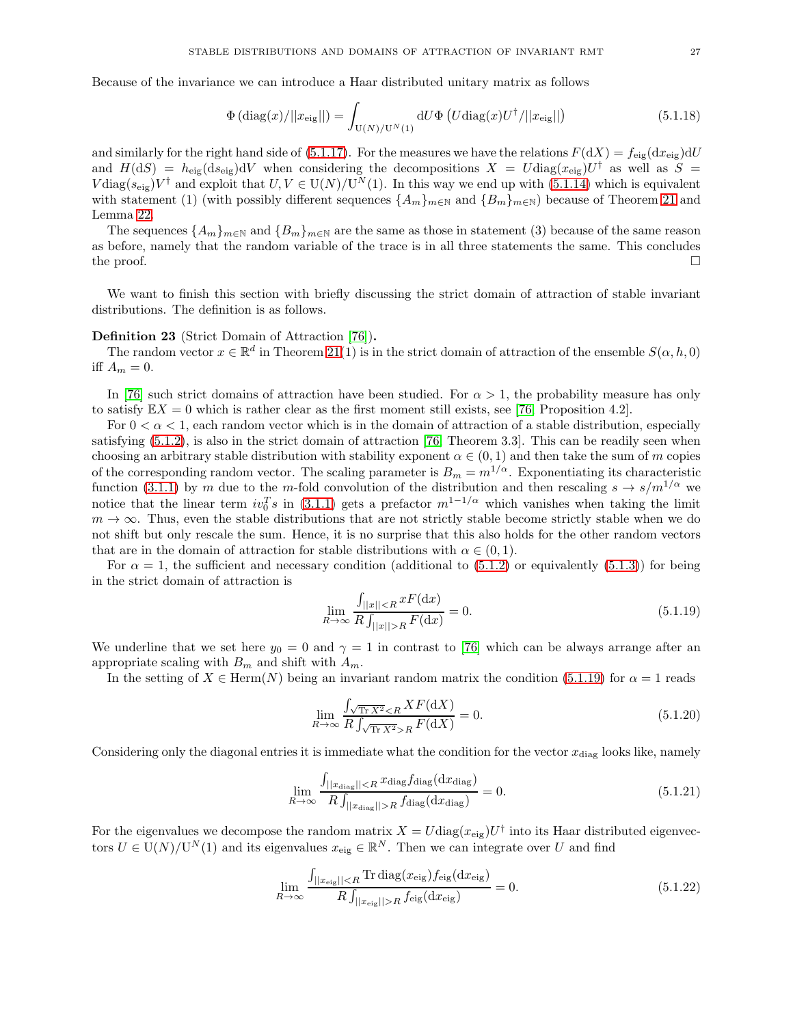Because of the invariance we can introduce a Haar distributed unitary matrix as follows

$$
\Phi\left(\text{diag}(x)/||x_{\text{eig}}||\right) = \int_{\mathcal{U}(N)/\mathcal{U}^N(1)} dU \Phi\left(U \text{diag}(x) U^\dagger / ||x_{\text{eig}}||\right) \tag{5.1.18}
$$

and similarly for the right hand side of [\(5.1.17\)](#page-25-2). For the measures we have the relations  $F(dX) = f_{\text{eig}}(dx_{\text{eig}})dU$ and  $H(\text{d}S) = h_{\text{eig}}(\text{d}S_{\text{eig}})dV$  when considering the decompositions  $X = U \text{diag}(x_{\text{eig}})U^{\dagger}$  as well as  $S =$  $V \text{diag}(s_{\text{eig}}) V^{\dagger}$  and exploit that  $U, V \in U(N)/U^N(1)$ . In this way we end up with [\(5.1.14\)](#page-25-0) which is equivalent with statement (1) (with possibly different sequences  $\{A_m\}_{m\in\mathbb{N}}$  and  $\{B_m\}_{m\in\mathbb{N}}$ ) because of Theorem [21](#page-22-2) and Lemma [22.](#page-23-0)

The sequences  ${A_m}_{m\in\mathbb{N}}$  and  ${B_m}_{m\in\mathbb{N}}$  are the same as those in statement (3) because of the same reason as before, namely that the random variable of the trace is in all three statements the same. This concludes the proof.  $\Box$ 

We want to finish this section with briefly discussing the strict domain of attraction of stable invariant distributions. The definition is as follows.

# Definition 23 (Strict Domain of Attraction [\[76\]](#page-35-17)).

The random vector  $x \in \mathbb{R}^d$  in Theorem [21\(](#page-22-2)1) is in the strict domain of attraction of the ensemble  $S(\alpha, h, 0)$ iff  $A_m = 0$ .

In [\[76\]](#page-35-17) such strict domains of attraction have been studied. For  $\alpha > 1$ , the probability measure has only to satisfy  $\mathbb{E}X = 0$  which is rather clear as the first moment still exists, see [\[76,](#page-35-17) Proposition 4.2].

For  $0 < \alpha < 1$ , each random vector which is in the domain of attraction of a stable distribution, especially satisfying [\(5.1.2\)](#page-22-3), is also in the strict domain of attraction [\[76,](#page-35-17) Theorem 3.3]. This can be readily seen when choosing an arbitrary stable distribution with stability exponent  $\alpha \in (0,1)$  and then take the sum of m copies of the corresponding random vector. The scaling parameter is  $B_m = m^{1/\alpha}$ . Exponentiating its characteristic function [\(3.1.1\)](#page-9-2) by m due to the m-fold convolution of the distribution and then rescaling  $s \to s/m^{1/\alpha}$  we notice that the linear term  $iv_0^T s$  in [\(3.1.1\)](#page-9-2) gets a prefactor  $m^{1-1/\alpha}$  which vanishes when taking the limit  $m \to \infty$ . Thus, even the stable distributions that are not strictly stable become strictly stable when we do not shift but only rescale the sum. Hence, it is no surprise that this also holds for the other random vectors that are in the domain of attraction for stable distributions with  $\alpha \in (0,1)$ .

For  $\alpha = 1$ , the sufficient and necessary condition (additional to [\(5.1.2\)](#page-22-3) or equivalently [\(5.1.3\)](#page-22-4)) for being in the strict domain of attraction is

<span id="page-26-0"></span>
$$
\lim_{R \to \infty} \frac{\int_{||x|| < R} x F(\mathrm{d}x)}{R \int_{||x|| > R} F(\mathrm{d}x)} = 0. \tag{5.1.19}
$$

We underline that we set here  $y_0 = 0$  and  $\gamma = 1$  in contrast to [\[76\]](#page-35-17) which can be always arrange after an appropriate scaling with  $B_m$  and shift with  $A_m$ .

In the setting of  $X \in \text{Herm}(N)$  being an invariant random matrix the condition [\(5.1.19\)](#page-26-0) for  $\alpha = 1$  reads

$$
\lim_{R \to \infty} \frac{\int_{\sqrt{\text{Tr } X^2} < R} X F(\text{d}X)}{R \int_{\sqrt{\text{Tr } X^2} > R} F(\text{d}X)} = 0. \tag{5.1.20}
$$

Considering only the diagonal entries it is immediate what the condition for the vector  $x_{\text{diag}}$  looks like, namely

$$
\lim_{R \to \infty} \frac{\int_{||x_{\text{diag}}|| < R} x_{\text{diag}} f_{\text{diag}}(dx_{\text{diag}})}{R \int_{||x_{\text{diag}}|| > R} f_{\text{diag}}(dx_{\text{diag}})} = 0. \tag{5.1.21}
$$

For the eigenvalues we decompose the random matrix  $X = U \text{diag}(x_{\text{eig}}) U^{\dagger}$  into its Haar distributed eigenvectors  $U \in U(N)/U^N(1)$  and its eigenvalues  $x_{\text{eig}} \in \mathbb{R}^N$ . Then we can integrate over U and find

$$
\lim_{R \to \infty} \frac{\int_{||x_{\text{eig}}|| < R} \text{Tr } \text{diag}(x_{\text{eig}}) f_{\text{eig}}(dx_{\text{eig}})}{R \int_{||x_{\text{eig}}|| > R} f_{\text{eig}}(dx_{\text{eig}})} = 0.
$$
\n(5.1.22)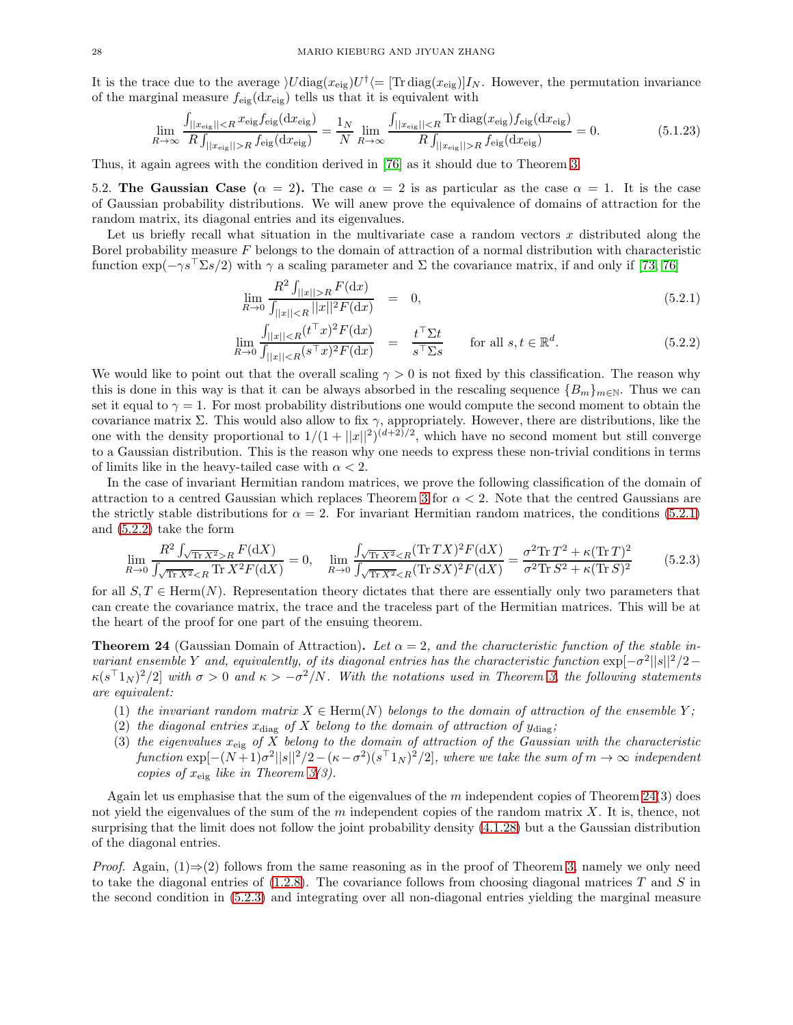It is the trace due to the average  $\bigU$ diag $(x_{\text{eig}})U^{\dagger}$  = [Tr diag $(x_{\text{eig}})I_N$ . However, the permutation invariance of the marginal measure  $f_{\text{eig}}(dx_{\text{eig}})$  tells us that it is equivalent with

$$
\lim_{R \to \infty} \frac{\int_{||x_{\text{eig}}|| < R} x_{\text{eig}} f_{\text{eig}}(dx_{\text{eig}})}{R \int_{||x_{\text{eig}}|| > R} f_{\text{eig}}(dx_{\text{eig}})} = \frac{1_N}{N} \lim_{R \to \infty} \frac{\int_{||x_{\text{eig}}|| < R} \text{Tr } \text{diag}(x_{\text{eig}}) f_{\text{eig}}(dx_{\text{eig}})}{R \int_{||x_{\text{eig}}|| > R} f_{\text{eig}}(dx_{\text{eig}})} = 0. \tag{5.1.23}
$$

<span id="page-27-1"></span>Thus, it again agrees with the condition derived in [\[76\]](#page-35-17) as it should due to Theorem [3.](#page-3-3)

5.2. The Gaussian Case  $(\alpha = 2)$ . The case  $\alpha = 2$  is as particular as the case  $\alpha = 1$ . It is the case of Gaussian probability distributions. We will anew prove the equivalence of domains of attraction for the random matrix, its diagonal entries and its eigenvalues.

Let us briefly recall what situation in the multivariate case a random vectors  $x$  distributed along the Borel probability measure  $F$  belongs to the domain of attraction of a normal distribution with characteristic function  $\exp(-\gamma s^{\dagger} \Sigma s/2)$  with  $\gamma$  a scaling parameter and  $\Sigma$  the covariance matrix, if and only if [\[73,](#page-35-23) [76\]](#page-35-17)

<span id="page-27-2"></span>
$$
\lim_{R \to 0} \frac{R^2 \int_{||x||>R} F(\mathrm{d}x)}{\int_{||x||\n(5.2.1)
$$

$$
\lim_{R \to 0} \frac{\int_{||x|| < R} (t^{\top} x)^2 F(\mathrm{d} x)}{\int_{||x|| < R} (s^{\top} x)^2 F(\mathrm{d} x)} = \frac{t^{\top} \Sigma t}{s^{\top} \Sigma s} \qquad \text{for all } s, t \in \mathbb{R}^d. \tag{5.2.2}
$$

We would like to point out that the overall scaling  $\gamma > 0$  is not fixed by this classification. The reason why this is done in this way is that it can be always absorbed in the rescaling sequence  ${B_m}_{m \in N}$ . Thus we can set it equal to  $\gamma = 1$ . For most probability distributions one would compute the second moment to obtain the covariance matrix  $\Sigma$ . This would also allow to fix  $\gamma$ , appropriately. However, there are distributions, like the one with the density proportional to  $1/(1+||x||^2)^{(d+2)/2}$ , which have no second moment but still converge to a Gaussian distribution. This is the reason why one needs to express these non-trivial conditions in terms of limits like in the heavy-tailed case with  $\alpha < 2$ .

In the case of invariant Hermitian random matrices, we prove the following classification of the domain of attraction to a centred Gaussian which replaces Theorem [3](#page-3-3) for  $\alpha < 2$ . Note that the centred Gaussians are the strictly stable distributions for  $\alpha = 2$ . For invariant Hermitian random matrices, the conditions [\(5.2.1\)](#page-27-2) and [\(5.2.2\)](#page-27-2) take the form

<span id="page-27-3"></span>
$$
\lim_{R \to 0} \frac{R^2 \int_{\sqrt{\text{Tr } X^2} > R} F(\text{d}X)}{\int_{\sqrt{\text{Tr } X^2} < R} \text{Tr } X^2 F(\text{d}X)} = 0, \quad \lim_{R \to 0} \frac{\int_{\sqrt{\text{Tr } X^2} < R} (\text{Tr } TX)^2 F(\text{d}X)}{\int_{\sqrt{\text{Tr } X^2} < R} (\text{Tr } SX)^2 F(\text{d}X)} = \frac{\sigma^2 \text{Tr } T^2 + \kappa (\text{Tr } T)^2}{\sigma^2 \text{Tr } S^2 + \kappa (\text{Tr } S)^2}
$$
(5.2.3)

for all  $S, T \in \text{Herm}(N)$ . Representation theory dictates that there are essentially only two parameters that can create the covariance matrix, the trace and the traceless part of the Hermitian matrices. This will be at the heart of the proof for one part of the ensuing theorem.

<span id="page-27-0"></span>**Theorem 24** (Gaussian Domain of Attraction). Let  $\alpha = 2$ , and the characteristic function of the stable in*variant ensemble* Y *and, equivalently, of its diagonal entries has the characteristic function*  $\exp[-\sigma^2 ||s||^2/2 \kappa(s^{\top}1_N)^2/2$  with  $\sigma > 0$  and  $\kappa > -\sigma^2/N$ . With the notations used in Theorem [3,](#page-3-3) the following statements *are equivalent:*

- (1) the invariant random matrix  $X \in \text{Herm}(N)$  belongs to the domain of attraction of the ensemble Y;
- (2) the diagonal entries  $x_{\text{diag}}$  of X belong to the domain of attraction of  $y_{\text{diag}}$ ;
- (3) *the eigenvalues* xeig *of* X *belong to the domain of attraction of the Gaussian with the characteristic*  $function \exp[-(N+1)\sigma^2||s||^2/2-(\kappa-\sigma^2)(s^{\top}1_N)^2/2]$ *, where we take the sum of*  $m \to \infty$  *independent copies of*  $x_{eig}$  *like in Theorem [3\(](#page-3-3)3).*

Again let us emphasise that the sum of the eigenvalues of the  $m$  independent copies of Theorem [24\(](#page-27-0)3) does not yield the eigenvalues of the sum of the m independent copies of the random matrix  $X$ . It is, thence, not surprising that the limit does not follow the joint probability density [\(4.1.28\)](#page-18-0) but a the Gaussian distribution of the diagonal entries.

*Proof.* Again,  $(1) \Rightarrow (2)$  follows from the same reasoning as in the proof of Theorem [3,](#page-3-3) namely we only need to take the diagonal entries of  $(1.2.8)$ . The covariance follows from choosing diagonal matrices T and S in the second condition in [\(5.2.3\)](#page-27-3) and integrating over all non-diagonal entries yielding the marginal measure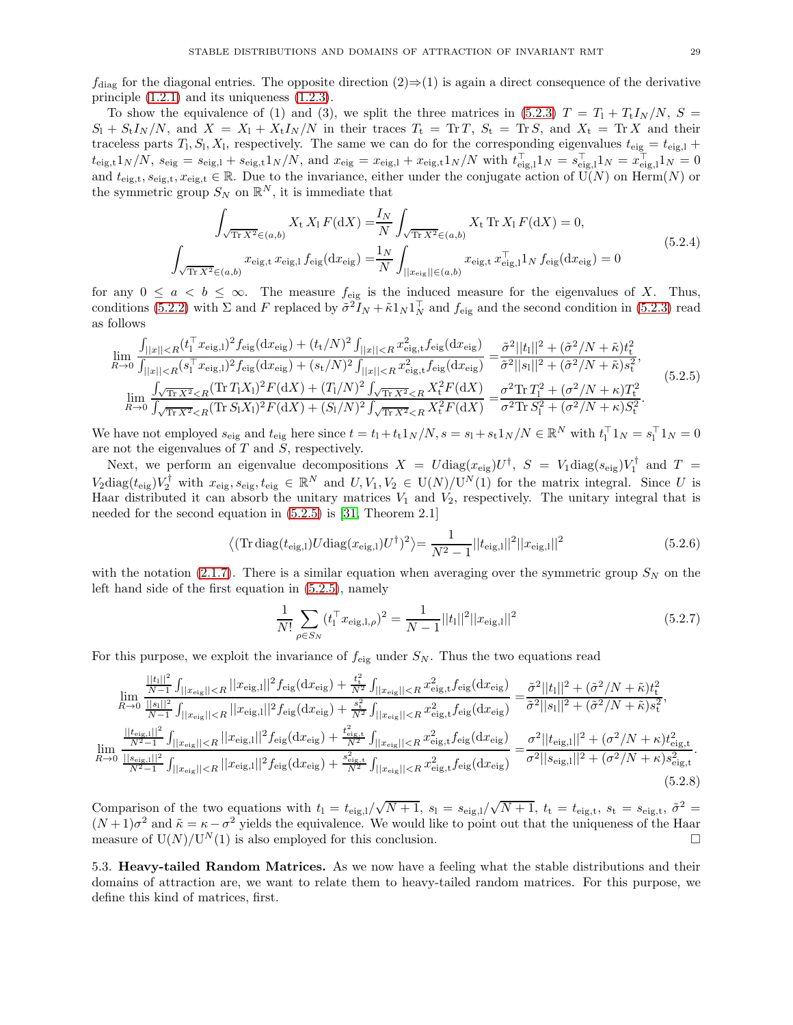$f_{\text{diag}}$  for the diagonal entries. The opposite direction  $(2) \Rightarrow (1)$  is again a direct consequence of the derivative principle [\(1.2.1\)](#page-2-1) and its uniqueness [\(1.2.3\)](#page-2-4).

To show the equivalence of (1) and (3), we split the three matrices in [\(5.2.3\)](#page-27-3)  $T = T_1 + T_tI_N/N$ ,  $S =$  $S_1 + S_t I_N/N$ , and  $X = X_1 + X_t I_N/N$  in their traces  $T_t = \text{Tr } T$ ,  $S_t = \text{Tr } S$ , and  $X_t = \text{Tr } X$  and their traceless parts  $T_1, S_1, X_1$ , respectively. The same we can do for the corresponding eigenvalues  $t_{\text{eig}} = t_{\text{eig,1}} +$  $t_{\text{eig,t}}1_N/N$ ,  $s_{\text{eig}} = s_{\text{eig,1}} + s_{\text{eig,t}}1_N/N$ , and  $x_{\text{eig}} = x_{\text{eig,1}} + x_{\text{eig,t}}1_N/N$  with  $t_{\text{eig,1}}^{\perp}1_N = s_{\text{eig,1}}^{\perp}1_N = x_{\text{eig,1}}^{\perp}1_N = 0$ and  $t_{\text{eig},t}$ ,  $s_{\text{eig},t}$ ,  $x_{\text{eig},t} \in \mathbb{R}$ . Due to the invariance, either under the conjugate action of  $\widetilde{U}(N)$  on Herm $(N)$  or the symmetric group  $S_N$  on  $\mathbb{R}^N$ , it is immediate that

$$
\int_{\sqrt{\text{Tr } X^2} \in (a,b)} X_t X_1 F(\text{d}X) = \frac{I_N}{N} \int_{\sqrt{\text{Tr } X^2} \in (a,b)} X_t \text{ Tr } X_1 F(\text{d}X) = 0,
$$
\n
$$
\int_{\sqrt{\text{Tr } X^2} \in (a,b)} x_{\text{eig},t} x_{\text{eig},1} f_{\text{eig}}(\text{d}x_{\text{eig}}) = \frac{1_N}{N} \int_{||x_{\text{eig}}|| \in (a,b)} x_{\text{eig},t} x_{\text{eig},1}^\top 1_N f_{\text{eig}}(\text{d}x_{\text{eig}}) = 0
$$
\n(5.2.4)

for any  $0 \le a < b \le \infty$ . The measure  $f_{\text{eig}}$  is the induced measure for the eigenvalues of X. Thus, conditions [\(5.2.2\)](#page-27-2) with  $\Sigma$  and F replaced by  $\tilde{\sigma}^2 I_N + \tilde{\kappa} 1_N 1_N^{\top}$  and  $f_{\text{eig}}$  and the second condition in [\(5.2.3\)](#page-27-3) read as follows

<span id="page-28-1"></span>
$$
\lim_{R \to 0} \frac{\int_{||x|| < R} (t_1^\top x_{\text{eig,1}})^2 f_{\text{eig}}(\mathrm{d}x_{\text{eig}}) + (t_t/N)^2 \int_{||x|| < R} x_{\text{eig,t}}^2 f_{\text{eig}}(\mathrm{d}x_{\text{eig}})}{\int_{||x|| < R} (s_1^\top x_{\text{eig,1}})^2 f_{\text{eig}}(\mathrm{d}x_{\text{eig}}) + (s_t/N)^2 \int_{||x|| < R} x_{\text{eig,t}}^2 f_{\text{eig}}(\mathrm{d}x_{\text{eig}})} = \frac{\tilde{\sigma}^2 ||t_1||^2 + (\tilde{\sigma}^2/N + \tilde{\kappa}) t_t^2}{\tilde{\sigma}^2 ||s_1||^2 + (\tilde{\sigma}^2/N + \tilde{\kappa}) s_t^2},
$$
\n
$$
\lim_{R \to 0} \frac{\int_{\sqrt{\text{Tr } X^2} < R} (\text{Tr } T_1 X_1)^2 F(\mathrm{d}X) + (T_1/N)^2 \int_{\sqrt{\text{Tr } X^2} < R} X_t^2 F(\mathrm{d}X)}{\int_{\sqrt{\text{Tr } X^2} < R} (\text{Tr } S_1 X_1)^2 F(\mathrm{d}X) + (S_1/N)^2 \int_{\sqrt{\text{Tr } X^2} < R} X_t^2 F(\mathrm{d}X)} = \frac{\sigma^2 \text{Tr } T_1^2 + (\sigma^2/N + \kappa) T_t^2}{\sigma^2 \text{Tr } S_1^2 + (\sigma^2/N + \kappa) S_t^2}.
$$
\n(5.2.5)

We have not employed  $s_{\text{eig}}$  and  $t_{\text{eig}}$  here since  $t = t_1 + t_1 \cdot 1_N/N$ ,  $s = s_1 + s_1 \cdot 1_N/N \in \mathbb{R}^N$  with  $t_1^{\top} 1_N = s_1^{\top} 1_N = 0$ are not the eigenvalues of  $T$  and  $S$ , respectively.

Next, we perform an eigenvalue decompositions  $X = U \text{diag}(x_{\text{eig}}) U^{\dagger}$ ,  $S = V_1 \text{diag}(s_{\text{eig}}) V_1^{\dagger}$  and  $T =$  $V_2 \text{diag}(t_{\text{eig}}) V_2^{\dagger}$  with  $x_{\text{eig}}, s_{\text{eig}}, t_{\text{eig}} \in \mathbb{R}^N$  and  $U, V_1, V_2 \in U(N)/U^N(1)$  for the matrix integral. Since U is Haar distributed it can absorb the unitary matrices  $V_1$  and  $V_2$ , respectively. The unitary integral that is needed for the second equation in [\(5.2.5\)](#page-28-1) is [\[31,](#page-34-27) Theorem 2.1]

$$
\langle (\text{Tr diag}(t_{\text{eig,l}})U \text{diag}(x_{\text{eig,l}})U^{\dagger})^2 \rangle = \frac{1}{N^2 - 1} ||t_{\text{eig,l}}||^2 ||x_{\text{eig,l}}||^2
$$
 (5.2.6)

with the notation [\(2.1.7\)](#page-5-1). There is a similar equation when averaging over the symmetric group  $S_N$  on the left hand side of the first equation in [\(5.2.5\)](#page-28-1), namely

$$
\frac{1}{N!} \sum_{\rho \in S_N} (t_1^\top x_{\text{eig},l,\rho})^2 = \frac{1}{N-1} ||t_1||^2 ||x_{\text{eig},l}||^2 \tag{5.2.7}
$$

For this purpose, we exploit the invariance of  $f_{\text{eig}}$  under  $S_N$ . Thus the two equations read

$$
\lim_{R \to 0} \frac{\frac{||t_{1}||^{2}}{||s||^{2}} \int_{||x_{\text{eig}}|| < R} ||x_{\text{eig},1}||^{2} f_{\text{eig}}(dx_{\text{eig}}) + \frac{t_{\text{t}}^{2}}{N^{2}} \int_{||x_{\text{eig}}|| < R} x_{\text{eig},t}^{2} f_{\text{eig}}(dx_{\text{eig}})}{||s||^{2} + (\tilde{\sigma}^{2}/N + \tilde{\kappa})t_{\text{t}}^{2}},
$$
\n
$$
\lim_{R \to 0} \frac{\frac{||t_{\text{eig}}||^{2}}{||s||^{2}} \int_{||x_{\text{eig}}|| < R} ||x_{\text{eig},1}||^{2} f_{\text{eig}}(dx_{\text{eig}}) + \frac{s_{\text{t}}^{2}}{N^{2}} \int_{||x_{\text{eig}}|| < R} x_{\text{eig},t}^{2} f_{\text{eig}}(dx_{\text{eig}})}{||s||^{2} + (\tilde{\sigma}^{2}/N + \tilde{\kappa})s_{\text{t}}^{2}},
$$
\n
$$
\lim_{R \to 0} \frac{\frac{||t_{\text{eig},1}||^{2}}{N^{2} - 1} \int_{||x_{\text{eig}}|| < R} ||x_{\text{eig},1}||^{2} f_{\text{eig}}(dx_{\text{eig}}) + \frac{t_{\text{eig},t}^{2}}{N^{2}} \int_{||x_{\text{eig}}|| < R} x_{\text{eig},t}^{2} f_{\text{eig}}(dx_{\text{eig}})}{||x_{\text{eig},1}||^{2} + (\tilde{\sigma}^{2}/N + \kappa)t_{\text{eig},t}^{2}}{|\tilde{\sigma}^{2}||s_{\text{eig},1}||^{2} + (\tilde{\sigma}^{2}/N + \kappa)t_{\text{eig},t}^{2}}.
$$
\n
$$
(5.2.8)
$$

Comparison of the two equations with  $t_1 = t_{\text{eig},l}/\sqrt{N+1}$ ,  $s_1 = s_{\text{eig},l}/\sqrt{N+1}$ ,  $t_t = t_{\text{eig},t}$ ,  $s_t = s_{\text{eig},t}$ ,  $\tilde{\sigma}^2 =$  $(N+1)\sigma^2$  and  $\tilde{\kappa} = \kappa - \sigma^2$  yields the equivalence. We would like to point out that the uniqueness of the Haar measure of  $U(N)/U^N(1)$  is also employed for this conclusion.

<span id="page-28-0"></span>5.3. Heavy-tailed Random Matrices. As we now have a feeling what the stable distributions and their domains of attraction are, we want to relate them to heavy-tailed random matrices. For this purpose, we define this kind of matrices, first.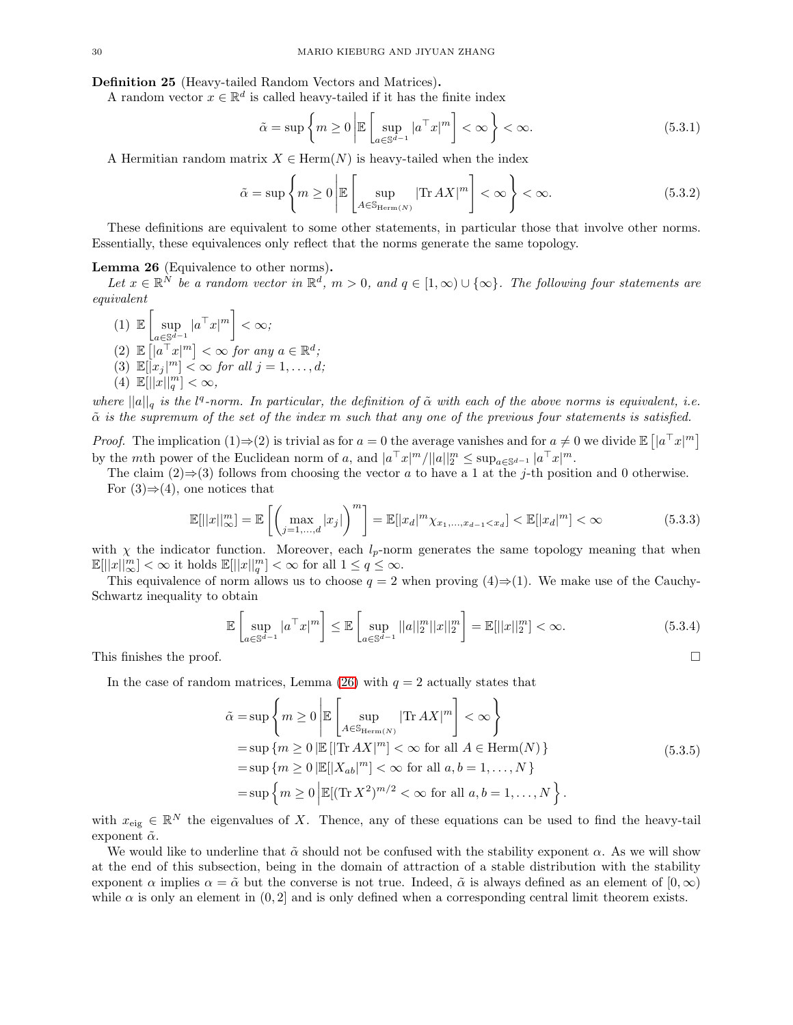<span id="page-29-0"></span>Definition 25 (Heavy-tailed Random Vectors and Matrices).

A random vector  $x \in \mathbb{R}^d$  is called heavy-tailed if it has the finite index

$$
\tilde{\alpha} = \sup \left\{ m \ge 0 \, \middle| \mathbb{E} \left[ \sup_{a \in \mathbb{S}^{d-1}} |a^{\top} x|^m \right] < \infty \right\} < \infty. \tag{5.3.1}
$$

A Hermitian random matrix  $X \in \text{Herm}(N)$  is heavy-tailed when the index

$$
\tilde{\alpha} = \sup \left\{ m \ge 0 \, \middle| \mathbb{E} \left[ \sup_{A \in \mathbb{S}_{\mathrm{Herm}(N)}} |\text{Tr } AX|^m \right] < \infty \right\} < \infty. \tag{5.3.2}
$$

These definitions are equivalent to some other statements, in particular those that involve other norms. Essentially, these equivalences only reflect that the norms generate the same topology.

### <span id="page-29-1"></span>Lemma 26 (Equivalence to other norms).

Let  $x \in \mathbb{R}^N$  be a random vector in  $\mathbb{R}^d$ ,  $m > 0$ , and  $q \in [1, \infty) \cup \{\infty\}$ . The following four statements are *equivalent*

 $(1) \mathbb{E} \left[ \begin{array}{c} 1 \end{array} \right]$  $\sup_{a\in\mathbb{S}^{d-1}}|a^{\top}x|^m\bigg]<\infty;$  $(2)$   $\mathbb{E}\left[\left|a^{\top}x\right|^m\right] < \infty$  for any  $a \in \mathbb{R}^d$ ;  $(3)$   $\mathbb{E}[|x_j|^m] < \infty$  *for all*  $j = 1, ..., d;$ (4)  $\mathbb{E}[||x||_q^m] < \infty$ ,

*where*  $||a||_q$  *is the*  $l^q$ -norm. In particular, the definition of  $\tilde{\alpha}$  *with each of the above norms is equivalent, i.e.* α˜ *is the supremum of the set of the index* m *such that any one of the previous four statements is satisfied.*

*Proof.* The implication  $(1) \Rightarrow (2)$  is trivial as for  $a = 0$  the average vanishes and for  $a \neq 0$  we divide  $\mathbb{E} \left[ |a^{\top} x|^m \right]$ by the mth power of the Euclidean norm of a, and  $|a^{\top}x|^m/||a||_2^m \leq \sup_{a \in \mathbb{S}^{d-1}} |a^{\top}x|^m$ .

The claim (2)⇒(3) follows from choosing the vector a to have a 1 at the j-th position and 0 otherwise. For  $(3) \Rightarrow (4)$ , one notices that

$$
\mathbb{E}[||x||_{\infty}^{m}] = \mathbb{E}\left[\left(\max_{j=1,...,d} |x_{j}|\right)^{m}\right] = \mathbb{E}[|x_{d}|^{m} \chi_{x_{1},...,x_{d-1} < x_{d}}] < \mathbb{E}[|x_{d}|^{m}] < \infty
$$
\n(5.3.3)

with  $\chi$  the indicator function. Moreover, each  $l_p$ -norm generates the same topology meaning that when  $\mathbb{E}[||x||_{\infty}^{m}] < \infty$  it holds  $\mathbb{E}[||x||_{q}^{m}] < \infty$  for all  $1 \leq q \leq \infty$ .

This equivalence of norm allows us to choose  $q = 2$  when proving  $(4) \Rightarrow (1)$ . We make use of the Cauchy-Schwartz inequality to obtain

$$
\mathbb{E}\left[\sup_{a\in\mathbb{S}^{d-1}}|a^{\top}x|^m\right] \leq \mathbb{E}\left[\sup_{a\in\mathbb{S}^{d-1}}||a||_2^m||x||_2^m\right] = \mathbb{E}[||x||_2^m] < \infty.
$$
 (5.3.4)

This finishes the proof.  $\square$ 

In the case of random matrices, Lemma [\(26\)](#page-29-1) with  $q = 2$  actually states that

$$
\tilde{\alpha} = \sup \left\{ m \ge 0 \, \middle| \mathbb{E} \left[ \sup_{A \in \mathbb{S}_{\text{Herm}(N)}} |\text{Tr} \, AX|^m \right] < \infty \right\}
$$
\n
$$
= \sup \left\{ m \ge 0 \, \middle| \mathbb{E} \left[ |\text{Tr} \, AX|^m \right] < \infty \text{ for all } A \in \text{Herm}(N) \right\}
$$
\n
$$
= \sup \left\{ m \ge 0 \, \middle| \mathbb{E} \left[ |X_{ab}|^m \right] < \infty \text{ for all } a, b = 1, \dots, N \right\}
$$
\n
$$
= \sup \left\{ m \ge 0 \, \middle| \mathbb{E} \left[ (\text{Tr} \, X^2)^{m/2} < \infty \text{ for all } a, b = 1, \dots, N \right\} \right\}.
$$
\n(5.3.5)

<span id="page-29-2"></span>with  $x_{\text{eig}} \in \mathbb{R}^N$  the eigenvalues of X. Thence, any of these equations can be used to find the heavy-tail exponent  $\tilde{\alpha}$ .

We would like to underline that  $\tilde{\alpha}$  should not be confused with the stability exponent  $\alpha$ . As we will show at the end of this subsection, being in the domain of attraction of a stable distribution with the stability exponent  $\alpha$  implies  $\alpha = \tilde{\alpha}$  but the converse is not true. Indeed,  $\tilde{\alpha}$  is always defined as an element of  $[0, \infty)$ while  $\alpha$  is only an element in  $(0, 2]$  and is only defined when a corresponding central limit theorem exists.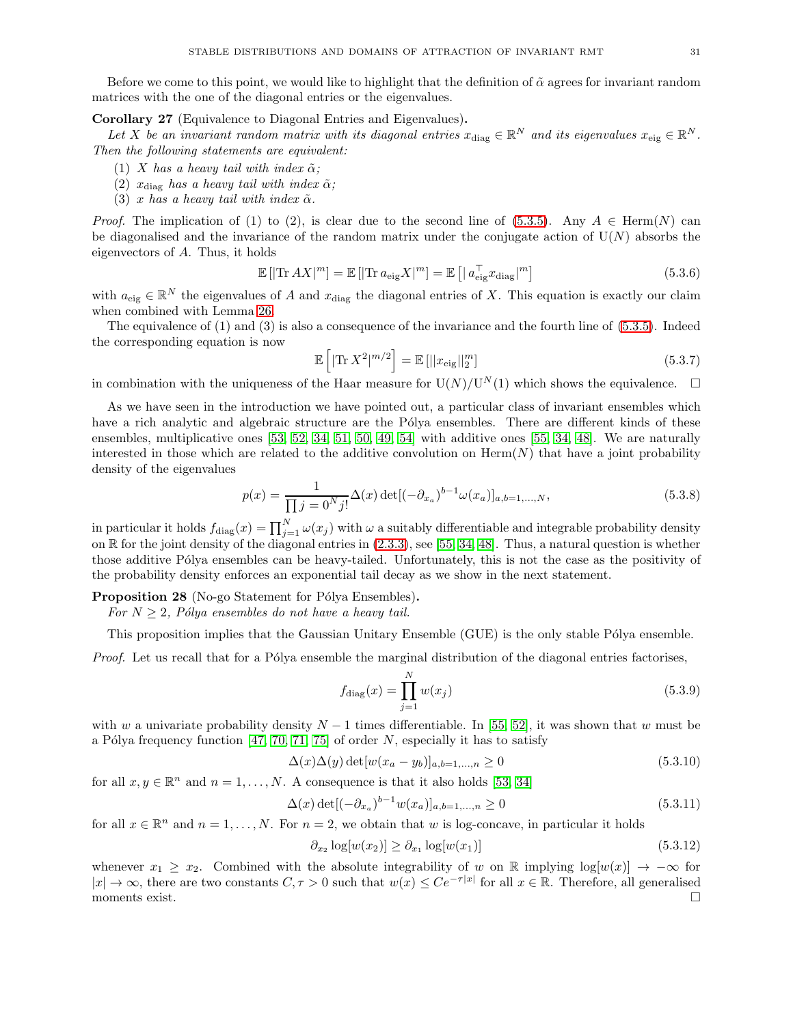Before we come to this point, we would like to highlight that the definition of  $\tilde{\alpha}$  agrees for invariant random matrices with the one of the diagonal entries or the eigenvalues.

<span id="page-30-0"></span>Corollary 27 (Equivalence to Diagonal Entries and Eigenvalues).

Let X be an invariant random matrix with its diagonal entries  $x_{\text{diag}} \in \mathbb{R}^N$  and its eigenvalues  $x_{\text{eig}} \in \mathbb{R}^N$ . *Then the following statements are equivalent:*

- (1) X has a heavy tail with index  $\tilde{\alpha}$ ;
- (2)  $x_{\text{diag}}$  *has a heavy tail with index*  $\tilde{\alpha}$ *;*
- (3) x has a heavy tail with index  $\tilde{\alpha}$ .

*Proof.* The implication of (1) to (2), is clear due to the second line of [\(5.3.5\)](#page-29-2). Any  $A \in \text{Herm}(N)$  can be diagonalised and the invariance of the random matrix under the conjugate action of  $U(N)$  absorbs the eigenvectors of A. Thus, it holds

$$
\mathbb{E}\left[|\text{Tr}\,AX|^m\right] = \mathbb{E}\left[|\text{Tr}\,a_{\text{eig}}X|^m\right] = \mathbb{E}\left[|a_{\text{eig}}^\top x_{\text{diag}}|^m\right] \tag{5.3.6}
$$

with  $a_{\text{eig}} \in \mathbb{R}^N$  the eigenvalues of A and  $x_{\text{diag}}$  the diagonal entries of X. This equation is exactly our claim when combined with Lemma [26.](#page-29-1)

The equivalence of (1) and (3) is also a consequence of the invariance and the fourth line of [\(5.3.5\)](#page-29-2). Indeed the corresponding equation is now

$$
\mathbb{E}\left[\left|\text{Tr}\,X^2\right|^{m/2}\right] = \mathbb{E}\left[\left|\left|x_{\text{eig}}\right|\right|_2^m\right] \tag{5.3.7}
$$

in combination with the uniqueness of the Haar measure for  $U(N)/U^N(1)$  which shows the equivalence.  $\Box$ 

As we have seen in the introduction we have pointed out, a particular class of invariant ensembles which have a rich analytic and algebraic structure are the Pólya ensembles. There are different kinds of these ensembles, multiplicative ones [\[53,](#page-35-21) [52,](#page-35-20) [34,](#page-34-18) [51,](#page-34-28) [50,](#page-34-29) [49,](#page-34-30) [54\]](#page-35-27) with additive ones [\[55,](#page-35-28) [34,](#page-34-18) [48\]](#page-34-31). We are naturally interested in those which are related to the additive convolution on  $\text{Herm}(N)$  that have a joint probability density of the eigenvalues

$$
p(x) = \frac{1}{\prod j = 0^N j!} \Delta(x) \det[(-\partial_{x_a})^{b-1} \omega(x_a)]_{a,b=1,...,N},
$$
\n(5.3.8)

in particular it holds  $f_{\text{diag}}(x) = \prod_{j=1}^{N} \omega(x_j)$  with  $\omega$  a suitably differentiable and integrable probability density on  $\mathbb R$  for the joint density of the diagonal entries in  $(2.3.3)$ , see [\[55,](#page-35-28) [34,](#page-34-18) [48\]](#page-34-31). Thus, a natural question is whether those additive Pólya ensembles can be heavy-tailed. Unfortunately, this is not the case as the positivity of the probability density enforces an exponential tail decay as we show in the next statement.

**Proposition 28** (No-go Statement for Pólya Ensembles).

*For*  $N \geq 2$ *, Pólya ensembles do not have a heavy tail.* 

This proposition implies that the Gaussian Unitary Ensemble (GUE) is the only stable Pólya ensemble.

*Proof.* Let us recall that for a Pólya ensemble the marginal distribution of the diagonal entries factorises,

$$
f_{\text{diag}}(x) = \prod_{j=1}^{N} w(x_j)
$$
\n(5.3.9)

with w a univariate probability density  $N-1$  times differentiable. In [\[55,](#page-35-28) [52\]](#page-35-20), it was shown that w must be a Pólya frequency function [\[47,](#page-34-32) [70,](#page-35-29) [71,](#page-35-30) [75\]](#page-35-31) of order  $N$ , especially it has to satisfy

$$
\Delta(x)\Delta(y)\det[w(x_a - y_b)]_{a,b=1,...,n} \ge 0
$$
\n(5.3.10)

for all  $x, y \in \mathbb{R}^n$  and  $n = 1, ..., N$ . A consequence is that it also holds [\[53,](#page-35-21) [34\]](#page-34-18)

$$
\Delta(x) \det[(-\partial_{x_a})^{b-1} w(x_a)]_{a,b=1,\dots,n} \ge 0 \tag{5.3.11}
$$

for all  $x \in \mathbb{R}^n$  and  $n = 1, ..., N$ . For  $n = 2$ , we obtain that w is log-concave, in particular it holds

$$
\partial_{x_2} \log[w(x_2)] \ge \partial_{x_1} \log[w(x_1)] \tag{5.3.12}
$$

whenever  $x_1 \geq x_2$ . Combined with the absolute integrability of w on R implying log[w(x)]  $\rightarrow -\infty$  for  $|x| \to \infty$ , there are two constants  $C, \tau > 0$  such that  $w(x) \leq Ce^{-\tau|x|}$  for all  $x \in \mathbb{R}$ . Therefore, all generalised moments exist.  $\square$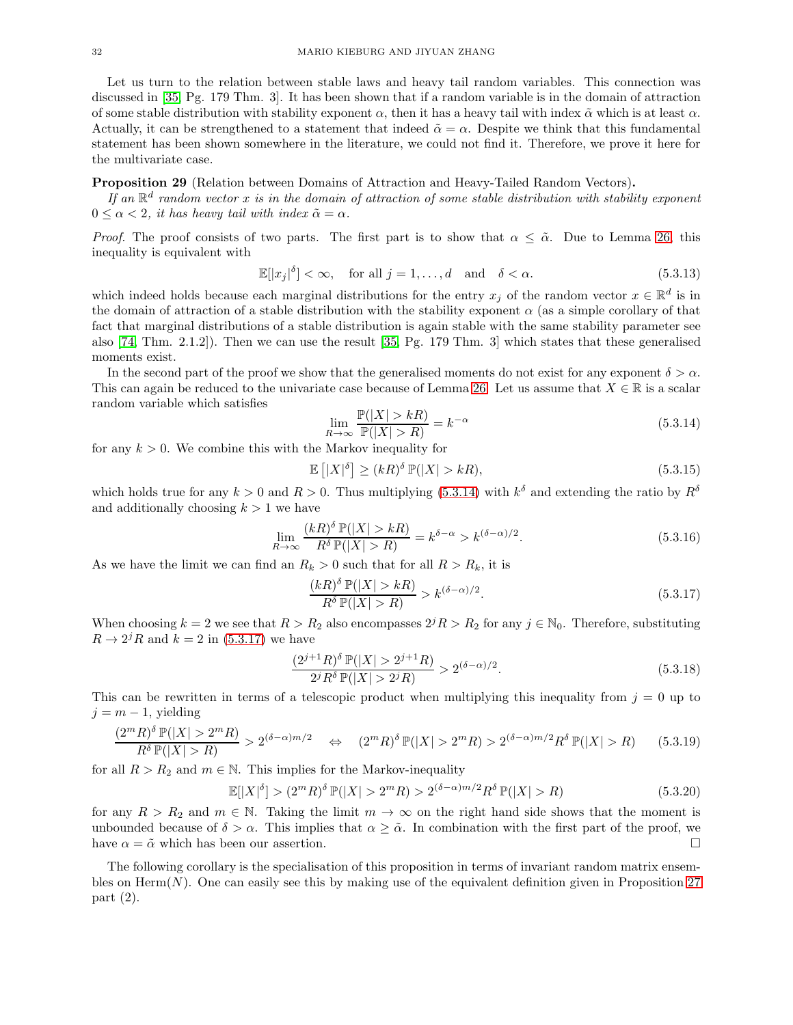Let us turn to the relation between stable laws and heavy tail random variables. This connection was discussed in [\[35,](#page-34-19) Pg. 179 Thm. 3]. It has been shown that if a random variable is in the domain of attraction of some stable distribution with stability exponent  $\alpha$ , then it has a heavy tail with index  $\tilde{\alpha}$  which is at least  $\alpha$ . Actually, it can be strengthened to a statement that indeed  $\tilde{\alpha} = \alpha$ . Despite we think that this fundamental statement has been shown somewhere in the literature, we could not find it. Therefore, we prove it here for the multivariate case.

# <span id="page-31-2"></span>Proposition 29 (Relation between Domains of Attraction and Heavy-Tailed Random Vectors).

If an  $\mathbb{R}^d$  random vector x is in the domain of attraction of some stable distribution with stability exponent  $0 \leq \alpha < 2$ , *it has heavy tail with index*  $\tilde{\alpha} = \alpha$ .

*Proof.* The proof consists of two parts. The first part is to show that  $\alpha \leq \tilde{\alpha}$ . Due to Lemma [26,](#page-29-1) this inequality is equivalent with

$$
\mathbb{E}[|x_j|^{\delta}] < \infty, \quad \text{for all } j = 1, \dots, d \quad \text{and} \quad \delta < \alpha. \tag{5.3.13}
$$

which indeed holds because each marginal distributions for the entry  $x_j$  of the random vector  $x \in \mathbb{R}^d$  is in the domain of attraction of a stable distribution with the stability exponent  $\alpha$  (as a simple corollary of that fact that marginal distributions of a stable distribution is again stable with the same stability parameter see also [\[74,](#page-35-22) Thm. 2.1.2]). Then we can use the result [\[35,](#page-34-19) Pg. 179 Thm. 3] which states that these generalised moments exist.

In the second part of the proof we show that the generalised moments do not exist for any exponent  $\delta > \alpha$ . This can again be reduced to the univariate case because of Lemma [26.](#page-29-1) Let us assume that  $X \in \mathbb{R}$  is a scalar random variable which satisfies

<span id="page-31-0"></span>
$$
\lim_{R \to \infty} \frac{\mathbb{P}(|X| > kR)}{\mathbb{P}(|X| > R)} = k^{-\alpha}
$$
\n(5.3.14)

for any  $k > 0$ . We combine this with the Markov inequality for

$$
\mathbb{E}\left[|X|^{\delta}\right] \ge (kR)^{\delta} \mathbb{P}(|X| > kR),\tag{5.3.15}
$$

which holds true for any  $k > 0$  and  $R > 0$ . Thus multiplying [\(5.3.14\)](#page-31-0) with  $k^{\delta}$  and extending the ratio by  $R^{\delta}$ and additionally choosing  $k > 1$  we have

$$
\lim_{R \to \infty} \frac{(kR)^{\delta} \mathbb{P}(|X| > kR)}{R^{\delta} \mathbb{P}(|X| > R)} = k^{\delta - \alpha} > k^{(\delta - \alpha)/2}.
$$
\n(5.3.16)

As we have the limit we can find an  $R_k > 0$  such that for all  $R > R_k$ , it is

<span id="page-31-1"></span>
$$
\frac{(kR)^{\delta}\mathbb{P}(|X|>kR)}{R^{\delta}\mathbb{P}(|X|>R)} > k^{(\delta-\alpha)/2}.
$$
\n(5.3.17)

When choosing  $k = 2$  we see that  $R > R_2$  also encompasses  $2^j R > R_2$  for any  $j \in \mathbb{N}_0$ . Therefore, substituting  $R \to 2^{j}R$  and  $k = 2$  in [\(5.3.17\)](#page-31-1) we have

$$
\frac{(2^{j+1}R)^{\delta}\mathbb{P}(|X| > 2^{j+1}R)}{2^jR^{\delta}\mathbb{P}(|X| > 2^jR)} > 2^{(\delta - \alpha)/2}.
$$
\n(5.3.18)

This can be rewritten in terms of a telescopic product when multiplying this inequality from  $j = 0$  up to  $j = m - 1$ , yielding

$$
\frac{(2^m R)^{\delta} \mathbb{P}(|X| > 2^m R)}{R^{\delta} \mathbb{P}(|X| > R)} > 2^{(\delta - \alpha)m/2} \quad \Leftrightarrow \quad (2^m R)^{\delta} \mathbb{P}(|X| > 2^m R) > 2^{(\delta - \alpha)m/2} R^{\delta} \mathbb{P}(|X| > R) \tag{5.3.19}
$$

for all  $R > R_2$  and  $m \in \mathbb{N}$ . This implies for the Markov-inequality

$$
\mathbb{E}[|X|^{\delta}] > (2^m R)^{\delta} \mathbb{P}(|X| > 2^m R) > 2^{(\delta - \alpha)m/2} R^{\delta} \mathbb{P}(|X| > R)
$$
\n(5.3.20)

for any  $R > R_2$  and  $m \in \mathbb{N}$ . Taking the limit  $m \to \infty$  on the right hand side shows that the moment is unbounded because of  $\delta > \alpha$ . This implies that  $\alpha \geq \tilde{\alpha}$ . In combination with the first part of the proof, we have  $\alpha = \tilde{\alpha}$  which has been our assertion. have  $\alpha = \tilde{\alpha}$  which has been our assertion.

The following corollary is the specialisation of this proposition in terms of invariant random matrix ensembles on  $\text{Herm}(N)$ . One can easily see this by making use of the equivalent definition given in Proposition [27](#page-30-0) part (2).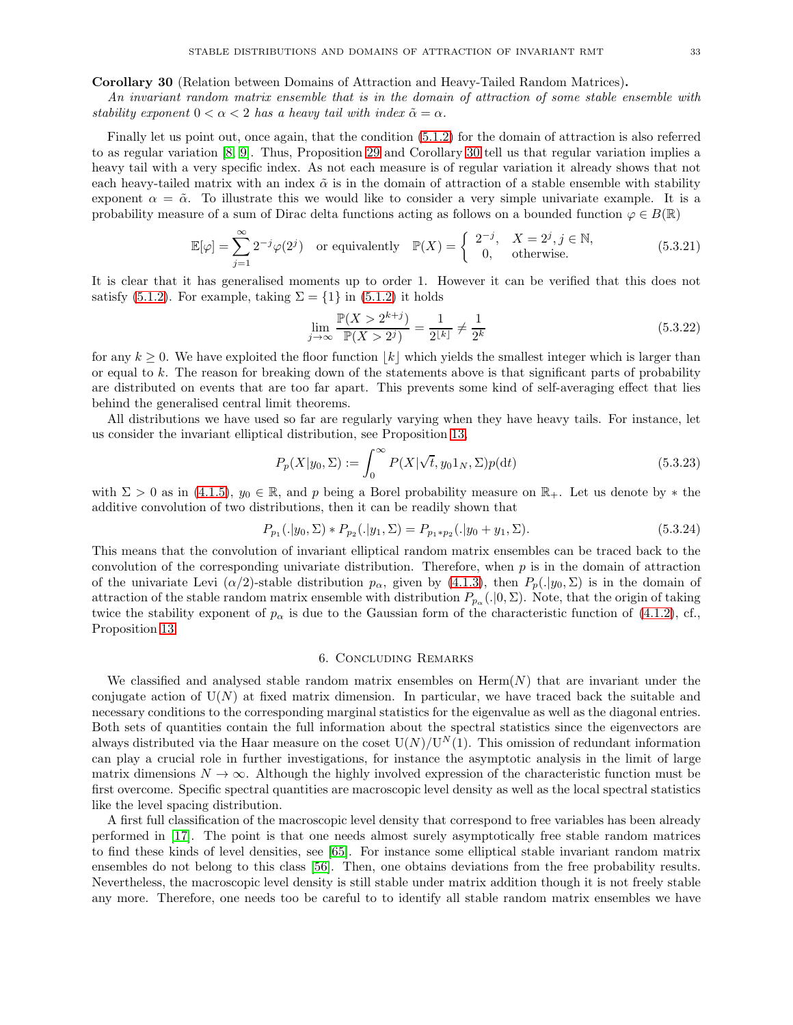<span id="page-32-1"></span>Corollary 30 (Relation between Domains of Attraction and Heavy-Tailed Random Matrices).

*An invariant random matrix ensemble that is in the domain of attraction of some stable ensemble with stability exponent*  $0 < \alpha < 2$  *has a heavy tail with index*  $\tilde{\alpha} = \alpha$ *.* 

Finally let us point out, once again, that the condition [\(5.1.2\)](#page-22-3) for the domain of attraction is also referred to as regular variation [\[8,](#page-33-13) [9\]](#page-33-14). Thus, Proposition [29](#page-31-2) and Corollary [30](#page-32-1) tell us that regular variation implies a heavy tail with a very specific index. As not each measure is of regular variation it already shows that not each heavy-tailed matrix with an index  $\tilde{\alpha}$  is in the domain of attraction of a stable ensemble with stability exponent  $\alpha = \tilde{\alpha}$ . To illustrate this we would like to consider a very simple univariate example. It is a probability measure of a sum of Dirac delta functions acting as follows on a bounded function  $\varphi \in B(\mathbb{R})$ 

$$
\mathbb{E}[\varphi] = \sum_{j=1}^{\infty} 2^{-j} \varphi(2^j) \quad \text{or equivalently} \quad \mathbb{P}(X) = \begin{cases} 2^{-j}, & X = 2^j, j \in \mathbb{N}, \\ 0, & \text{otherwise.} \end{cases} \tag{5.3.21}
$$

It is clear that it has generalised moments up to order 1. However it can be verified that this does not satisfy [\(5.1.2\)](#page-22-3). For example, taking  $\Sigma = \{1\}$  in (5.1.2) it holds

$$
\lim_{j \to \infty} \frac{\mathbb{P}(X > 2^{k+j})}{\mathbb{P}(X > 2^j)} = \frac{1}{2^{\lfloor k \rfloor}} \neq \frac{1}{2^k}
$$
\n(5.3.22)

for any  $k \geq 0$ . We have exploited the floor function |k| which yields the smallest integer which is larger than or equal to k. The reason for breaking down of the statements above is that significant parts of probability are distributed on events that are too far apart. This prevents some kind of self-averaging effect that lies behind the generalised central limit theorems.

All distributions we have used so far are regularly varying when they have heavy tails. For instance, let us consider the invariant elliptical distribution, see Proposition [13,](#page-14-6)

$$
P_p(X|y_0, \Sigma) := \int_0^\infty P(X|\sqrt{t}, y_0 \mathbf{1}_N, \Sigma) p(\mathrm{d}t)
$$
\n(5.3.23)

with  $\Sigma > 0$  as in [\(4.1.5\)](#page-15-1),  $y_0 \in \mathbb{R}$ , and p being a Borel probability measure on  $\mathbb{R}_+$ . Let us denote by  $*$  the additive convolution of two distributions, then it can be readily shown that

$$
P_{p_1}(.|y_0, \Sigma) * P_{p_2}(.|y_1, \Sigma) = P_{p_1*p_2}(.|y_0+y_1, \Sigma). \tag{5.3.24}
$$

This means that the convolution of invariant elliptical random matrix ensembles can be traced back to the convolution of the corresponding univariate distribution. Therefore, when  $p$  is in the domain of attraction of the univariate Levi  $(\alpha/2)$ -stable distribution  $p_\alpha$ , given by [\(4.1.3\)](#page-14-3), then  $P_p(.\vert y_0, \Sigma)$  is in the domain of attraction of the stable random matrix ensemble with distribution  $P_{p_\alpha}(.|0,\Sigma)$ . Note, that the origin of taking twice the stability exponent of  $p_{\alpha}$  is due to the Gaussian form of the characteristic function of [\(4.1.2\)](#page-14-5), cf., Proposition [13.](#page-14-6)

#### 6. Concluding Remarks

<span id="page-32-0"></span>We classified and analysed stable random matrix ensembles on  $\text{Herm}(N)$  that are invariant under the conjugate action of  $U(N)$  at fixed matrix dimension. In particular, we have traced back the suitable and necessary conditions to the corresponding marginal statistics for the eigenvalue as well as the diagonal entries. Both sets of quantities contain the full information about the spectral statistics since the eigenvectors are always distributed via the Haar measure on the coset  $U(N)/U^N(1)$ . This omission of redundant information can play a crucial role in further investigations, for instance the asymptotic analysis in the limit of large matrix dimensions  $N \to \infty$ . Although the highly involved expression of the characteristic function must be first overcome. Specific spectral quantities are macroscopic level density as well as the local spectral statistics like the level spacing distribution.

A first full classification of the macroscopic level density that correspond to free variables has been already performed in [\[17\]](#page-34-33). The point is that one needs almost surely asymptotically free stable random matrices to find these kinds of level densities, see [\[65\]](#page-35-32). For instance some elliptical stable invariant random matrix ensembles do not belong to this class [\[56\]](#page-35-14). Then, one obtains deviations from the free probability results. Nevertheless, the macroscopic level density is still stable under matrix addition though it is not freely stable any more. Therefore, one needs too be careful to to identify all stable random matrix ensembles we have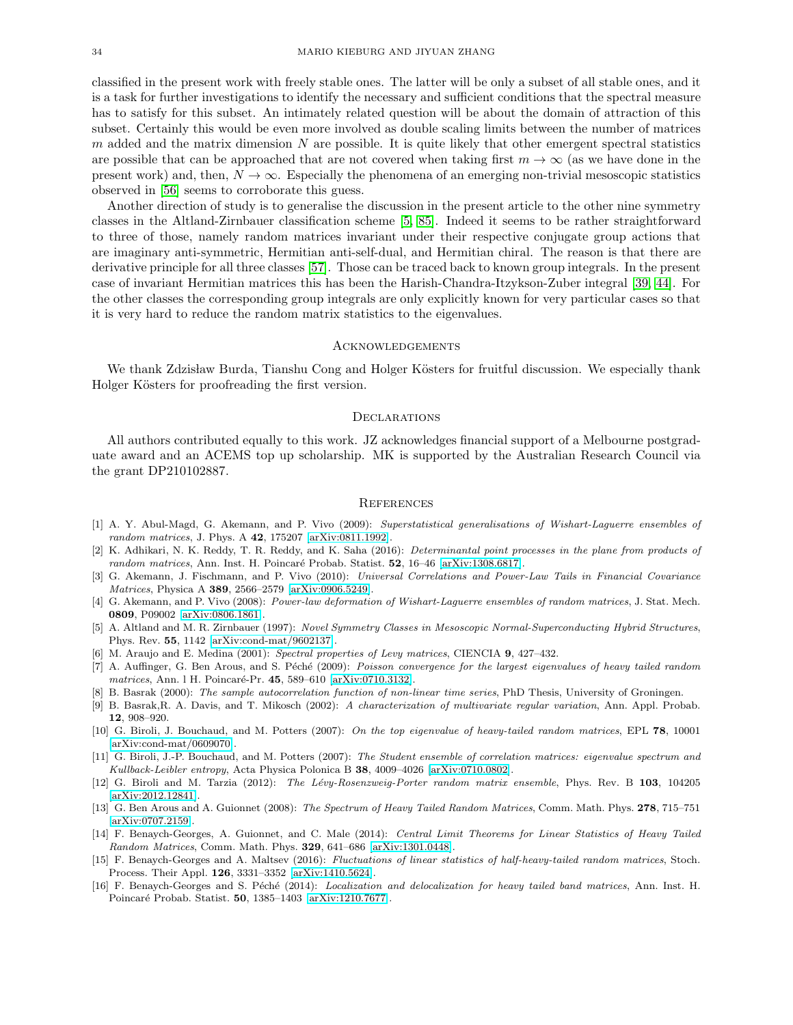classified in the present work with freely stable ones. The latter will be only a subset of all stable ones, and it is a task for further investigations to identify the necessary and sufficient conditions that the spectral measure has to satisfy for this subset. An intimately related question will be about the domain of attraction of this subset. Certainly this would be even more involved as double scaling limits between the number of matrices  $m$  added and the matrix dimension  $N$  are possible. It is quite likely that other emergent spectral statistics are possible that can be approached that are not covered when taking first  $m \to \infty$  (as we have done in the present work) and, then,  $N \to \infty$ . Especially the phenomena of an emerging non-trivial mesoscopic statistics observed in [\[56\]](#page-35-14) seems to corroborate this guess.

Another direction of study is to generalise the discussion in the present article to the other nine symmetry classes in the Altland-Zirnbauer classification scheme [\[5,](#page-33-15) [85\]](#page-35-33). Indeed it seems to be rather straightforward to three of those, namely random matrices invariant under their respective conjugate group actions that are imaginary anti-symmetric, Hermitian anti-self-dual, and Hermitian chiral. The reason is that there are derivative principle for all three classes [\[57\]](#page-35-25). Those can be traced back to known group integrals. In the present case of invariant Hermitian matrices this has been the Harish-Chandra-Itzykson-Zuber integral [\[39,](#page-34-23) [44\]](#page-34-24). For the other classes the corresponding group integrals are only explicitly known for very particular cases so that it is very hard to reduce the random matrix statistics to the eigenvalues.

#### **ACKNOWLEDGEMENTS**

We thank Zdzisław Burda, Tianshu Cong and Holger Kösters for fruitful discussion. We especially thank Holger Kösters for proofreading the first version.

#### **DECLARATIONS**

All authors contributed equally to this work. JZ acknowledges financial support of a Melbourne postgraduate award and an ACEMS top up scholarship. MK is supported by the Australian Research Council via the grant DP210102887.

#### **REFERENCES**

- <span id="page-33-10"></span>[1] A. Y. Abul-Magd, G. Akemann, and P. Vivo (2009): Superstatistical generalisations of Wishart-Laguerre ensembles of random matrices, J. Phys. A 42, 175207 [\[arXiv:0811.1992\]](http://arxiv.org/abs/0811.1992).
- <span id="page-33-12"></span>[2] K. Adhikari, N. K. Reddy, T. R. Reddy, and K. Saha (2016): *Determinantal point processes in the plane from products of* random matrices, Ann. Inst. H. Poincaré Probab. Statist. 52, 16-46 [\[arXiv:1308.6817\]](http://arxiv.org/abs/1308.6817).
- <span id="page-33-1"></span>[3] G. Akemann, J. Fischmann, and P. Vivo (2010): Universal Correlations and Power-Law Tails in Financial Covariance Matrices, Physica A 389, 2566–2579 [\[arXiv:0906.5249\]](http://arxiv.org/abs/0906.5249).
- <span id="page-33-9"></span>[4] G. Akemann, and P. Vivo (2008): Power-law deformation of Wishart-Laguerre ensembles of random matrices, J. Stat. Mech. 0809, P09002 [\[arXiv:0806.1861\]](http://arxiv.org/abs/0806.1861).
- <span id="page-33-15"></span>[5] A. Altland and M. R. Zirnbauer (1997): Novel Symmetry Classes in Mesoscopic Normal-Superconducting Hybrid Structures, Phys. Rev. 55, 1142 [\[arXiv:cond-mat/9602137\]](http://arxiv.org/abs/cond-mat/9602137).
- <span id="page-33-7"></span><span id="page-33-5"></span>[6] M. Araujo and E. Medina (2001): Spectral properties of Levy matrices, CIENCIA 9, 427–432.
- [7] A. Auffinger, G. Ben Arous, and S. Péché (2009): Poisson convergence for the largest eigenvalues of heavy tailed random matrices, Ann. 1 H. Poincaré-Pr. 45, 589–610 [\[arXiv:0710.3132\]](http://arxiv.org/abs/0710.3132).
- <span id="page-33-14"></span><span id="page-33-13"></span>[8] B. Basrak (2000): The sample autocorrelation function of non-linear time series, PhD Thesis, University of Groningen.
- [9] B. Basrak,R. A. Davis, and T. Mikosch (2002): A characterization of multivariate regular variation, Ann. Appl. Probab. 12, 908–920.
- <span id="page-33-2"></span>[10] G. Biroli, J. Bouchaud, and M. Potters (2007): On the top eigenvalue of heavy-tailed random matrices, EPL 78, 10001 [\[arXiv:cond-mat/0609070\]](http://arxiv.org/abs/cond-mat/0609070).
- <span id="page-33-11"></span>[11] G. Biroli, J.-P. Bouchaud, and M. Potters (2007): The Student ensemble of correlation matrices: eigenvalue spectrum and Kullback-Leibler entropy, Acta Physica Polonica B 38, 4009–4026 [\[arXiv:0710.0802\]](http://arxiv.org/abs/0710.0802).
- <span id="page-33-0"></span>[12] G. Biroli and M. Tarzia (2012): The Lévy-Rosenzweig-Porter random matrix ensemble, Phys. Rev. B 103, 104205 [\[arXiv:2012.12841\]](http://arxiv.org/abs/2012.12841).
- <span id="page-33-4"></span>[13] G. Ben Arous and A. Guionnet (2008): The Spectrum of Heavy Tailed Random Matrices, Comm. Math. Phys. 278, 715–751 [\[arXiv:0707.2159\]](http://arxiv.org/abs/0707.2159).
- <span id="page-33-3"></span>[14] F. Benaych-Georges, A. Guionnet, and C. Male (2014): Central Limit Theorems for Linear Statistics of Heavy Tailed Random Matrices, Comm. Math. Phys. 329, 641–686 [\[arXiv:1301.0448\]](http://arxiv.org/abs/1301.0448).
- <span id="page-33-6"></span>[15] F. Benaych-Georges and A. Maltsev (2016): Fluctuations of linear statistics of half-heavy-tailed random matrices, Stoch. Process. Their Appl. 126, 3331–3352 [\[arXiv:1410.5624\]](http://arxiv.org/abs/1410.5624).
- <span id="page-33-8"></span>[16] F. Benaych-Georges and S. Péché (2014): Localization and delocalization for heavy tailed band matrices, Ann. Inst. H. Poincaré Probab. Statist. 50, 1385–1403 [\[arXiv:1210.7677\]](http://arxiv.org/abs/1210.7677).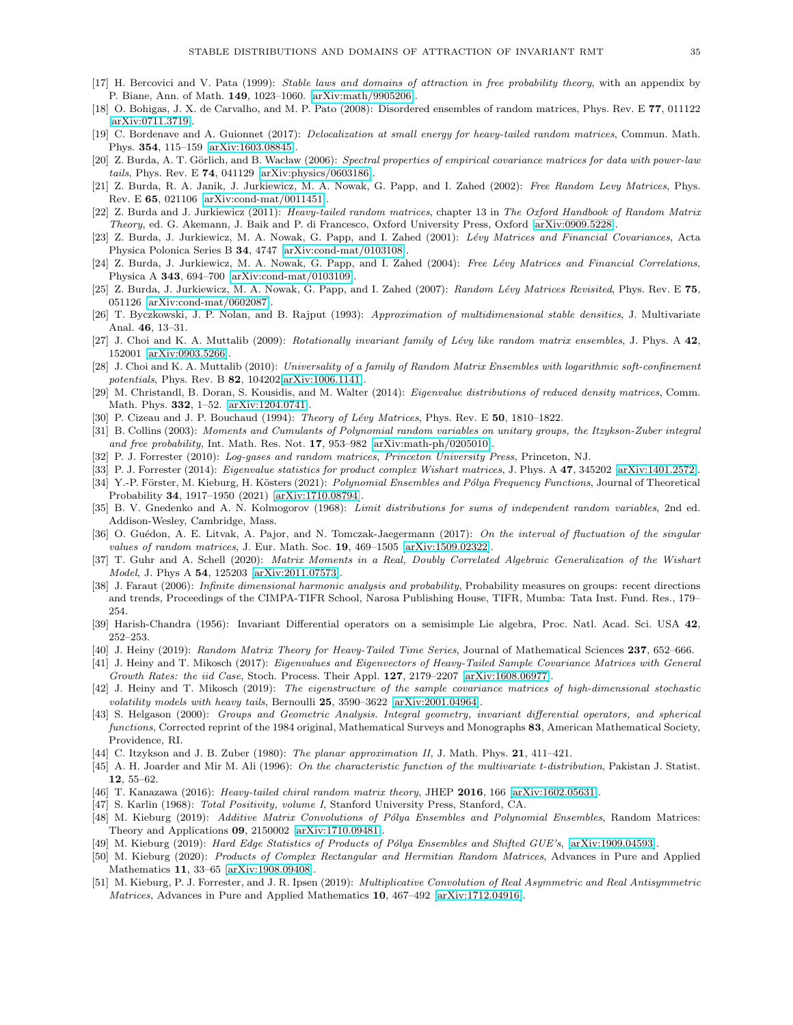- <span id="page-34-33"></span>[17] H. Bercovici and V. Pata (1999): Stable laws and domains of attraction in free probability theory, with an appendix by P. Biane, Ann. of Math. 149, 1023–1060. [\[arXiv:math/9905206\]](http://arxiv.org/abs/math/9905206).
- <span id="page-34-0"></span>[18] O. Bohigas, J. X. de Carvalho, and M. P. Pato (2008): Disordered ensembles of random matrices, Phys. Rev. E 77, 011122 [\[arXiv:0711.3719\]](http://arxiv.org/abs/0711.3719).
- <span id="page-34-11"></span>[19] C. Bordenave and A. Guionnet (2017): Delocalization at small energy for heavy-tailed random matrices, Commun. Math. Phys. 354, 115–159 [\[arXiv:1603.08845\]](http://arxiv.org/abs/1603.08845).
- <span id="page-34-4"></span>[20] Z. Burda, A. T. Görlich, and B. Wacław (2006): Spectral properties of empirical covariance matrices for data with power-law tails, Phys. Rev. E 74, 041129 [\[arXiv:physics/0603186\]](http://arxiv.org/abs/physics/0603186).
- <span id="page-34-13"></span>[21] Z. Burda, R. A. Janik, J. Jurkiewicz, M. A. Nowak, G. Papp, and I. Zahed (2002): Free Random Levy Matrices, Phys. Rev. E 65, 021106 [\[arXiv:cond-mat/0011451\]](http://arxiv.org/abs/cond-mat/0011451).
- <span id="page-34-9"></span>[22] Z. Burda and J. Jurkiewicz (2011): Heavy-tailed random matrices, chapter 13 in The Oxford Handbook of Random Matrix Theory, ed. G. Akemann, J. Baik and P. di Francesco, Oxford University Press, Oxford [\[arXiv:0909.5228\]](http://arxiv.org/abs/0909.5228).
- <span id="page-34-2"></span>[23] Z. Burda, J. Jurkiewicz, M. A. Nowak, G. Papp, and I. Zahed (2001): Lévy Matrices and Financial Covariances, Acta Physica Polonica Series B 34, 4747 [\[arXiv:cond-mat/0103108\]](http://arxiv.org/abs/cond-mat/0103108).
- <span id="page-34-3"></span>[24] Z. Burda, J. Jurkiewicz, M. A. Nowak, G. Papp, and I. Zahed (2004): Free Lévy Matrices and Financial Correlations, Physica A 343, 694–700 [\[arXiv:cond-mat/0103109\]](http://arxiv.org/abs/cond-mat/0103109).
- <span id="page-34-10"></span>[25] Z. Burda, J. Jurkiewicz, M. A. Nowak, G. Papp, and I. Zahed (2007): Random Lévy Matrices Revisited, Phys. Rev. E 75, 051126 [\[arXiv:cond-mat/0602087\]](http://arxiv.org/abs/cond-mat/0602087).
- <span id="page-34-26"></span>[26] T. Byczkowski, J. P. Nolan, and B. Rajput (1993): Approximation of multidimensional stable densities, J. Multivariate Anal. 46, 13–31.
- <span id="page-34-14"></span>[27] J. Choi and K. A. Muttalib (2009): Rotationally invariant family of Lévy like random matrix ensembles, J. Phys. A  $42$ , 152001 [\[arXiv:0903.5266\]](http://arxiv.org/abs/0903.5266).
- <span id="page-34-15"></span>[28] J. Choi and K. A. Muttalib (2010): Universality of a family of Random Matrix Ensembles with logarithmic soft-confinement potentials, Phys. Rev. B 82, 104202[\[arXiv:1006.1141\]](http://arxiv.org/abs/1006.1141).
- <span id="page-34-21"></span>[29] M. Christandl, B. Doran, S. Kousidis, and M. Walter (2014): Eigenvalue distributions of reduced density matrices, Comm. Math. Phys. 332, 1–52. [\[arXiv:1204.0741\]](http://arxiv.org/abs/1204.0741).
- <span id="page-34-27"></span><span id="page-34-8"></span>[30] P. Cizeau and J. P. Bouchaud (1994): Theory of Lévy Matrices, Phys. Rev. E  $50$ , 1810–1822.
- [31] B. Collins (2003): Moments and Cumulants of Polynomial random variables on unitary groups, the Itzykson-Zuber integral and free probability, Int. Math. Res. Not. 17, 953–982 [\[arXiv:math-ph/0205010\]](http://arxiv.org/abs/math-ph/0205010).
- <span id="page-34-25"></span><span id="page-34-17"></span>[32] P. J. Forrester (2010): Log-gases and random matrices, Princeton University Press, Princeton, NJ.
- <span id="page-34-18"></span>[33] P. J. Forrester (2014): Eigenvalue statistics for product complex Wishart matrices, J. Phys. A 47, 345202 [\[arXiv:1401.2572\]](http://arxiv.org/abs/1401.2572).
- [34] Y.-P. Förster, M. Kieburg, H. Kösters (2021): Polynomial Ensembles and Pólya Frequency Functions, Journal of Theoretical Probability 34, 1917–1950 (2021) [\[arXiv:1710.08794\]](http://arxiv.org/abs/1710.08794).
- <span id="page-34-19"></span>[35] B. V. Gnedenko and A. N. Kolmogorov (1968): Limit distributions for sums of independent random variables, 2nd ed. Addison-Wesley, Cambridge, Mass.
- [36] O. Guédon, A. E. Litvak, A. Pajor, and N. Tomczak-Jaegermann (2017): On the interval of fluctuation of the singular values of random matrices, J. Eur. Math. Soc. 19, 469–1505 [\[arXiv:1509.02322\]](http://arxiv.org/abs/1509.02322).
- <span id="page-34-12"></span>[37] T. Guhr and A. Schell (2020): Matrix Moments in a Real, Doubly Correlated Algebraic Generalization of the Wishart Model, J. Phys A 54, 125203 [\[arXiv:2011.07573\]](http://arxiv.org/abs/2011.07573).
- <span id="page-34-22"></span>[38] J. Faraut (2006): Infinite dimensional harmonic analysis and probability, Probability measures on groups: recent directions and trends, Proceedings of the CIMPA-TIFR School, Narosa Publishing House, TIFR, Mumba: Tata Inst. Fund. Res., 179– 254.
- <span id="page-34-23"></span>[39] Harish-Chandra (1956): Invariant Differential operators on a semisimple Lie algebra, Proc. Natl. Acad. Sci. USA 42, 252–253.
- <span id="page-34-7"></span><span id="page-34-6"></span>[40] J. Heiny (2019): Random Matrix Theory for Heavy-Tailed Time Series, Journal of Mathematical Sciences 237, 652–666.
- [41] J. Heiny and T. Mikosch (2017): Eigenvalues and Eigenvectors of Heavy-Tailed Sample Covariance Matrices with General Growth Rates: the iid Case, Stoch. Process. Their Appl. 127, 2179–2207 [\[arXiv:1608.06977\]](http://arxiv.org/abs/1608.06977).
- <span id="page-34-5"></span>[42] J. Heiny and T. Mikosch (2019): The eigenstructure of the sample covariance matrices of high-dimensional stochastic volatility models with heavy tails, Bernoulli 25, 3590-3622 [\[arXiv:2001.04964\]](http://arxiv.org/abs/2001.04964).
- <span id="page-34-20"></span>[43] S. Helgason (2000): Groups and Geometric Analysis. Integral geometry, invariant differential operators, and spherical functions, Corrected reprint of the 1984 original, Mathematical Surveys and Monographs 83, American Mathematical Society, Providence, RI.
- <span id="page-34-24"></span><span id="page-34-16"></span>[44] C. Itzykson and J. B. Zuber (1980): The planar approximation II, J. Math. Phys. 21, 411–421.
- [45] A. H. Joarder and Mir M. Ali (1996): On the characteristic function of the multivariate t-distribution, Pakistan J. Statist. 12, 55–62.
- <span id="page-34-32"></span><span id="page-34-1"></span>[46] T. Kanazawa (2016): Heavy-tailed chiral random matrix theory, JHEP 2016, 166 [\[arXiv:1602.05631\]](http://arxiv.org/abs/1602.05631).
- <span id="page-34-31"></span>[47] S. Karlin (1968): Total Positivity, volume I, Stanford University Press, Stanford, CA.
- [48] M. Kieburg (2019): Additive Matrix Convolutions of Pólya Ensembles and Polynomial Ensembles, Random Matrices: Theory and Applications 09, 2150002 [\[arXiv:1710.09481\]](http://arxiv.org/abs/1710.09481).
- <span id="page-34-30"></span><span id="page-34-29"></span>[49] M. Kieburg (2019): Hard Edge Statistics of Products of Pólya Ensembles and Shifted GUE's, [\[arXiv:1909.04593\]](http://arxiv.org/abs/1909.04593).
- [50] M. Kieburg (2020): Products of Complex Rectangular and Hermitian Random Matrices, Advances in Pure and Applied Mathematics 11, 33–65 [\[arXiv:1908.09408\]](http://arxiv.org/abs/1908.09408).
- <span id="page-34-28"></span>[51] M. Kieburg, P. J. Forrester, and J. R. Ipsen (2019): Multiplicative Convolution of Real Asymmetric and Real Antisymmetric Matrices, Advances in Pure and Applied Mathematics 10, 467–492 [\[arXiv:1712.04916\]](http://arxiv.org/abs/1712.04916).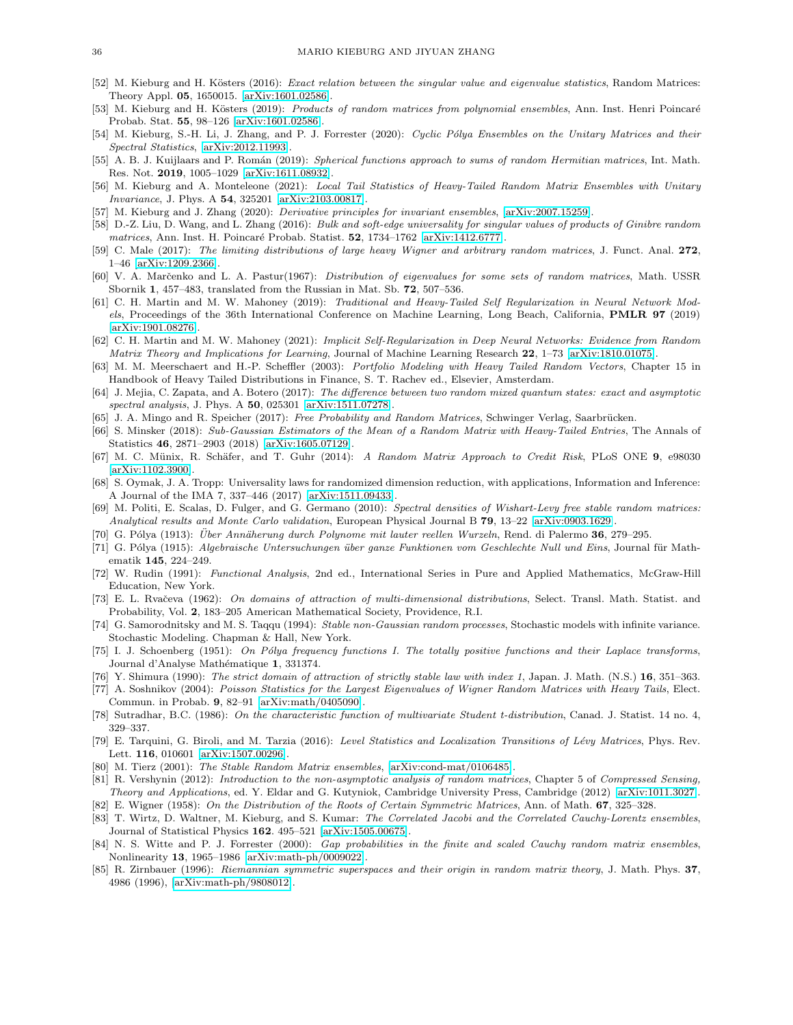- <span id="page-35-20"></span>[52] M. Kieburg and H. Kösters (2016): Exact relation between the singular value and eigenvalue statistics, Random Matrices: Theory Appl. 05, 1650015. [\[arXiv:1601.02586\]](http://arxiv.org/abs/1601.02586).
- <span id="page-35-21"></span>[53] M. Kieburg and H. Kösters (2019): Products of random matrices from polynomial ensembles, Ann. Inst. Henri Poincaré Probab. Stat. 55, 98–126 [\[arXiv:1601.02586\]](http://arxiv.org/abs/1601.02586).
- <span id="page-35-27"></span>[54] M. Kieburg, S.-H. Li, J. Zhang, and P. J. Forrester (2020): Cyclic Pólya Ensembles on the Unitary Matrices and their Spectral Statistics, [\[arXiv:2012.11993\]](http://arxiv.org/abs/2012.11993).
- <span id="page-35-28"></span>[55] A. B. J. Kuijlaars and P. Román (2019): Spherical functions approach to sums of random Hermitian matrices, Int. Math. Res. Not. 2019, 1005–1029 [\[arXiv:1611.08932\]](http://arxiv.org/abs/1611.08932).
- <span id="page-35-14"></span>[56] M. Kieburg and A. Monteleone (2021): Local Tail Statistics of Heavy-Tailed Random Matrix Ensembles with Unitary Invariance, J. Phys. A 54, 325201 [\[arXiv:2103.00817\]](http://arxiv.org/abs/2103.00817).
- <span id="page-35-25"></span><span id="page-35-19"></span>[57] M. Kieburg and J. Zhang (2020): *Derivative principles for invariant ensembles*, [\[arXiv:2007.15259\]](http://arxiv.org/abs/2007.15259)
- [58] D.-Z. Liu, D. Wang, and L. Zhang (2016): Bulk and soft-edge universality for singular values of products of Ginibre random matrices, Ann. Inst. H. Poincaré Probab. Statist. **52**, 1734–1762 [\[arXiv:1412.6777\]](http://arxiv.org/abs/1412.6777).
- <span id="page-35-9"></span>[59] C. Male (2017): The limiting distributions of large heavy Wigner and arbitrary random matrices, J. Funct. Anal. 272, 1–46 [\[arXiv:1209.2366\]](http://arxiv.org/abs/1209.2366).
- <span id="page-35-16"></span><span id="page-35-0"></span>[60] V. A. Marčenko and L. A. Pastur(1967): Distribution of eigenvalues for some sets of random matrices, Math. USSR Sbornik 1, 457–483, translated from the Russian in Mat. Sb. 72, 507–536.
- [61] C. H. Martin and M. W. Mahoney (2019): Traditional and Heavy-Tailed Self Regularization in Neural Network Models, Proceedings of the 36th International Conference on Machine Learning, Long Beach, California, PMLR 97 (2019) [\[arXiv:1901.08276\]](http://arxiv.org/abs/1901.08276).
- <span id="page-35-1"></span>[62] C. H. Martin and M. W. Mahoney (2021): Implicit Self-Regularization in Deep Neural Networks: Evidence from Random Matrix Theory and Implications for Learning, Journal of Machine Learning Research 22, 1–73 [\[arXiv:1810.01075\]](http://arxiv.org/abs/1810.01075).
- <span id="page-35-2"></span>[63] M. M. Meerschaert and H.-P. Scheffler (2003): Portfolio Modeling with Heavy Tailed Random Vectors, Chapter 15 in Handbook of Heavy Tailed Distributions in Finance, S. T. Rachev ed., Elsevier, Amsterdam.
- <span id="page-35-24"></span>[64] J. Mejia, C. Zapata, and A. Botero (2017): The difference between two random mixed quantum states: exact and asymptotic spectral analysis, J. Phys. A 50, 025301 [\[arXiv:1511.07278\]](http://arxiv.org/abs/1511.07278).
- <span id="page-35-32"></span><span id="page-35-5"></span>[65] J. A. Mingo and R. Speicher (2017): Free Probability and Random Matrices, Schwinger Verlag, Saarbrücken.
- [66] S. Minsker (2018): Sub-Gaussian Estimators of the Mean of a Random Matrix with Heavy-Tailed Entries, The Annals of Statistics 46, 2871–2903 (2018) [\[arXiv:1605.07129\]](http://arxiv.org/abs/1605.07129).
- <span id="page-35-3"></span>[67] M. C. Münix, R. Schäfer, and T. Guhr (2014): A Random Matrix Approach to Credit Risk, PLoS ONE 9, e98030 [\[arXiv:1102.3900\]](http://arxiv.org/abs/1102.3900).
- <span id="page-35-4"></span>[68] S. Oymak, J. A. Tropp: Universality laws for randomized dimension reduction, with applications, Information and Inference: A Journal of the IMA 7, 337–446 (2017) [\[arXiv:1511.09433\]](http://arxiv.org/abs/1511.09433).
- <span id="page-35-10"></span>[69] M. Politi, E. Scalas, D. Fulger, and G. Germano (2010): Spectral densities of Wishart-Levy free stable random matrices: Analytical results and Monte Carlo validation, European Physical Journal B 79, 13–22 [\[arXiv:0903.1629\]](http://arxiv.org/abs/0903.1629).
- <span id="page-35-30"></span><span id="page-35-29"></span> $[70]$  G. Pólya (1913): Über Annäherung durch Polynome mit lauter reellen Wurzeln, Rend. di Palermo 36, 279–295.
- [71] G. Pólya (1915): Algebraische Untersuchungen über ganze Funktionen vom Geschlechte Null und Eins, Journal für Mathematik 145, 224–249.
- <span id="page-35-26"></span>[72] W. Rudin (1991): Functional Analysis, 2nd ed., International Series in Pure and Applied Mathematics, McGraw-Hill Education, New York.
- <span id="page-35-23"></span>[73] E. L. Rvačeva (1962): On domains of attraction of multi-dimensional distributions, Select. Transl. Math. Statist. and Probability, Vol. 2, 183–205 American Mathematical Society, Providence, R.I.
- <span id="page-35-22"></span>[74] G. Samorodnitsky and M. S. Taqqu (1994): Stable non-Gaussian random processes, Stochastic models with infinite variance. Stochastic Modeling. Chapman & Hall, New York.
- <span id="page-35-31"></span>[75] I. J. Schoenberg (1951): On Pólya frequency functions I. The totally positive functions and their Laplace transforms, Journal d'Analyse Mathématique 1, 331374.
- <span id="page-35-17"></span><span id="page-35-6"></span>[76] Y. Shimura (1990): The strict domain of attraction of strictly stable law with index 1, Japan. J. Math. (N.S.) 16, 351–363.
- [77] A. Soshnikov (2004): Poisson Statistics for the Largest Eigenvalues of Wigner Random Matrices with Heavy Tails, Elect. Commun. in Probab. 9, 82–91 [\[arXiv:math/0405090\]](http://arxiv.org/abs/math/0405090).
- <span id="page-35-18"></span><span id="page-35-8"></span>[78] Sutradhar, B.C. (1986): On the characteristic function of multivariate Student t-distribution, Canad. J. Statist. 14 no. 4, 329–337.
- [79] E. Tarquini, G. Biroli, and M. Tarzia (2016): Level Statistics and Localization Transitions of Lévy Matrices, Phys. Rev. Lett. 116, 010601 [\[arXiv:1507.00296\]](http://arxiv.org/abs/1507.00296).
- <span id="page-35-13"></span><span id="page-35-7"></span>[80] M. Tierz (2001): The Stable Random Matrix ensembles, [\[arXiv:cond-mat/0106485\]](http://arxiv.org/abs/cond-mat/0106485).
- <span id="page-35-15"></span>[81] R. Vershynin (2012): Introduction to the non-asymptotic analysis of random matrices, Chapter 5 of Compressed Sensing, Theory and Applications, ed. Y. Eldar and G. Kutyniok, Cambridge University Press, Cambridge (2012) [\[arXiv:1011.3027\]](http://arxiv.org/abs/1011.3027). [82] E. Wigner (1958): On the Distribution of the Roots of Certain Symmetric Matrices, Ann. of Math. 67, 325–328.
- <span id="page-35-11"></span>[83] T. Wirtz, D. Waltner, M. Kieburg, and S. Kumar: The Correlated Jacobi and the Correlated Cauchy-Lorentz ensembles,
- <span id="page-35-12"></span>Journal of Statistical Physics 162. 495–521 [\[arXiv:1505.00675\]](http://arxiv.org/abs/1505.00675).
- [84] N. S. Witte and P. J. Forrester (2000): Gap probabilities in the finite and scaled Cauchy random matrix ensembles, Nonlinearity 13, 1965–1986 [\[arXiv:math-ph/0009022\]](http://arxiv.org/abs/math-ph/0009022).
- <span id="page-35-33"></span>[85] R. Zirnbauer (1996): Riemannian symmetric superspaces and their origin in random matrix theory, J. Math. Phys. 37, 4986 (1996), [\[arXiv:math-ph/9808012\]](http://arxiv.org/abs/math-ph/9808012).